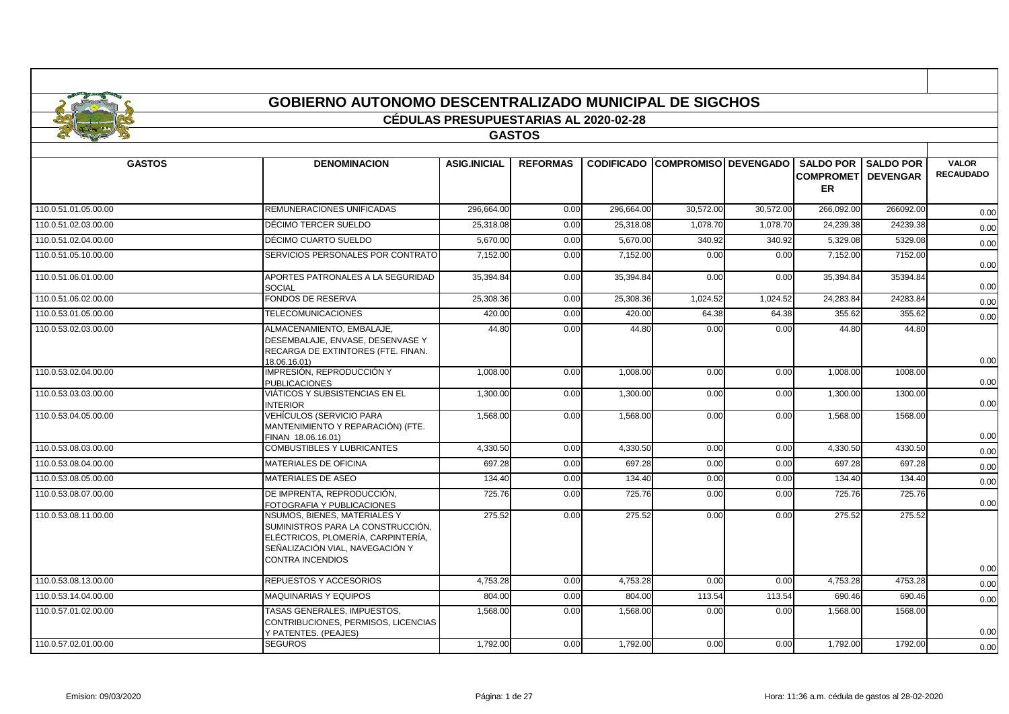|                      | <b>GOBIERNO AUTONOMO DESCENTRALIZADO MUNICIPAL DE SIGCHOS</b>                                                                                                         |                                              |                 |                   |                             |           |                                            |                                     |                                  |
|----------------------|-----------------------------------------------------------------------------------------------------------------------------------------------------------------------|----------------------------------------------|-----------------|-------------------|-----------------------------|-----------|--------------------------------------------|-------------------------------------|----------------------------------|
|                      |                                                                                                                                                                       | <b>CÉDULAS PRESUPUESTARIAS AL 2020-02-28</b> |                 |                   |                             |           |                                            |                                     |                                  |
|                      |                                                                                                                                                                       |                                              | <b>GASTOS</b>   |                   |                             |           |                                            |                                     |                                  |
|                      |                                                                                                                                                                       |                                              |                 |                   |                             |           |                                            |                                     |                                  |
| <b>GASTOS</b>        | <b>DENOMINACION</b>                                                                                                                                                   | <b>ASIG.INICIAL</b>                          | <b>REFORMAS</b> | <b>CODIFICADO</b> | <b>COMPROMISO DEVENGADO</b> |           | <b>SALDO POR</b><br><b>COMPROMET</b><br>ER | <b>SALDO POR</b><br><b>DEVENGAR</b> | <b>VALOR</b><br><b>RECAUDADO</b> |
| 110.0.51.01.05.00.00 | <b>REMUNERACIONES UNIFICADAS</b>                                                                                                                                      | 296.664.00                                   | 0.00            | 296.664.00        | 30.572.00                   | 30.572.00 | 266.092.00                                 | 266092.00                           | 0.00                             |
| 110.0.51.02.03.00.00 | DÉCIMO TERCER SUELDO                                                                                                                                                  | 25.318.08                                    | 0.00            | 25.318.08         | 1.078.70                    | 1.078.70  | 24.239.38                                  | 24239.38                            | 0.00                             |
| 110.0.51.02.04.00.00 | DÉCIMO CUARTO SUELDO                                                                                                                                                  | 5,670.00                                     | 0.00            | 5,670.00          | 340.92                      | 340.92    | 5,329.08                                   | 5329.08                             | 0.00                             |
| 110.0.51.05.10.00.00 | SERVICIOS PERSONALES POR CONTRATO                                                                                                                                     | 7,152.00                                     | 0.00            | 7,152.00          | 0.00                        | 0.00      | 7,152.00                                   | 7152.00                             | 0.00                             |
| 110.0.51.06.01.00.00 | APORTES PATRONALES A LA SEGURIDAD<br><b>SOCIAL</b>                                                                                                                    | 35,394.84                                    | 0.00            | 35,394.84         | 0.00                        | 0.00      | 35,394.84                                  | 35394.84                            | 0.00                             |
| 110.0.51.06.02.00.00 | <b>FONDOS DE RESERVA</b>                                                                                                                                              | 25,308.36                                    | 0.00            | 25,308.36         | 1,024.52                    | 1,024.52  | 24,283.84                                  | 24283.84                            | 0.00                             |
| 110.0.53.01.05.00.00 | <b>TELECOMUNICACIONES</b>                                                                                                                                             | 420.00                                       | 0.00            | 420.00            | 64.38                       | 64.38     | 355.62                                     | 355.62                              | 0.00                             |
| 110.0.53.02.03.00.00 | ALMACENAMIENTO, EMBALAJE.<br>DESEMBALAJE, ENVASE, DESENVASE Y<br>RECARGA DE EXTINTORES (FTE. FINAN.<br>18.06.16.01)                                                   | 44.80                                        | 0.00            | 44.80             | 0.00                        | 0.00      | 44.80                                      | 44.80                               | 0.00                             |
| 110.0.53.02.04.00.00 | IMPRESIÓN, REPRODUCCIÓN Y<br><b>PUBLICACIONES</b>                                                                                                                     | 1,008.00                                     | 0.00            | 1,008.00          | 0.00                        | 0.00      | 1,008.00                                   | 1008.00                             | 0.00                             |
| 110.0.53.03.03.00.00 | VIÁTICOS Y SUBSISTENCIAS EN EL<br><b>INTERIOR</b>                                                                                                                     | 1.300.00                                     | 0.00            | 1,300.00          | 0.00                        | 0.00      | 1,300.00                                   | 1300.00                             | 0.00                             |
| 110.0.53.04.05.00.00 | <b>VEHÍCULOS (SERVICIO PARA</b><br>MANTENIMIENTO Y REPARACIÓN) (FTE.<br>FINAN 18.06.16.01)                                                                            | 1,568.00                                     | 0.00            | 1,568.00          | 0.00                        | 0.00      | 1,568.00                                   | 1568.00                             | 0.00                             |
| 110.0.53.08.03.00.00 | <b>COMBUSTIBLES Y LUBRICANTES</b>                                                                                                                                     | 4,330.50                                     | 0.00            | 4,330.50          | 0.00                        | 0.00      | 4,330.50                                   | 4330.50                             | 0.00                             |
| 110.0.53.08.04.00.00 | <b>MATERIALES DE OFICINA</b>                                                                                                                                          | 697.28                                       | 0.00            | 697.28            | 0.00                        | 0.00      | 697.28                                     | 697.28                              | 0.00                             |
| 110.0.53.08.05.00.00 | <b>MATERIALES DE ASEO</b>                                                                                                                                             | 134.40                                       | 0.00            | 134.40            | 0.00                        | 0.00      | 134.40                                     | 134.40                              | 0.00                             |
| 110.0.53.08.07.00.00 | DE IMPRENTA, REPRODUCCIÓN.<br>FOTOGRAFIA Y PUBLICACIONES                                                                                                              | 725.76                                       | 0.00            | 725.76            | 0.00                        | 0.00      | 725.76                                     | 725.76                              | 0.00                             |
| 110.0.53.08.11.00.00 | NSUMOS, BIENES, MATERIALES Y<br>SUMINISTROS PARA LA CONSTRUCCIÓN.<br>ELÉCTRICOS, PLOMERÍA, CARPINTERÍA,<br>SEÑALIZACIÓN VIAL, NAVEGACIÓN Y<br><b>CONTRA INCENDIOS</b> | 275.52                                       | 0.00            | 275.52            | 0.00                        | 0.00      | 275.52                                     | 275.52                              | 0.00                             |
| 110.0.53.08.13.00.00 | <b>REPUESTOS Y ACCESORIOS</b>                                                                                                                                         | 4,753.28                                     | 0.00            | 4,753.28          | 0.00                        | 0.00      | 4,753.28                                   | 4753.28                             | 0.00                             |

п

110.0.57.01.02.00.00 TASAS GENERALES, IMPUESTOS,

CONTRIBUCIONES, PERMISOS, LICENCIAS

Y PATENTES. (PEAJES)

110.0.53.14.04.00.00 MAQUINARIAS Y EQUIPOS 804.00 804.00 113.54 113.54 690.46 690.46 <sub>0.00</sub>

110.0.57.02.01.00.00 SEGUROS 1,792.00 0.00 1,792.00 0.00 0.00 1,792.00 1792.00 0.00

0.00

٦

1,568.00 0.00 1,568.00 0.00 0.00 1,568.00 1568.00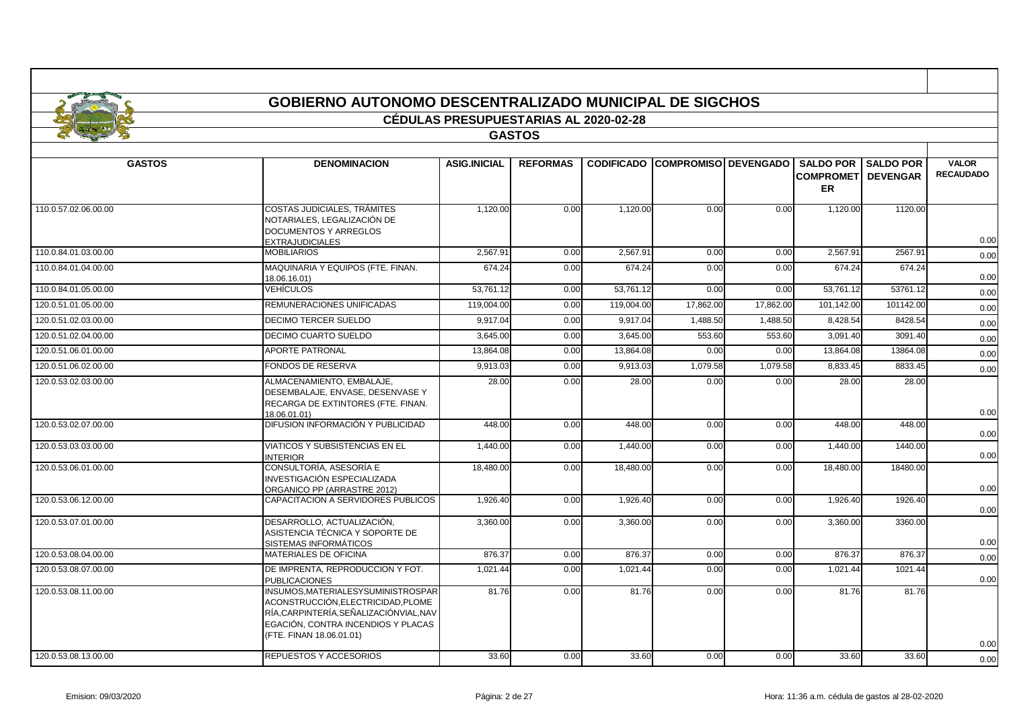|                      |                                                                                                                                                                                 | <b>CÉDULAS PRESUPUESTARIAS AL 2020-02-28</b> |                 |            |                                        |           |                                                             |             |                                  |
|----------------------|---------------------------------------------------------------------------------------------------------------------------------------------------------------------------------|----------------------------------------------|-----------------|------------|----------------------------------------|-----------|-------------------------------------------------------------|-------------|----------------------------------|
|                      |                                                                                                                                                                                 |                                              | <b>GASTOS</b>   |            |                                        |           |                                                             |             |                                  |
| <b>GASTOS</b>        | <b>DENOMINACION</b>                                                                                                                                                             | <b>ASIG.INICIAL</b>                          | <b>REFORMAS</b> |            | <b>CODIFICADO COMPROMISO DEVENGADO</b> |           | <b>SALDO POR</b><br><b>COMPROMETI DEVENGAR</b><br><b>ER</b> | I SALDO POR | <b>VALOR</b><br><b>RECAUDADO</b> |
| 110.0.57.02.06.00.00 | COSTAS JUDICIALES, TRÁMITES<br>NOTARIALES, LEGALIZACIÓN DE<br>DOCUMENTOS Y ARREGLOS<br><b>EXTRAJUDICIALES</b>                                                                   | 1,120.00                                     | 0.00            | 1,120.00   | 0.00                                   | 0.00      | 1,120.00                                                    | 1120.00     | 0.00                             |
| 110.0.84.01.03.00.00 | <b>MOBILIARIOS</b>                                                                                                                                                              | 2,567.91                                     | 0.00            | 2,567.91   | 0.00                                   | 0.00      | 2,567.91                                                    | 2567.91     | 0.00                             |
| 110.0.84.01.04.00.00 | MAQUINARIA Y EQUIPOS (FTE. FINAN.<br>18.06.16.01)                                                                                                                               | 674.24                                       | 0.00            | 674.24     | 0.00                                   | 0.00      | 674.24                                                      | 674.24      | 0.00                             |
| 110.0.84.01.05.00.00 | VEHÍCULOS                                                                                                                                                                       | 53,761.12                                    | 0.00            | 53,761.12  | 0.00                                   | 0.00      | 53,761.12                                                   | 53761.12    | 0.00                             |
| 120.0.51.01.05.00.00 | REMUNERACIONES UNIFICADAS                                                                                                                                                       | 119.004.00                                   | 0.00            | 119.004.00 | 17.862.00                              | 17.862.00 | 101.142.00                                                  | 101142.00   | 0.00                             |
| 120.0.51.02.03.00.00 | DECIMO TERCER SUELDO                                                                                                                                                            | 9.917.04                                     | 0.00            | 9.917.04   | 1.488.50                               | 1.488.50  | 8.428.54                                                    | 8428.54     | 0.00                             |
| 120.0.51.02.04.00.00 | DECIMO CUARTO SUELDO                                                                                                                                                            | 3,645.00                                     | 0.00            | 3,645.00   | 553.60                                 | 553.60    | 3,091.40                                                    | 3091.40     | 0.00                             |
| 120.0.51.06.01.00.00 | <b>APORTE PATRONAL</b>                                                                                                                                                          | 13,864.08                                    | 0.00            | 13,864.08  | 0.00                                   | 0.00      | 13,864.08                                                   | 13864.08    | 0.00                             |
| 120.0.51.06.02.00.00 | FONDOS DE RESERVA                                                                                                                                                               | 9,913.03                                     | 0.00            | 9,913.03   | 1,079.58                               | 1,079.58  | 8,833.45                                                    | 8833.45     | 0.00                             |
| 120.0.53.02.03.00.00 | ALMACENAMIENTO, EMBALAJE,<br>DESEMBALAJE, ENVASE, DESENVASE Y<br>RECARGA DE EXTINTORES (FTE. FINAN.<br>18.06.01.01)                                                             | 28.00                                        | 0.00            | 28.00      | 0.00                                   | 0.00      | 28.00                                                       | 28.00       | 0.00                             |
| 120.0.53.02.07.00.00 | DIFUSION INFORMACIÓN Y PUBLICIDAD                                                                                                                                               | 448.00                                       | 0.00            | 448.00     | 0.00                                   | 0.00      | 448.00                                                      | 448.00      | 0.00                             |
| 120.0.53.03.03.00.00 | VIATICOS Y SUBSISTENCIAS EN EL<br><b>INTERIOR</b>                                                                                                                               | 1,440.00                                     | 0.00            | 1,440.00   | 0.00                                   | 0.00      | 1,440.00                                                    | 1440.00     | 0.00                             |
| 120.0.53.06.01.00.00 | CONSULTORÍA. ASESORÍA E<br>INVESTIGACIÓN ESPECIALIZADA<br>ORGANICO PP (ARRASTRE 2012)                                                                                           | 18,480.00                                    | 0.00            | 18,480.00  | 0.00                                   | 0.00      | 18,480.00                                                   | 18480.00    | 0.00                             |
| 120.0.53.06.12.00.00 | CAPACITACION A SERVIDORES PUBLICOS                                                                                                                                              | 1,926.40                                     | 0.00            | 1,926.40   | 0.00                                   | 0.00      | 1,926.40                                                    | 1926.40     | 0.00                             |
| 120.0.53.07.01.00.00 | DESARROLLO, ACTUALIZACIÓN,<br>ASISTENCIA TÉCNICA Y SOPORTE DE<br><b>SISTEMAS INFORMÁTICOS</b>                                                                                   | 3,360.00                                     | 0.00            | 3,360.00   | 0.00                                   | 0.00      | 3,360.00                                                    | 3360.00     | 0.00                             |
| 120.0.53.08.04.00.00 | MATERIALES DE OFICINA                                                                                                                                                           | 876.37                                       | 0.00            | 876.37     | 0.00                                   | 0.00      | 876.37                                                      | 876.37      | 0.00                             |
| 120.0.53.08.07.00.00 | DE IMPRENTA, REPRODUCCION Y FOT.<br><b>PUBLICACIONES</b>                                                                                                                        | 1,021.44                                     | 0.00            | 1,021.44   | 0.00                                   | 0.00      | 1,021.44                                                    | 1021.44     | 0.00                             |
| 120.0.53.08.11.00.00 | INSUMOS.MATERIALESYSUMINISTROSPAR<br>ACONSTRUCCIÓN.ELECTRICIDAD.PLOME<br>RÍA,CARPINTERÍA,SEÑALIZACIÓNVIAL,NAV<br>EGACIÓN, CONTRA INCENDIOS Y PLACAS<br>(FTE. FINAN 18.06.01.01) | 81.76                                        | 0.00            | 81.76      | 0.00                                   | 0.00      | 81.76                                                       | 81.76       | 0.00                             |
| 120.0.53.08.13.00.00 | REPUESTOS Y ACCESORIOS                                                                                                                                                          | 33.60                                        | 0.00            | 33.60      | 0.00                                   | 0.00      | 33.60                                                       | 33.60       | 0.00                             |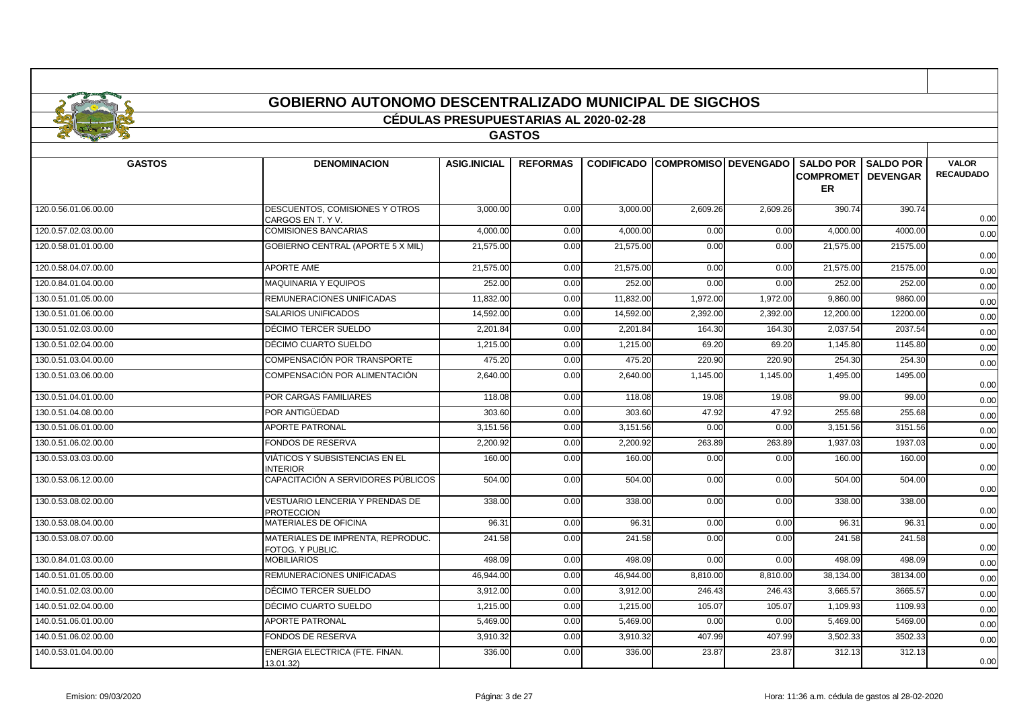| <b>GOBIERNO AUTONOMO DESCENTRALIZADO MUNICIPAL DE SIGCHOS</b> |
|---------------------------------------------------------------|
| <b>CEDULAS PRESUPUESTARIAS AL 2020-02-28</b>                  |
| <b>GASTOS</b>                                                 |

| <b>GASTOS</b>        | <b>DENOMINACION</b>                                   | <b>ASIG.INICIAL</b> | <b>REFORMAS</b> |           | <b>CODIFICADO COMPROMISO DEVENGADO</b> |          | <b>COMPROMETI</b> | <b>SALDO POR SALDO POR</b><br><b>DEVENGAR</b> | <b>VALOR</b><br><b>RECAUDADO</b> |
|----------------------|-------------------------------------------------------|---------------------|-----------------|-----------|----------------------------------------|----------|-------------------|-----------------------------------------------|----------------------------------|
|                      |                                                       |                     |                 |           |                                        |          | ER.               |                                               |                                  |
| 120.0.56.01.06.00.00 | DESCUENTOS, COMISIONES Y OTROS<br>CARGOS EN T. Y V.   | 3,000.00            | 0.00            | 3,000.00  | 2,609.26                               | 2,609.26 | 390.74            | 390.74                                        | 0.00                             |
| 120.0.57.02.03.00.00 | <b>COMISIONES BANCARIAS</b>                           | 4.000.00            | 0.00            | 4,000.00  | 0.00                                   | 0.00     | 4,000.00          | 4000.00                                       | 0.00                             |
| 120.0.58.01.01.00.00 | GOBIERNO CENTRAL (APORTE 5 X MIL)                     | 21,575.00           | 0.00            | 21,575.00 | 0.00                                   | 0.00     | 21,575.00         | 21575.00                                      | 0.00                             |
| 120.0.58.04.07.00.00 | <b>APORTE AME</b>                                     | 21,575.00           | 0.00            | 21,575.00 | 0.00                                   | 0.00     | 21,575.00         | 21575.00                                      | 0.00                             |
| 120.0.84.01.04.00.00 | <b>MAQUINARIA Y EQUIPOS</b>                           | 252.00              | 0.00            | 252.00    | 0.00                                   | 0.00     | 252.00            | 252.00                                        | 0.00                             |
| 130.0.51.01.05.00.00 | REMUNERACIONES UNIFICADAS                             | 11,832.00           | 0.00            | 11,832.00 | 1,972.00                               | 1,972.00 | 9,860.00          | 9860.00                                       | 0.00                             |
| 130.0.51.01.06.00.00 | SALARIOS UNIFICADOS                                   | 14,592.00           | 0.00            | 14,592.00 | 2,392.00                               | 2,392.00 | 12,200.00         | 12200.00                                      | 0.00                             |
| 130.0.51.02.03.00.00 | DÉCIMO TERCER SUELDO                                  | 2,201.84            | 0.00            | 2,201.84  | 164.30                                 | 164.30   | 2,037.54          | 2037.54                                       | 0.00                             |
| 130.0.51.02.04.00.00 | DÉCIMO CUARTO SUELDO                                  | 1,215.00            | 0.00            | 1,215.00  | 69.20                                  | 69.20    | 1,145.80          | 1145.80                                       | 0.00                             |
| 130.0.51.03.04.00.00 | COMPENSACIÓN POR TRANSPORTE                           | 475.20              | 0.00            | 475.20    | 220.90                                 | 220.90   | 254.30            | 254.30                                        | 0.00                             |
| 130.0.51.03.06.00.00 | COMPENSACIÓN POR ALIMENTACIÓN                         | 2,640.00            | 0.00            | 2,640.00  | 1,145.00                               | 1,145.00 | 1,495.00          | 1495.00                                       | 0.00                             |
| 130.0.51.04.01.00.00 | POR CARGAS FAMILIARES                                 | 118.08              | 0.00            | 118.08    | 19.08                                  | 19.08    | 99.00             | 99.00                                         | 0.00                             |
| 130.0.51.04.08.00.00 | POR ANTIGÜEDAD                                        | 303.60              | 0.00            | 303.60    | 47.92                                  | 47.92    | 255.68            | 255.68                                        | 0.00                             |
| 130.0.51.06.01.00.00 | <b>APORTE PATRONAL</b>                                | 3,151.56            | 0.00            | 3,151.56  | 0.00                                   | 0.00     | 3,151.56          | 3151.56                                       | 0.00                             |
| 130.0.51.06.02.00.00 | <b>FONDOS DE RESERVA</b>                              | 2,200.92            | 0.00            | 2.200.92  | 263.89                                 | 263.89   | 1,937.03          | 1937.03                                       | 0.00                             |
| 130.0.53.03.03.00.00 | VIÁTICOS Y SUBSISTENCIAS EN EL<br><b>INTERIOR</b>     | 160.00              | 0.00            | 160.00    | 0.00                                   | 0.00     | 160.00            | 160.00                                        | 0.00                             |
| 130.0.53.06.12.00.00 | CAPACITACIÓN A SERVIDORES PÚBLICOS                    | 504.00              | 0.00            | 504.00    | 0.00                                   | 0.00     | 504.00            | 504.00                                        | 0.00                             |
| 130.0.53.08.02.00.00 | VESTUARIO LENCERIA Y PRENDAS DE<br><b>PROTECCION</b>  | 338.00              | 0.00            | 338.00    | 0.00                                   | 0.00     | 338.00            | 338.00                                        | 0.00                             |
| 130.0.53.08.04.00.00 | MATERIALES DE OFICINA                                 | 96.31               | 0.00            | 96.31     | 0.00                                   | 0.00     | 96.31             | 96.31                                         | 0.00                             |
| 130.0.53.08.07.00.00 | MATERIALES DE IMPRENTA. REPRODUC.<br>FOTOG. Y PUBLIC. | 241.58              | 0.00            | 241.58    | 0.00                                   | 0.00     | 241.58            | 241.58                                        | 0.00                             |
| 130.0.84.01.03.00.00 | <b>MOBILIARIOS</b>                                    | 498.09              | 0.00            | 498.09    | 0.00                                   | 0.00     | 498.09            | 498.09                                        | 0.00                             |
| 140.0.51.01.05.00.00 | REMUNERACIONES UNIFICADAS                             | 46.944.00           | 0.00            | 46.944.00 | 8.810.00                               | 8.810.00 | 38.134.00         | 38134.00                                      | 0.00                             |
| 140.0.51.02.03.00.00 | DÉCIMO TERCER SUELDO                                  | 3,912.00            | 0.00            | 3,912.00  | 246.43                                 | 246.43   | 3,665.57          | 3665.57                                       | 0.00                             |
| 140.0.51.02.04.00.00 | DÉCIMO CUARTO SUELDO                                  | 1,215.00            | 0.00            | 1,215.00  | 105.07                                 | 105.07   | 1,109.93          | 1109.93                                       | 0.00                             |
| 140.0.51.06.01.00.00 | <b>APORTE PATRONAL</b>                                | 5,469.00            | 0.00            | 5,469.00  | 0.00                                   | 0.00     | 5,469.00          | 5469.00                                       | 0.00                             |
| 140.0.51.06.02.00.00 | FONDOS DE RESERVA                                     | 3,910.32            | 0.00            | 3,910.32  | 407.99                                 | 407.99   | 3,502.33          | 3502.33                                       | 0.00                             |
| 140.0.53.01.04.00.00 | ENERGIA ELECTRICA (FTE. FINAN.<br>13.01.32)           | 336.00              | 0.00            | 336.00    | 23.87                                  | 23.87    | 312.13            | 312.13                                        | 0.00                             |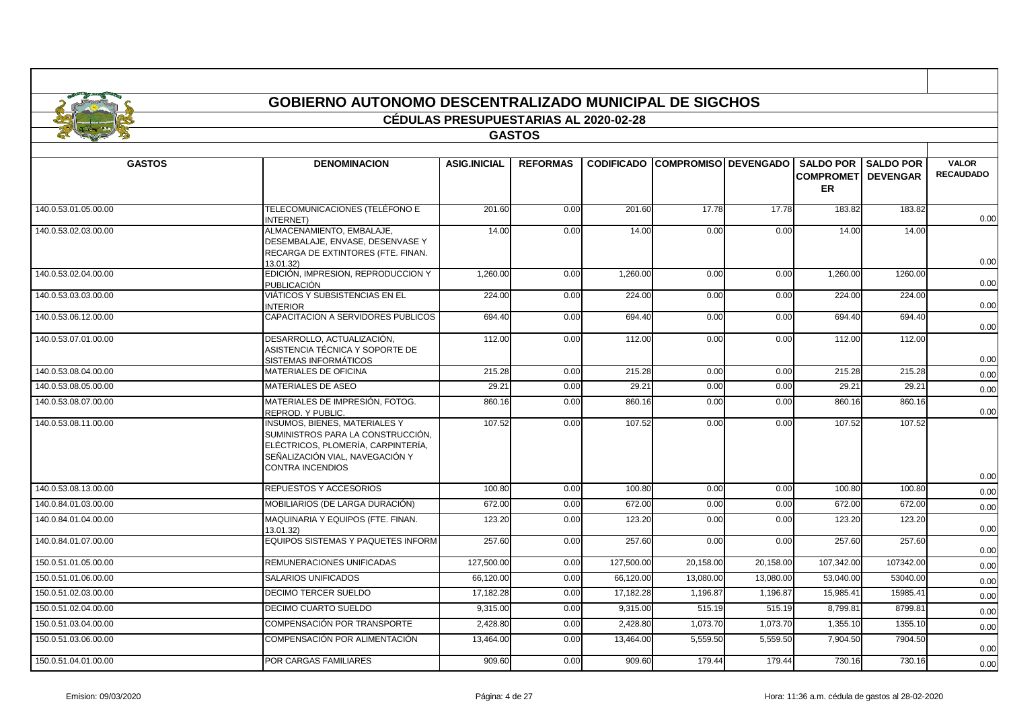|                      | <b>GOBIERNO AUTONOMO DESCENTRALIZADO MUNICIPAL DE SIGCHOS</b>                                                    |                                              |                 |          |                                        |       |                                                                |         |                                  |
|----------------------|------------------------------------------------------------------------------------------------------------------|----------------------------------------------|-----------------|----------|----------------------------------------|-------|----------------------------------------------------------------|---------|----------------------------------|
|                      |                                                                                                                  | <b>CÉDULAS PRESUPUESTARIAS AL 2020-02-28</b> |                 |          |                                        |       |                                                                |         |                                  |
|                      |                                                                                                                  |                                              | <b>GASTOS</b>   |          |                                        |       |                                                                |         |                                  |
|                      |                                                                                                                  |                                              |                 |          |                                        |       |                                                                |         |                                  |
| <b>GASTOS</b>        | <b>DENOMINACION</b>                                                                                              | <b>ASIG.INICIAL</b>                          | <b>REFORMAS</b> |          | <b>CODIFICADO COMPROMISO DEVENGADO</b> |       | SALDO POR SALDO POR<br><b>COMPROMETI DEVENGAR</b><br><b>ER</b> |         | <b>VALOR</b><br><b>RECAUDADO</b> |
| 140.0.53.01.05.00.00 | TELECOMUNICACIONES (TELÉFONO E<br><b>INTERNET</b> )                                                              | 201.60                                       | 0.00            | 201.60   | 17.78                                  | 17.78 | 183.82                                                         | 183.82  | 0.00                             |
| 140.0.53.02.03.00.00 | ALMACENAMIENTO, EMBALAJE,<br>DESEMBALAJE, ENVASE, DESENVASE Y<br>RECARGA DE EXTINTORES (FTE. FINAN.<br>13.01.32) | 14.00                                        | 0.00            | 14.00    | 0.00                                   | 0.00  | 14.00                                                          | 14.00   | 0.00                             |
| 140.0.53.02.04.00.00 | EDICIÓN, IMPRESION, REPRODUCCION Y<br><b>PUBLICACIÓN</b>                                                         | 1,260.00                                     | 0.00            | 1,260.00 | 0.00                                   | 0.00  | 1,260.00                                                       | 1260.00 | 0.00                             |
| 140.0.53.03.03.00.00 | VIÁTICOS Y SUBSISTENCIAS EN EL<br><b>INTERIOR</b>                                                                | 224.00                                       | 0.00            | 224.00   | 0.00                                   | 0.00  | 224.00                                                         | 224.00  | 0.00                             |
| 140.0.53.06.12.00.00 | CAPACITACION A SERVIDORES PUBLICOS                                                                               | 694.40                                       | 0.00            | 694.40   | 0.00                                   | 0.00  | 694.40                                                         | 694.40  | 0.00                             |
| 140.0.53.07.01.00.00 | DESARROLLO, ACTUALIZACIÓN,<br>ASISTENCIA TÉCNICA Y SOPORTE DE<br>SISTEMAS INFORMÁTICOS                           | 112.00                                       | 0.00            | 112.00   | 0.00                                   | 0.00  | 112.00                                                         | 112.00  | 0.00                             |
| 140.0.53.08.04.00.00 | <b>MATERIALES DE OFICINA</b>                                                                                     | 215.28                                       | 0.00            | 215.28   | 0.00                                   | 0.00  | 215.28                                                         | 215.28  | 0.00                             |
| 140.0.53.08.05.00.00 | <b>MATERIALES DE ASEO</b>                                                                                        | 29.21                                        | 0.00            | 29.21    | 0.00                                   | 0.00  | 29.21                                                          | 29.21   | 0.00                             |
|                      | . <b>. . .</b>                                                                                                   |                                              |                 |          |                                        |       |                                                                |         |                                  |

| 140.0.53.08.04.00.00 | IMATERIALES DE OFICINA                                                                                                                                          | 215.28     | 0.00 | 215.28     | 0.00      | 0.00      | 215.28     | 215.28    | 0.00 |
|----------------------|-----------------------------------------------------------------------------------------------------------------------------------------------------------------|------------|------|------------|-----------|-----------|------------|-----------|------|
| 140.0.53.08.05.00.00 | MATERIALES DE ASEO                                                                                                                                              | 29.21      | 0.00 | 29.21      | 0.00      | 0.00      | 29.21      | 29.21     | 0.00 |
| 140.0.53.08.07.00.00 | MATERIALES DE IMPRESIÓN, FOTOG.<br>REPROD, Y PUBLIC.                                                                                                            | 860.16     | 0.00 | 860.16     | 0.00      | 0.00      | 860.16     | 860.16    | 0.00 |
| 140.0.53.08.11.00.00 | INSUMOS, BIENES, MATERIALES Y<br>SUMINISTROS PARA LA CONSTRUCCIÓN,<br>ELÉCTRICOS, PLOMERÍA, CARPINTERÍA,<br>SEÑALIZACIÓN VIAL, NAVEGACIÓN Y<br>CONTRA INCENDIOS | 107.52     | 0.00 | 107.52     | 0.00      | 0.00      | 107.52     | 107.52    | 0.00 |
| 140.0.53.08.13.00.00 | REPUESTOS Y ACCESORIOS                                                                                                                                          | 100.80     | 0.00 | 100.80     | 0.00      | 0.00      | 100.80     | 100.80    | 0.00 |
| 140.0.84.01.03.00.00 | MOBILIARIOS (DE LARGA DURACIÓN)                                                                                                                                 | 672.00     | 0.00 | 672.00     | 0.00      | 0.00      | 672.00     | 672.00    | 0.00 |
| 140.0.84.01.04.00.00 | MAQUINARIA Y EQUIPOS (FTE. FINAN.<br>13.01.32)                                                                                                                  | 123.20     | 0.00 | 123.20     | 0.00      | 0.00      | 123.20     | 123.20    | 0.00 |
| 140.0.84.01.07.00.00 | EQUIPOS SISTEMAS Y PAQUETES INFORM                                                                                                                              | 257.60     | 0.00 | 257.60     | 0.00      | 0.00      | 257.60     | 257.60    | 0.00 |
| 150.0.51.01.05.00.00 | REMUNERACIONES UNIFICADAS                                                                                                                                       | 127,500.00 | 0.00 | 127,500.00 | 20,158.00 | 20,158.00 | 107,342.00 | 107342.00 | 0.00 |
| 150.0.51.01.06.00.00 | SALARIOS UNIFICADOS                                                                                                                                             | 66,120.00  | 0.00 | 66,120.00  | 13,080.00 | 13,080.00 | 53,040.00  | 53040.00  | 0.00 |
| 150.0.51.02.03.00.00 | DECIMO TERCER SUELDO                                                                                                                                            | 17,182.28  | 0.00 | 17,182.28  | 1,196.87  | 1,196.87  | 15,985.41  | 15985.41  | 0.00 |
| 150.0.51.02.04.00.00 | DECIMO CUARTO SUELDO                                                                                                                                            | 9,315.00   | 0.00 | 9,315.00   | 515.19    | 515.19    | 8,799.81   | 8799.81   | 0.00 |
| 150.0.51.03.04.00.00 | COMPENSACIÓN POR TRANSPORTE                                                                                                                                     | 2,428.80   | 0.00 | 2,428.80   | 1,073.70  | 1,073.70  | 1,355.10   | 1355.10   | 0.00 |
| 150.0.51.03.06.00.00 | COMPENSACIÓN POR ALIMENTACIÓN                                                                                                                                   | 13,464.00  | 0.00 | 13,464.00  | 5,559.50  | 5,559.50  | 7,904.50   | 7904.50   | 0.00 |
| 150.0.51.04.01.00.00 | POR CARGAS FAMILIARES                                                                                                                                           | 909.60     | 0.00 | 909.60     | 179.44    | 179.44    | 730.16     | 730.16    | 0.00 |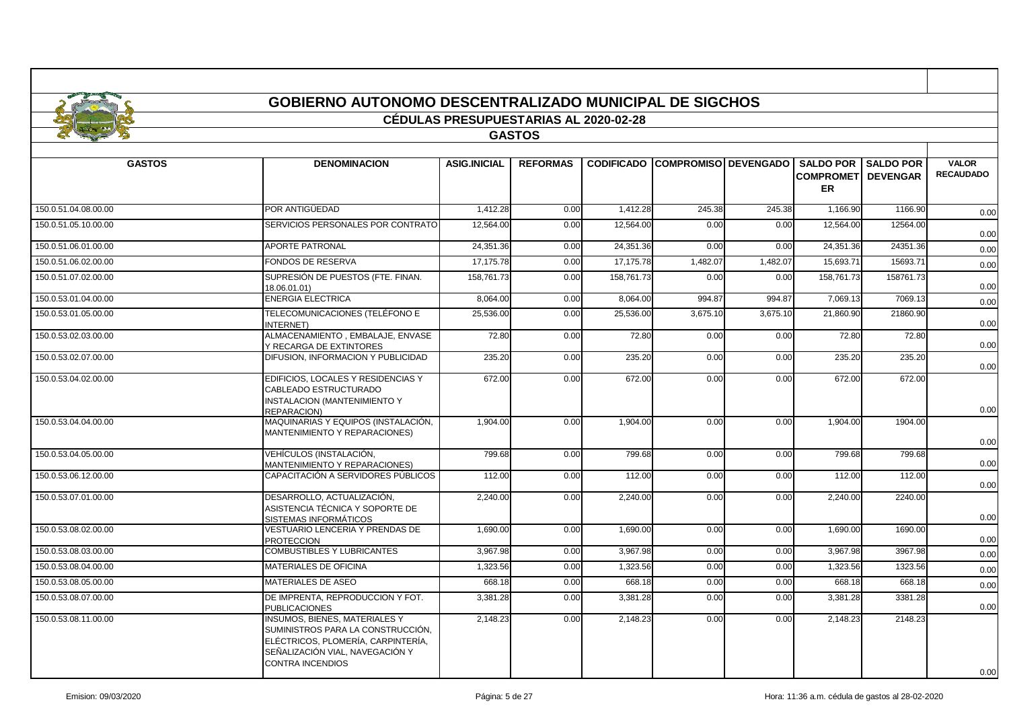|                      | <b>GOBIERNO AUTONOMO DESCENTRALIZADO MUNICIPAL DE SIGCHOS</b>                                                                                      |                                              |                 |                   |          |                             |                               |                                                |                                  |
|----------------------|----------------------------------------------------------------------------------------------------------------------------------------------------|----------------------------------------------|-----------------|-------------------|----------|-----------------------------|-------------------------------|------------------------------------------------|----------------------------------|
|                      |                                                                                                                                                    | <b>CÉDULAS PRESUPUESTARIAS AL 2020-02-28</b> | <b>GASTOS</b>   |                   |          |                             |                               |                                                |                                  |
|                      |                                                                                                                                                    |                                              |                 |                   |          |                             |                               |                                                |                                  |
| <b>GASTOS</b>        | <b>DENOMINACION</b>                                                                                                                                | <b>ASIG.INICIAL</b>                          | <b>REFORMAS</b> | <b>CODIFICADO</b> |          | <b>COMPROMISO DEVENGADO</b> | <b>SALDO POR</b><br><b>ER</b> | <b>SALDO POR</b><br><b>COMPROMETI DEVENGAR</b> | <b>VALOR</b><br><b>RECAUDADO</b> |
| 150.0.51.04.08.00.00 | POR ANTIGÜEDAD                                                                                                                                     | 1.412.28                                     | 0.00            | 1.412.28          | 245.38   | 245.38                      | 1,166.90                      | 1166.90                                        | 0.00                             |
| 150.0.51.05.10.00.00 | SERVICIOS PERSONALES POR CONTRATO                                                                                                                  | 12,564.00                                    | 0.00            | 12,564.00         | 0.00     | 0.00                        | 12,564.00                     | 12564.00                                       | 0.00                             |
| 150.0.51.06.01.00.00 | <b>APORTE PATRONAL</b>                                                                                                                             | 24,351.36                                    | 0.00            | 24,351.36         | 0.00     | 0.00                        | 24,351.36                     | 24351.36                                       | 0.00                             |
| 150.0.51.06.02.00.00 | <b>FONDOS DE RESERVA</b>                                                                                                                           | 17,175.78                                    | 0.00            | 17,175.78         | 1,482.07 | 1,482.07                    | 15,693.71                     | 15693.71                                       | 0.00                             |
| 150.0.51.07.02.00.00 | SUPRESIÓN DE PUESTOS (FTE. FINAN.<br>18.06.01.01)                                                                                                  | 158,761.73                                   | 0.00            | 158,761.73        | 0.00     | 0.00                        | 158,761.73                    | 158761.73                                      | 0.00                             |
| 150.0.53.01.04.00.00 | <b>ENERGIA ELECTRICA</b>                                                                                                                           | 8,064.00                                     | 0.00            | 8,064.00          | 994.87   | 994.87                      | 7,069.13                      | 7069.13                                        | 0.00                             |
| 150.0.53.01.05.00.00 | TELECOMUNICACIONES (TELÉFONO E<br><b>INTERNET</b> )                                                                                                | 25,536.00                                    | 0.00            | 25,536.00         | 3,675.10 | 3,675.10                    | 21,860.90                     | 21860.90                                       | 0.00                             |
| 150.0.53.02.03.00.00 | ALMACENAMIENTO, EMBALAJE, ENVASE<br>Y RECARGA DE EXTINTORES                                                                                        | 72.80                                        | 0.00            | 72.80             | 0.00     | 0.00                        | 72.80                         | 72.80                                          | 0.00                             |
| 150.0.53.02.07.00.00 | DIFUSION. INFORMACION Y PUBLICIDAD                                                                                                                 | 235.20                                       | 0.00            | 235.20            | 0.00     | 0.00                        | 235.20                        | 235.20                                         | 0.00                             |
| 150.0.53.04.02.00.00 | EDIFICIOS, LOCALES Y RESIDENCIAS Y<br>CABLEADO ESTRUCTURADO<br>INSTALACION (MANTENIMIENTO Y<br>REPARACION)                                         | 672.00                                       | 0.00            | 672.00            | 0.00     | 0.00                        | 672.00                        | 672.00                                         | 0.00                             |
| 150.0.53.04.04.00.00 | MAQUINARIAS Y EQUIPOS (INSTALACIÓN,<br>MANTENIMIENTO Y REPARACIONES)                                                                               | 1,904.00                                     | 0.00            | 1,904.00          | 0.00     | 0.00                        | 1,904.00                      | 1904.00                                        | 0.00                             |
| 150.0.53.04.05.00.00 | VEHÍCULOS (INSTALACIÓN,<br>MANTENIMIENTO Y REPARACIONES)                                                                                           | 799.68                                       | 0.00            | 799.68            | 0.00     | 0.00                        | 799.68                        | 799.68                                         | 0.00                             |
| 150.0.53.06.12.00.00 | CAPACITACIÓN A SERVIDORES PÚBLICOS                                                                                                                 | 112.00                                       | 0.00            | 112.00            | 0.00     | 0.00                        | 112.00                        | 112.00                                         | 0.00                             |
| 150.0.53.07.01.00.00 | DESARROLLO, ACTUALIZACIÓN.<br>ASISTENCIA TÉCNICA Y SOPORTE DE<br>SISTEMAS INFORMÁTICOS                                                             | 2,240.00                                     | 0.00            | 2,240.00          | 0.00     | 0.00                        | 2,240.00                      | 2240.00                                        | 0.00                             |
| 150.0.53.08.02.00.00 | VESTUARIO LENCERIA Y PRENDAS DE<br><b>PROTECCION</b>                                                                                               | 1,690.00                                     | 0.00            | 1,690.00          | 0.00     | 0.00                        | 1,690.00                      | 1690.00                                        | 0.00                             |
| 150.0.53.08.03.00.00 | <b>COMBUSTIBLES Y LUBRICANTES</b>                                                                                                                  | 3,967.98                                     | 0.00            | 3,967.98          | 0.00     | 0.00                        | 3,967.98                      | 3967.98                                        | 0.00                             |
| 150.0.53.08.04.00.00 | MATERIALES DE OFICINA                                                                                                                              | 1,323.56                                     | 0.00            | 1,323.56          | 0.00     | 0.00                        | 1,323.56                      | 1323.56                                        | 0.00                             |
| 150.0.53.08.05.00.00 | MATERIALES DE ASEO                                                                                                                                 | 668.18                                       | 0.00            | 668.18            | 0.00     | 0.00                        | 668.18                        | 668.18                                         | 0.00                             |
| 150.0.53.08.07.00.00 | DE IMPRENTA, REPRODUCCION Y FOT.<br><b>PUBLICACIONES</b>                                                                                           | 3,381.28                                     | 0.00            | 3,381.28          | 0.00     | 0.00                        | 3,381.28                      | 3381.28                                        | 0.00                             |
| 150.0.53.08.11.00.00 | <b>INSUMOS, BIENES, MATERIALES Y</b><br>SUMINISTROS PARA LA CONSTRUCCIÓN,<br>ELÉCTRICOS, PLOMERÍA, CARPINTERÍA,<br>SEÑALIZACIÓN VIAL. NAVEGACIÓN Y | 2,148.23                                     | 0.00            | 2,148.23          | 0.00     | 0.00                        | 2,148.23                      | 2148.23                                        |                                  |

CONTRA INCENDIOS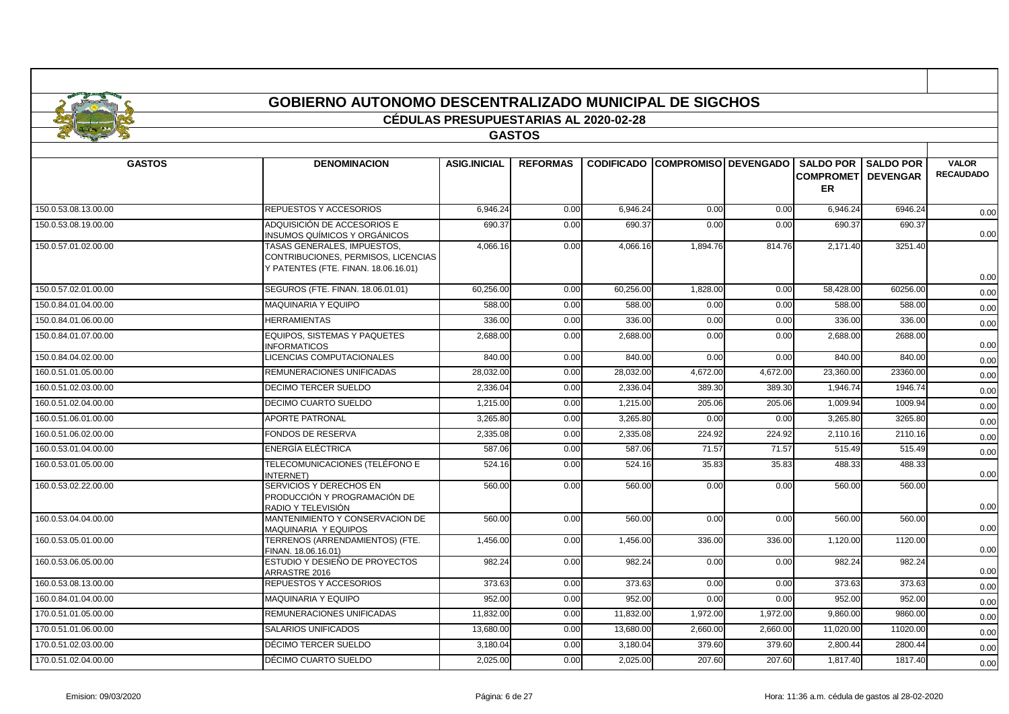# **GOBIERNO AUTONOMO DESCENTRALIZADO MUNICIPAL DE SIGCHOS**

## **CÉDULAS PRESUPUESTARIAS AL 2020-02-28**

## **GASTOS**

| <b>GASTOS</b>        | <b>DENOMINACION</b>                                                                                        | <b>ASIG.INICIAL</b> | <b>REFORMAS</b> |           | <b>CODIFICADO COMPROMISO DEVENGADO</b> |          | <b>COMPROMETI DEVENGAR</b><br><b>ER</b> | <b>SALDO POR I SALDO POR</b> | <b>VALOR</b><br><b>RECAUDADO</b> |
|----------------------|------------------------------------------------------------------------------------------------------------|---------------------|-----------------|-----------|----------------------------------------|----------|-----------------------------------------|------------------------------|----------------------------------|
| 150.0.53.08.13.00.00 | REPUESTOS Y ACCESORIOS                                                                                     | 6,946.24            | 0.00            | 6,946.24  | 0.00                                   | 0.00     | 6,946.24                                | 6946.24                      | 0.00                             |
| 150.0.53.08.19.00.00 | ADQUISICIÓN DE ACCESORIOS E<br>INSUMOS QUÍMICOS Y ORGÁNICOS                                                | 690.37              | 0.00            | 690.37    | 0.00                                   | 0.00     | 690.37                                  | 690.37                       | 0.00                             |
| 150.0.57.01.02.00.00 | TASAS GENERALES, IMPUESTOS,<br>CONTRIBUCIONES, PERMISOS, LICENCIAS<br>Y PATENTES (FTE. FINAN. 18.06.16.01) | 4,066.16            | 0.00            | 4,066.16  | 1,894.76                               | 814.76   | 2,171.40                                | 3251.40                      | 0.00                             |
| 150.0.57.02.01.00.00 | SEGUROS (FTE. FINAN. 18.06.01.01)                                                                          | 60.256.00           | 0.00            | 60,256.00 | 1,828.00                               | 0.00     | 58,428.00                               | 60256.00                     | 0.00                             |
| 150.0.84.01.04.00.00 | MAQUINARIA Y EQUIPO                                                                                        | 588.00              | 0.00            | 588.00    | 0.00                                   | 0.00     | 588.00                                  | 588.00                       | 0.00                             |
| 150.0.84.01.06.00.00 | <b>HERRAMIENTAS</b>                                                                                        | 336.00              | 0.00            | 336.00    | 0.00                                   | 0.00     | 336.00                                  | 336.00                       | 0.00                             |
| 150.0.84.01.07.00.00 | <b>EQUIPOS, SISTEMAS Y PAQUETES</b><br><b>INFORMATICOS</b>                                                 | 2,688.00            | 0.00            | 2,688.00  | 0.00                                   | 0.00     | 2,688.00                                | 2688.00                      | 0.00                             |
| 150.0.84.04.02.00.00 | LICENCIAS COMPUTACIONALES                                                                                  | 840.00              | 0.00            | 840.00    | 0.00                                   | 0.00     | 840.00                                  | 840.00                       | 0.00                             |
| 160.0.51.01.05.00.00 | REMUNERACIONES UNIFICADAS                                                                                  | 28.032.00           | 0.00            | 28.032.00 | 4,672.00                               | 4,672.00 | 23.360.00                               | 23360.00                     | 0.00                             |
| 160.0.51.02.03.00.00 | DECIMO TERCER SUELDO                                                                                       | 2.336.04            | 0.00            | 2,336.04  | 389.30                                 | 389.30   | 1,946.74                                | 1946.74                      | 0.00                             |
| 160.0.51.02.04.00.00 | DECIMO CUARTO SUELDO                                                                                       | 1.215.00            | 0.00            | 1,215.00  | 205.06                                 | 205.06   | 1,009.94                                | 1009.94                      | 0.00                             |
| 160.0.51.06.01.00.00 | <b>APORTE PATRONAL</b>                                                                                     | 3,265.80            | 0.00            | 3,265.80  | 0.00                                   | 0.00     | 3,265.80                                | 3265.80                      | 0.00                             |
| 160.0.51.06.02.00.00 | FONDOS DE RESERVA                                                                                          | 2,335.08            | 0.00            | 2,335.08  | 224.92                                 | 224.92   | 2,110.16                                | 2110.16                      | 0.00                             |
| 160.0.53.01.04.00.00 | ENERGÍA ELÉCTRICA                                                                                          | 587.06              | 0.00            | 587.06    | 71.57                                  | 71.57    | 515.49                                  | 515.49                       | 0.00                             |
| 160.0.53.01.05.00.00 | TELECOMUNICACIONES (TELÉFONO E<br><b>INTERNET)</b>                                                         | 524.16              | 0.00            | 524.16    | 35.83                                  | 35.83    | 488.33                                  | 488.33                       | 0.00                             |
| 160.0.53.02.22.00.00 | SERVICIOS Y DERECHOS EN<br>PRODUCCIÓN Y PROGRAMACIÓN DE<br>RADIO Y TELEVISIÓN                              | 560.00              | 0.00            | 560.00    | 0.00                                   | 0.00     | 560.00                                  | 560.00                       | 0.00                             |
| 160.0.53.04.04.00.00 | MANTENIMIENTO Y CONSERVACION DE<br>MAQUINARIA Y EQUIPOS                                                    | 560.00              | 0.00            | 560.00    | 0.00                                   | 0.00     | 560.00                                  | 560.00                       | 0.00                             |
| 160.0.53.05.01.00.00 | TERRENOS (ARRENDAMIENTOS) (FTE.<br>FINAN. 18.06.16.01)                                                     | 1,456.00            | 0.00            | 1,456.00  | 336.00                                 | 336.00   | 1,120.00                                | 1120.00                      | 0.00                             |
| 160.0.53.06.05.00.00 | ESTUDIO Y DESIEÑO DE PROYECTOS<br>ARRASTRE 2016                                                            | 982.24              | 0.00            | 982.24    | 0.00                                   | 0.00     | 982.24                                  | 982.24                       | 0.00                             |
| 160.0.53.08.13.00.00 | REPUESTOS Y ACCESORIOS                                                                                     | 373.63              | 0.00            | 373.63    | 0.00                                   | 0.00     | 373.63                                  | 373.63                       | 0.00                             |
| 160.0.84.01.04.00.00 | MAQUINARIA Y EQUIPO                                                                                        | 952.00              | 0.00            | 952.00    | 0.00                                   | 0.00     | 952.00                                  | 952.00                       | 0.00                             |
| 170.0.51.01.05.00.00 | REMUNERACIONES UNIFICADAS                                                                                  | 11,832.00           | 0.00            | 11,832.00 | 1,972.00                               | 1,972.00 | 9,860.00                                | 9860.00                      | 0.00                             |
| 170.0.51.01.06.00.00 | <b>SALARIOS UNIFICADOS</b>                                                                                 | 13,680.00           | 0.00            | 13,680.00 | 2,660.00                               | 2,660.00 | 11,020.00                               | 11020.00                     | 0.00                             |
| 170.0.51.02.03.00.00 | DÉCIMO TERCER SUELDO                                                                                       | 3,180.04            | 0.00            | 3,180.04  | 379.60                                 | 379.60   | 2,800.44                                | 2800.44                      | 0.00                             |
| 170.0.51.02.04.00.00 | DÉCIMO CUARTO SUELDO                                                                                       | 2,025.00            | 0.00            | 2,025.00  | 207.60                                 | 207.60   | 1,817.40                                | 1817.40                      | 0.00                             |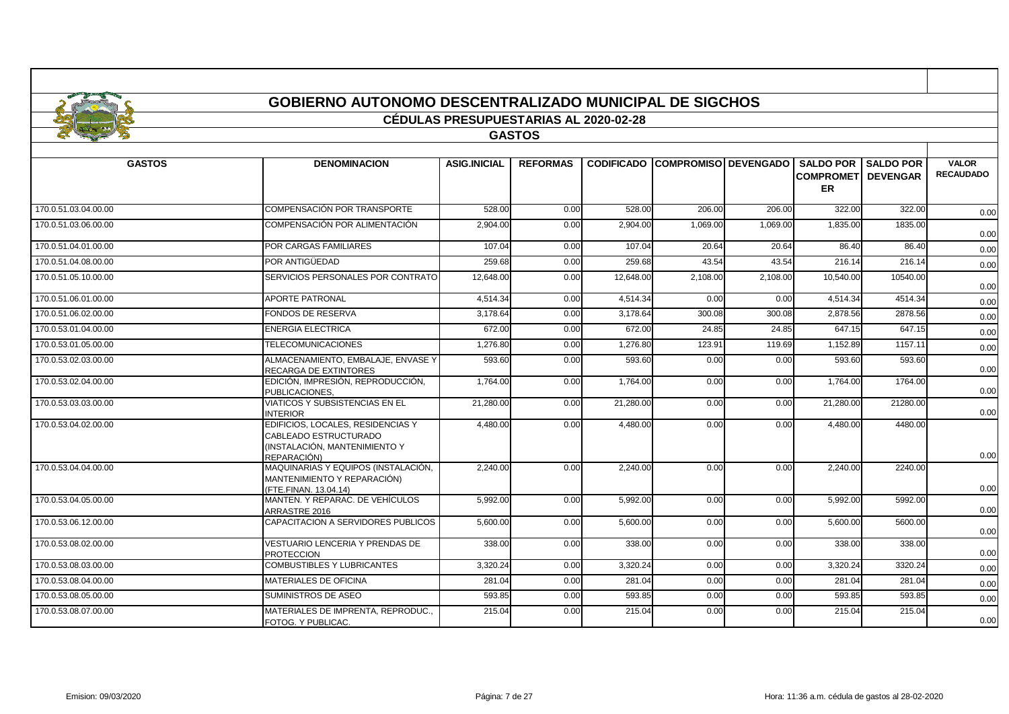|                      | <b>GOBIERNO AUTONOMO DESCENTRALIZADO MUNICIPAL DE SIGCHOS</b>                                             |                                              |                 |           |                                        |          |                                                   |                                     |                                  |
|----------------------|-----------------------------------------------------------------------------------------------------------|----------------------------------------------|-----------------|-----------|----------------------------------------|----------|---------------------------------------------------|-------------------------------------|----------------------------------|
|                      |                                                                                                           | <b>CÉDULAS PRESUPUESTARIAS AL 2020-02-28</b> |                 |           |                                        |          |                                                   |                                     |                                  |
|                      |                                                                                                           |                                              | <b>GASTOS</b>   |           |                                        |          |                                                   |                                     |                                  |
|                      |                                                                                                           |                                              |                 |           |                                        |          |                                                   |                                     |                                  |
| <b>GASTOS</b>        | <b>DENOMINACION</b>                                                                                       | <b>ASIG.INICIAL</b>                          | <b>REFORMAS</b> |           | <b>CODIFICADO COMPROMISO DEVENGADO</b> |          | <b>SALDO POR</b><br><b>COMPROMET</b><br><b>ER</b> | <b>SALDO POR</b><br><b>DEVENGAR</b> | <b>VALOR</b><br><b>RECAUDADO</b> |
| 170.0.51.03.04.00.00 | COMPENSACIÓN POR TRANSPORTE                                                                               | 528.00                                       | 0.00            | 528.00    | 206.00                                 | 206.00   | 322.00                                            | 322.00                              | 0.00                             |
| 170.0.51.03.06.00.00 | COMPENSACIÓN POR ALIMENTACIÓN                                                                             | 2,904.00                                     | 0.00            | 2,904.00  | 1,069.00                               | 1,069.00 | 1,835.00                                          | 1835.00                             | 0.00                             |
| 170.0.51.04.01.00.00 | POR CARGAS FAMILIARES                                                                                     | 107.04                                       | 0.00            | 107.04    | 20.64                                  | 20.64    | 86.40                                             | 86.40                               | 0.00                             |
| 170.0.51.04.08.00.00 | POR ANTIGÜEDAD                                                                                            | 259.68                                       | 0.00            | 259.68    | 43.54                                  | 43.54    | 216.14                                            | 216.14                              | 0.00                             |
| 170.0.51.05.10.00.00 | SERVICIOS PERSONALES POR CONTRATO                                                                         | 12,648.00                                    | 0.00            | 12,648.00 | 2,108.00                               | 2,108.00 | 10,540.00                                         | 10540.00                            | 0.00                             |
| 170.0.51.06.01.00.00 | <b>APORTE PATRONAL</b>                                                                                    | 4.514.34                                     | 0.00            | 4,514.34  | 0.00                                   | 0.00     | 4,514.34                                          | 4514.34                             | 0.00                             |
| 170.0.51.06.02.00.00 | <b>FONDOS DE RESERVA</b>                                                                                  | 3,178.64                                     | 0.00            | 3,178.64  | 300.08                                 | 300.08   | 2,878.56                                          | 2878.56                             | 0.00                             |
| 170.0.53.01.04.00.00 | <b>ENERGIA ELECTRICA</b>                                                                                  | 672.00                                       | 0.00            | 672.00    | 24.85                                  | 24.85    | 647.15                                            | 647.15                              | 0.00                             |
| 170.0.53.01.05.00.00 | <b>TELECOMUNICACIONES</b>                                                                                 | 1.276.80                                     | 0.00            | 1,276.80  | 123.91                                 | 119.69   | 1.152.89                                          | 1157.11                             | 0.00                             |
| 170.0.53.02.03.00.00 | ALMACENAMIENTO, EMBALAJE, ENVASE Y<br>RECARGA DE EXTINTORES                                               | 593.60                                       | 0.00            | 593.60    | 0.00                                   | 0.00     | 593.60                                            | 593.60                              | 0.00                             |
| 170.0.53.02.04.00.00 | EDICIÓN, IMPRESIÓN, REPRODUCCIÓN,<br>PUBLICACIONES,                                                       | 1,764.00                                     | 0.00            | 1,764.00  | 0.00                                   | 0.00     | 1,764.00                                          | 1764.00                             | 0.00                             |
| 170.0.53.03.03.00.00 | <b>VIATICOS Y SUBSISTENCIAS EN EL</b><br><b>INTERIOR</b>                                                  | 21,280.00                                    | 0.00            | 21,280.00 | 0.00                                   | 0.00     | 21,280.00                                         | 21280.00                            | 0.00                             |
| 170.0.53.04.02.00.00 | EDIFICIOS, LOCALES, RESIDENCIAS Y<br>CABLEADO ESTRUCTURADO<br>INSTALACIÓN. MANTENIMIENTO Y<br>REPARACIÓN) | 4,480.00                                     | 0.00            | 4,480.00  | 0.00                                   | 0.00     | 4,480.00                                          | 4480.00                             | 0.00                             |
| 170.0.53.04.04.00.00 | MAQUINARIAS Y EQUIPOS (INSTALACIÓN,<br>MANTENIMIENTO Y REPARACIÓN)<br>FTE.FINAN. 13.04.14)                | 2.240.00                                     | 0.00            | 2,240.00  | 0.00                                   | 0.00     | 2.240.00                                          | 2240.00                             | 0.00                             |
| 170.0.53.04.05.00.00 | MANTEN. Y REPARAC. DE VEHÍCULOS<br>ARRASTRE 2016                                                          | 5,992.00                                     | 0.00            | 5,992.00  | 0.00                                   | 0.00     | 5,992.00                                          | 5992.00                             | 0.00                             |
| 170.0.53.06.12.00.00 | CAPACITACION A SERVIDORES PUBLICOS                                                                        | 5,600.00                                     | 0.00            | 5,600.00  | 0.00                                   | 0.00     | 5,600.00                                          | 5600.00                             | 0.00                             |
| 170.0.53.08.02.00.00 | VESTUARIO LENCERIA Y PRENDAS DE<br><b>PROTECCION</b>                                                      | 338.00                                       | 0.00            | 338.00    | 0.00                                   | 0.00     | 338.00                                            | 338.00                              | 0.00                             |
| 170.0.53.08.03.00.00 | <b>COMBUSTIBLES Y LUBRICANTES</b>                                                                         | 3,320.24                                     | 0.00            | 3,320.24  | 0.00                                   | 0.00     | 3,320.24                                          | 3320.24                             | 0.00                             |
| 170.0.53.08.04.00.00 | MATERIALES DE OFICINA                                                                                     | 281.04                                       | 0.00            | 281.04    | 0.00                                   | 0.00     | 281.04                                            | 281.04                              | 0.00                             |
| 170.0.53.08.05.00.00 | SUMINISTROS DE ASEO                                                                                       | 593.85                                       | 0.00            | 593.85    | 0.00                                   | 0.00     | 593.85                                            | 593.85                              | 0.00                             |
| 170.0.53.08.07.00.00 | MATERIALES DE IMPRENTA, REPRODUC<br>FOTOG. Y PUBLICAC.                                                    | 215.04                                       | 0.00            | 215.04    | 0.00                                   | 0.00     | 215.04                                            | 215.04                              | 0.00                             |

Г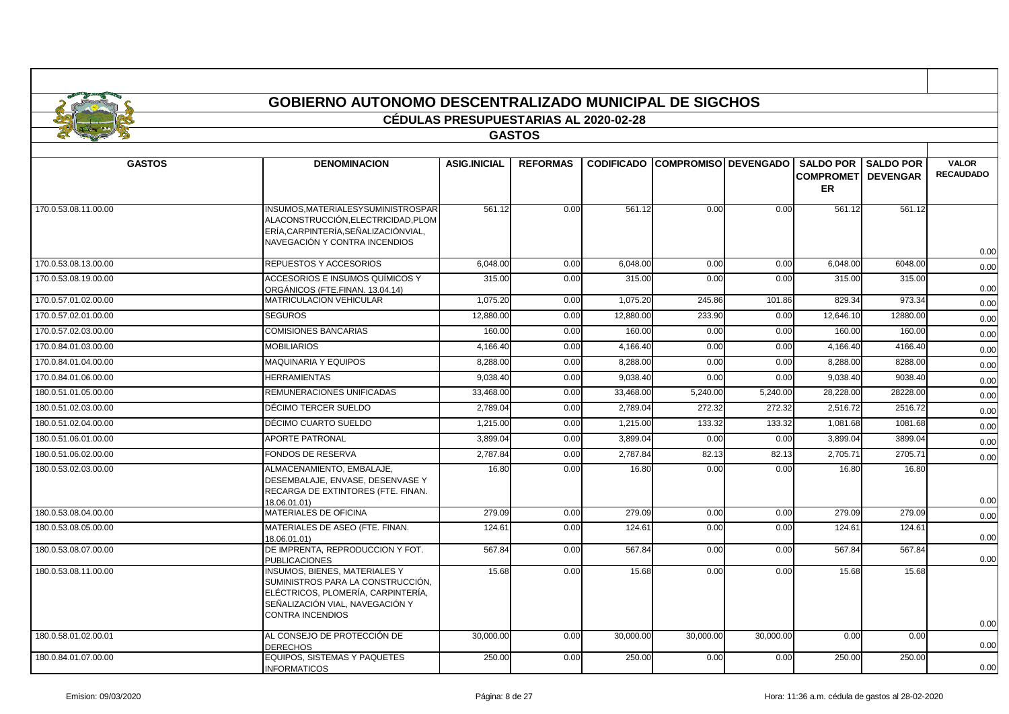|                      | <b>GOBIERNO AUTONOMO DESCENTRALIZADO MUNICIPAL DE SIGCHOS</b>                                                                                                          | <b>CÉDULAS PRESUPUESTARIAS AL 2020-02-28</b> |                 |                   |                        |           |                                                   |                                     |                                  |
|----------------------|------------------------------------------------------------------------------------------------------------------------------------------------------------------------|----------------------------------------------|-----------------|-------------------|------------------------|-----------|---------------------------------------------------|-------------------------------------|----------------------------------|
|                      |                                                                                                                                                                        |                                              | <b>GASTOS</b>   |                   |                        |           |                                                   |                                     |                                  |
| <b>GASTOS</b>        | <b>DENOMINACION</b>                                                                                                                                                    | <b>ASIG.INICIAL</b>                          | <b>REFORMAS</b> | <b>CODIFICADO</b> | COMPROMISO   DEVENGADO |           | <b>SALDO POR</b><br><b>COMPROMET</b><br><b>ER</b> | <b>SALDO POR</b><br><b>DEVENGAR</b> | <b>VALOR</b><br><b>RECAUDADO</b> |
| 170.0.53.08.11.00.00 | INSUMOS, MATERIALESYSUMINISTROSPAR<br>ALACONSTRUCCIÓN, ELECTRICIDAD, PLOM<br>ERÍA, CARPINTERÍA, SEÑALIZACIÓNVIAL,<br>NAVEGACIÓN Y CONTRA INCENDIOS                     | 561.12                                       | 0.00            | 561.12            | 0.00                   | 0.00      | 561.12                                            | 561.12                              | 0.00                             |
| 170.0.53.08.13.00.00 | REPUESTOS Y ACCESORIOS                                                                                                                                                 | 6,048.00                                     | 0.00            | 6.048.00          | 0.00                   | 0.00      | 6.048.00                                          | 6048.00                             | 0.00                             |
| 170.0.53.08.19.00.00 | ACCESORIOS E INSUMOS QUÍMICOS Y<br>ORGÁNICOS (FTE.FINAN. 13.04.14)                                                                                                     | 315.00                                       | 0.00            | 315.00            | 0.00                   | 0.00      | 315.00                                            | 315.00                              | 0.00                             |
| 170.0.57.01.02.00.00 | <b>MATRICULACION VEHICULAR</b>                                                                                                                                         | 1,075.20                                     | 0.00            | 1,075.20          | 245.86                 | 101.86    | 829.34                                            | 973.34                              | 0.00                             |
| 170.0.57.02.01.00.00 | <b>SEGUROS</b>                                                                                                                                                         | 12.880.00                                    | 0.00            | 12,880.00         | 233.90                 | 0.00      | 12.646.10                                         | 12880.00                            | 0.00                             |
| 170.0.57.02.03.00.00 | <b>COMISIONES BANCARIAS</b>                                                                                                                                            | 160.00                                       | 0.00            | 160.00            | 0.00                   | 0.00      | 160.00                                            | 160.00                              | 0.00                             |
| 170.0.84.01.03.00.00 | <b>MOBILIARIOS</b>                                                                                                                                                     | 4,166.40                                     | 0.00            | 4,166.40          | 0.00                   | 0.00      | 4,166.40                                          | 4166.40                             | 0.00                             |
| 170.0.84.01.04.00.00 | <b>MAQUINARIA Y EQUIPOS</b>                                                                                                                                            | 8,288.00                                     | 0.00            | 8,288.00          | 0.00                   | 0.00      | 8,288.00                                          | 8288.00                             | 0.00                             |
| 170.0.84.01.06.00.00 | <b>HERRAMIENTAS</b>                                                                                                                                                    | 9.038.40                                     | 0.00            | 9,038.40          | 0.00                   | 0.00      | 9,038.40                                          | 9038.40                             | 0.00                             |
| 180.0.51.01.05.00.00 | REMUNERACIONES UNIFICADAS                                                                                                                                              | 33,468.00                                    | 0.00            | 33,468.00         | 5,240.00               | 5,240.00  | 28,228.00                                         | 28228.00                            | 0.00                             |
| 180.0.51.02.03.00.00 | DÉCIMO TERCER SUELDO                                                                                                                                                   | 2.789.04                                     | 0.00            | 2.789.04          | 272.32                 | 272.32    | 2.516.72                                          | 2516.72                             | 0.00                             |
| 180.0.51.02.04.00.00 | DÉCIMO CUARTO SUELDO                                                                                                                                                   | 1,215.00                                     | 0.00            | 1,215.00          | 133.32                 | 133.32    | 1,081.68                                          | 1081.68                             | 0.00                             |
| 180.0.51.06.01.00.00 | <b>APORTE PATRONAL</b>                                                                                                                                                 | 3.899.04                                     | 0.00            | 3.899.04          | 0.00                   | 0.00      | 3.899.04                                          | 3899.04                             | 0.00                             |
| 180.0.51.06.02.00.00 | <b>FONDOS DE RESERVA</b>                                                                                                                                               | 2,787.84                                     | 0.00            | 2,787.84          | 82.13                  | 82.13     | 2,705.71                                          | 2705.71                             | 0.00                             |
| 180.0.53.02.03.00.00 | ALMACENAMIENTO. EMBALAJE.<br>DESEMBALAJE, ENVASE, DESENVASE Y<br>RECARGA DE EXTINTORES (FTE. FINAN.<br>18.06.01.01)                                                    | 16.80                                        | 0.00            | 16.80             | 0.00                   | 0.00      | 16.80                                             | 16.80                               | 0.00                             |
| 180.0.53.08.04.00.00 | <b>MATERIALES DE OFICINA</b>                                                                                                                                           | 279.09                                       | 0.00            | 279.09            | 0.00                   | 0.00      | 279.09                                            | 279.09                              | 0.00                             |
| 180.0.53.08.05.00.00 | MATERIALES DE ASEO (FTE. FINAN.<br>18.06.01.01)                                                                                                                        | 124.61                                       | 0.00            | 124.61            | 0.00                   | 0.00      | 124.61                                            | 124.61                              | 0.00                             |
| 180.0.53.08.07.00.00 | DE IMPRENTA, REPRODUCCION Y FOT.<br><b>PUBLICACIONES</b>                                                                                                               | 567.84                                       | 0.00            | 567.84            | 0.00                   | 0.00      | 567.84                                            | 567.84                              | 0.00                             |
| 180.0.53.08.11.00.00 | <b>INSUMOS, BIENES, MATERIALES Y</b><br>SUMINISTROS PARA LA CONSTRUCCIÓN,<br>ELÉCTRICOS, PLOMERÍA, CARPINTERÍA,<br>SEÑALIZACIÓN VIAL. NAVEGACIÓN Y<br>CONTRA INCENDIOS | 15.68                                        | 0.00            | 15.68             | 0.00                   | 0.00      | 15.68                                             | 15.68                               | 0.00                             |
| 180.0.58.01.02.00.01 | AL CONSEJO DE PROTECCIÓN DE<br><b>DERECHOS</b>                                                                                                                         | 30,000.00                                    | 0.00            | 30,000.00         | 30,000.00              | 30,000.00 | 0.00                                              | 0.00                                | 0.00                             |
| 180.0.84.01.07.00.00 | EQUIPOS, SISTEMAS Y PAQUETES<br><b>INFORMATICOS</b>                                                                                                                    | 250.00                                       | 0.00            | 250.00            | 0.00                   | 0.00      | 250.00                                            | 250.00                              | 0.00                             |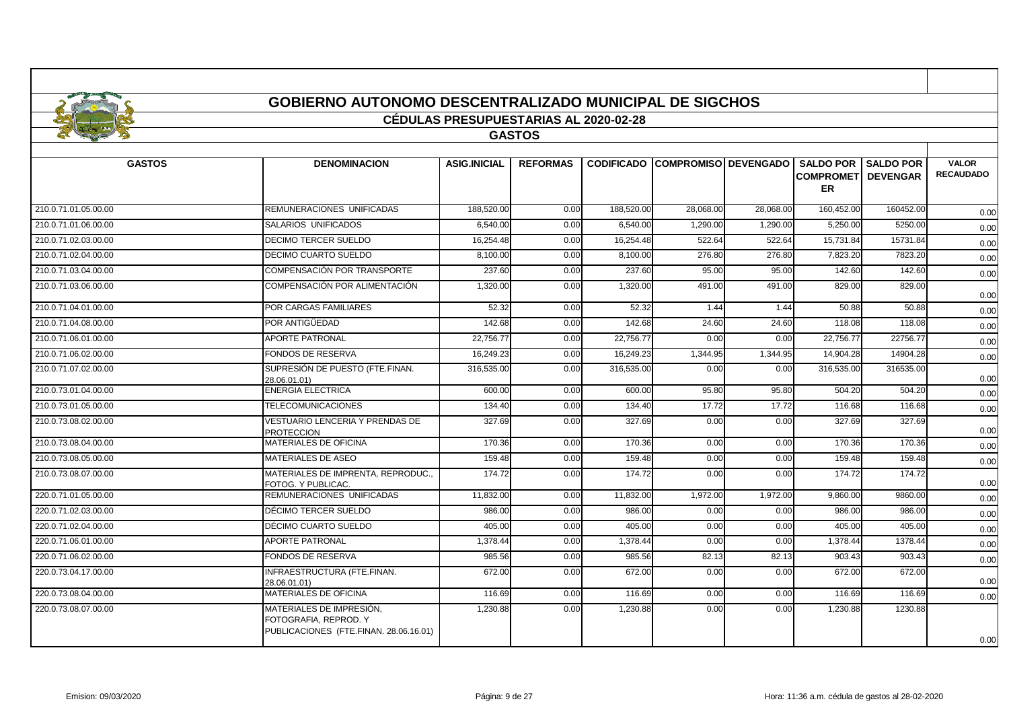|                      | <b>GOBIERNO AUTONOMO DESCENTRALIZADO MUNICIPAL DE SIGCHOS</b> |                                              |                 |                   |           |                             |                                         |                              |                                  |
|----------------------|---------------------------------------------------------------|----------------------------------------------|-----------------|-------------------|-----------|-----------------------------|-----------------------------------------|------------------------------|----------------------------------|
|                      |                                                               | <b>CEDULAS PRESUPUESTARIAS AL 2020-02-28</b> |                 |                   |           |                             |                                         |                              |                                  |
|                      |                                                               |                                              | <b>GASTOS</b>   |                   |           |                             |                                         |                              |                                  |
| <b>GASTOS</b>        | <b>DENOMINACION</b>                                           | <b>ASIG.INICIAL</b>                          | <b>REFORMAS</b> | <b>CODIFICADO</b> |           | <b>COMPROMISO DEVENGADO</b> | <b>COMPROMETI DEVENGAR</b><br><b>ER</b> | <b>SALDO POR I SALDO POR</b> | <b>VALOR</b><br><b>RECAUDADO</b> |
| 210.0.71.01.05.00.00 | REMUNERACIONES UNIFICADAS                                     | 188,520.00                                   | 0.00            | 188.520.00        | 28,068.00 | 28.068.00                   | 160,452.00                              | 160452.00                    | 0.00                             |
| 210.0.71.01.06.00.00 | SALARIOS UNIFICADOS                                           | 6.540.00                                     | 0.00            | 6.540.00          | 1.290.00  | 1.290.00                    | 5.250.00                                | 5250.00                      | 0.00                             |
| 210.0.71.02.03.00.00 | <b>DECIMO TERCER SUELDO</b>                                   | 16,254.48                                    | 0.00            | 16,254.48         | 522.64    | 522.64                      | 15,731.84                               | 15731.84                     | 0.00                             |
| 210.0.71.02.04.00.00 | <b>DECIMO CUARTO SUELDO</b>                                   | 8,100.00                                     | 0.00            | 8,100.00          | 276.80    | 276.80                      | 7,823.20                                | 7823.20                      | 0.00                             |
| 210.0.71.03.04.00.00 | COMPENSACIÓN POR TRANSPORTE                                   | 237.60                                       | 0.00            | 237.60            | 95.00     | 95.00                       | 142.60                                  | 142.60                       | 0.00                             |
| 210.0.71.03.06.00.00 | COMPENSACIÓN POR ALIMENTACIÓN                                 | 1,320.00                                     | 0.00            | 1,320.00          | 491.00    | 491.00                      | 829.00                                  | 829.00                       | 0.00                             |
| 210.0.71.04.01.00.00 | POR CARGAS FAMILIARES                                         | 52.32                                        | 0.00            | 52.32             | 1.44      | 1.44                        | 50.88                                   | 50.88                        | 0.00                             |
| 210.0.71.04.08.00.00 | POR ANTIGÜEDAD                                                | 142.68                                       | 0.00            | 142.68            | 24.60     | 24.60                       | 118.08                                  | 118.08                       | 0.00                             |
| 210.0.71.06.01.00.00 | <b>APORTE PATRONAL</b>                                        | 22,756.77                                    | 0.00            | 22,756.77         | 0.00      | 0.00                        | 22,756.77                               | 22756.77                     | 0.00                             |
| 210.0.71.06.02.00.00 | <b>FONDOS DE RESERVA</b>                                      | 16.249.23                                    | 0.00            | 16.249.23         | 1,344.95  | 1.344.95                    | 14.904.28                               | 14904.28                     | 0.00                             |
| 210.0.71.07.02.00.00 | SUPRESIÓN DE PUESTO (FTE.FINAN.<br>28.06.01.01)               | 316,535.00                                   | 0.00            | 316,535.00        | 0.00      | 0.00                        | 316,535.00                              | 316535.00                    | 0.00                             |
| 210.0.73.01.04.00.00 | <b>ENERGIA ELECTRICA</b>                                      | 600.00                                       | 0.00            | 600.00            | 95.80     | 95.80                       | 504.20                                  | 504.20                       | 0.00                             |
| 210.0.73.01.05.00.00 | <b>TELECOMUNICACIONES</b>                                     | 134.40                                       | 0.00            | 134.40            | 17.72     | 17.72                       | 116.68                                  | 116.68                       | 0.00                             |
| 210.0.73.08.02.00.00 | VESTUARIO LENCERIA Y PRENDAS DE<br><b>PROTECCION</b>          | 327.69                                       | 0.00            | 327.69            | 0.00      | 0.00                        | 327.69                                  | 327.69                       | 0.00                             |
| 210.0.73.08.04.00.00 | MATERIALES DE OFICINA                                         | 170.36                                       | 0.00            | 170.36            | 0.00      | 0.00                        | 170.36                                  | 170.36                       | 0.00                             |
| 210.0.73.08.05.00.00 | MATERIALES DE ASEO                                            | 159.48                                       | 0.00            | 159.48            | 0.00      | 0.00                        | 159.48                                  | 159.48                       | 0.00                             |
| 210.0.73.08.07.00.00 | MATERIALES DE IMPRENTA, REPRODUC<br>FOTOG. Y PUBLICAC.        | 174.72                                       | 0.00            | 174.72            | 0.00      | 0.00                        | 174.72                                  | 174.72                       | 0.00                             |
| 220.0.71.01.05.00.00 | REMUNERACIONES UNIFICADAS                                     | 11,832.00                                    | 0.00            | 11,832.00         | 1,972.00  | 1,972.00                    | 9,860.00                                | 9860.00                      | 0.00                             |
| 220.0.71.02.03.00.00 | DÉCIMO TERCER SUELDO                                          | 986.00                                       | 0.00            | 986.00            | 0.00      | 0.00                        | 986.00                                  | 986.00                       | 0.00                             |
| 220.0.71.02.04.00.00 | DÉCIMO CUARTO SUELDO                                          | 405.00                                       | 0.00            | 405.00            | 0.00      | 0.00                        | 405.00                                  | 405.00                       | 0.00                             |
| 220.0.71.06.01.00.00 | <b>APORTE PATRONAL</b>                                        | 1,378.44                                     | 0.00            | 1.378.44          | 0.00      | 0.00                        | 1,378.44                                | 1378.44                      | 0.00                             |
| 220.0.71.06.02.00.00 | <b>FONDOS DE RESERVA</b>                                      | 985.56                                       | 0.00            | 985.56            | 82.13     | 82.13                       | 903.43                                  | 903.43                       | 0.00                             |
| 220.0.73.04.17.00.00 | INFRAESTRUCTURA (FTE.FINAN.<br>28.06.01.01)                   | 672.00                                       | 0.00            | 672.00            | 0.00      | 0.00                        | 672.00                                  | 672.00                       | 0.00                             |
| 220.0.73.08.04.00.00 | <b>MATERIALES DE OFICINA</b>                                  | 116.69                                       | 0.00            | 116.69            | 0.00      | 0.00                        | 116.69                                  | 116.69                       | 0.00                             |
| 220.0.73.08.07.00.00 | MATERIALES DE IMPRESIÓN,                                      | 1,230.88                                     | 0.00            | 1,230.88          | 0.00      | 0.00                        | 1,230.88                                | 1230.88                      |                                  |

FOTOGRAFIA, REPROD. Y

PUBLICACIONES (FTE.FINAN. 28.06.16.01)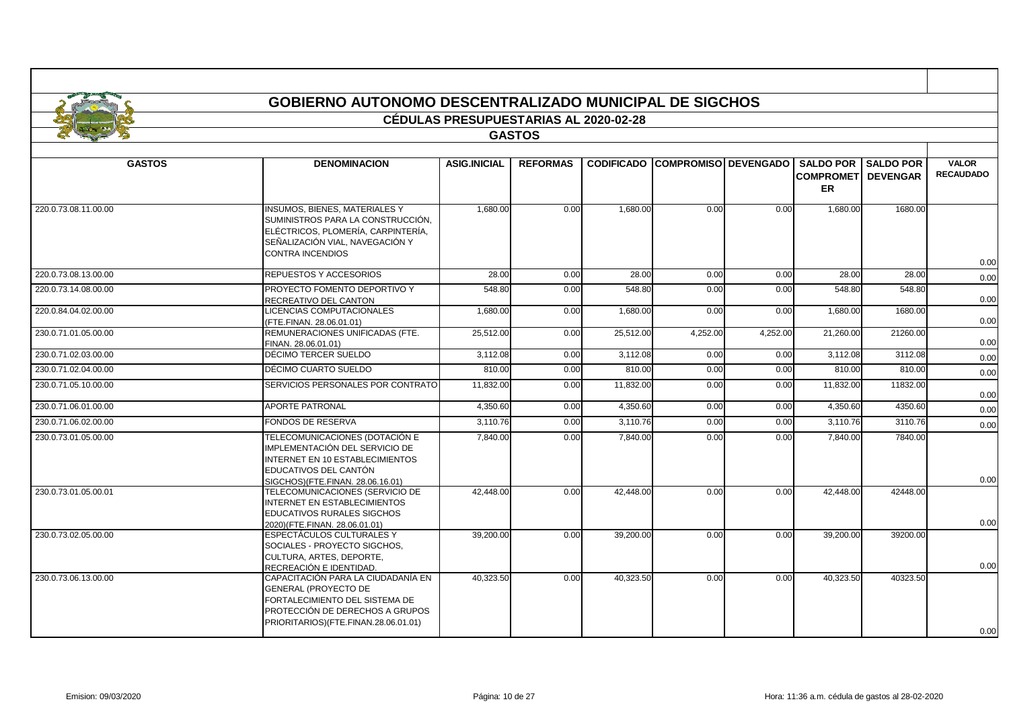|                      |                                                                                                                                                                                | <b>CÉDULAS PRESUPUESTARIAS AL 2020-02-28</b> |                 |                   |                             |          |                                             |                                     |                                  |
|----------------------|--------------------------------------------------------------------------------------------------------------------------------------------------------------------------------|----------------------------------------------|-----------------|-------------------|-----------------------------|----------|---------------------------------------------|-------------------------------------|----------------------------------|
|                      |                                                                                                                                                                                |                                              | <b>GASTOS</b>   |                   |                             |          |                                             |                                     |                                  |
|                      |                                                                                                                                                                                |                                              |                 |                   |                             |          |                                             |                                     |                                  |
| <b>GASTOS</b>        | <b>DENOMINACION</b>                                                                                                                                                            | <b>ASIG.INICIAL</b>                          | <b>REFORMAS</b> | <b>CODIFICADO</b> | <b>COMPROMISO DEVENGADO</b> |          | <b>SALDO POR</b><br><b>COMPROMET</b><br>ER. | <b>SALDO POR</b><br><b>DEVENGAR</b> | <b>VALOR</b><br><b>RECAUDADO</b> |
| 220.0.73.08.11.00.00 | <b>INSUMOS, BIENES, MATERIALES Y</b><br>SUMINISTROS PARA LA CONSTRUCCIÓN,<br>ELÉCTRICOS, PLOMERÍA, CARPINTERÍA,<br>SEÑALIZACIÓN VIAL, NAVEGACIÓN Y<br><b>CONTRA INCENDIOS</b>  | 1.680.00                                     | 0.00            | 1.680.00          | 0.00                        | 0.00     | 1.680.00                                    | 1680.00                             | 0.00                             |
| 220.0.73.08.13.00.00 | REPUESTOS Y ACCESORIOS                                                                                                                                                         | 28.00                                        | 0.00            | 28.00             | 0.00                        | 0.00     | 28.00                                       | 28.00                               | 0.00                             |
| 220.0.73.14.08.00.00 | PROYECTO FOMENTO DEPORTIVO Y<br>RECREATIVO DEL CANTON                                                                                                                          | 548.80                                       | 0.00            | 548.80            | 0.00                        | 0.00     | 548.80                                      | 548.80                              | 0.00                             |
| 220.0.84.04.02.00.00 | LICENCIAS COMPUTACIONALES<br>(FTE.FINAN. 28.06.01.01)                                                                                                                          | 1,680.00                                     | 0.00            | 1,680.00          | 0.00                        | 0.00     | 1,680.00                                    | 1680.00                             | 0.00                             |
| 230.0.71.01.05.00.00 | REMUNERACIONES UNIFICADAS (FTE.<br>FINAN. 28.06.01.01)                                                                                                                         | 25,512.00                                    | 0.00            | 25,512.00         | 4,252.00                    | 4,252.00 | 21,260.00                                   | 21260.00                            | 0.00                             |
| 230.0.71.02.03.00.00 | DÉCIMO TERCER SUELDO                                                                                                                                                           | 3,112.08                                     | 0.00            | 3,112.08          | 0.00                        | 0.00     | 3,112.08                                    | 3112.08                             | 0.00                             |
| 230.0.71.02.04.00.00 | DÉCIMO CUARTO SUELDO                                                                                                                                                           | 810.00                                       | 0.00            | 810.00            | 0.00                        | 0.00     | 810.00                                      | 810.00                              | 0.00                             |
| 230.0.71.05.10.00.00 | SERVICIOS PERSONALES POR CONTRATO                                                                                                                                              | 11,832.00                                    | 0.00            | 11,832.00         | 0.00                        | 0.00     | 11,832.00                                   | 11832.00                            | 0.00                             |
| 230.0.71.06.01.00.00 | <b>APORTE PATRONAL</b>                                                                                                                                                         | 4,350.60                                     | 0.00            | 4,350.60          | 0.00                        | 0.00     | 4,350.60                                    | 4350.60                             | 0.00                             |
| 230.0.71.06.02.00.00 | <b>FONDOS DE RESERVA</b>                                                                                                                                                       | 3,110.76                                     | 0.00            | 3,110.76          | 0.00                        | 0.00     | 3,110.76                                    | 3110.76                             | 0.00                             |
| 230.0.73.01.05.00.00 | TELECOMUNICACIONES (DOTACIÓN E<br>IMPLEMENTACIÓN DEL SERVICIO DE<br>INTERNET EN 10 ESTABLECIMIENTOS<br>EDUCATIVOS DEL CANTÓN<br>SIGCHOS)(FTE.FINAN. 28.06.16.01)               | 7,840.00                                     | 0.00            | 7,840.00          | 0.00                        | 0.00     | 7.840.00                                    | 7840.00                             | 0.00                             |
| 230.0.73.01.05.00.01 | TELECOMUNICACIONES (SERVICIO DE<br><b>INTERNET EN ESTABLECIMIENTOS</b><br><b>EDUCATIVOS RURALES SIGCHOS</b><br>2020)(FTE.FINAN. 28.06.01.01)                                   | 42.448.00                                    | 0.00            | 42.448.00         | 0.00                        | 0.00     | 42.448.00                                   | 42448.00                            | 0.00                             |
| 230.0.73.02.05.00.00 | ESPECTÁCULOS CULTURALES Y<br>SOCIALES - PROYECTO SIGCHOS,<br>CULTURA, ARTES, DEPORTE,<br>RECREACIÓN E IDENTIDAD.                                                               | 39,200.00                                    | 0.00            | 39,200.00         | 0.00                        | 0.00     | 39,200.00                                   | 39200.00                            | 0.00                             |
| 230.0.73.06.13.00.00 | CAPACITACIÓN PARA LA CIUDADANÍA EN<br><b>GENERAL (PROYECTO DE</b><br>FORTALECIMIENTO DEL SISTEMA DE<br>PROTECCIÓN DE DERECHOS A GRUPOS<br>PRIORITARIOS)(FTE.FINAN.28.06.01.01) | 40,323.50                                    | 0.00            | 40.323.50         | 0.00                        | 0.00     | 40.323.50                                   | 40323.50                            | 0.00                             |

ா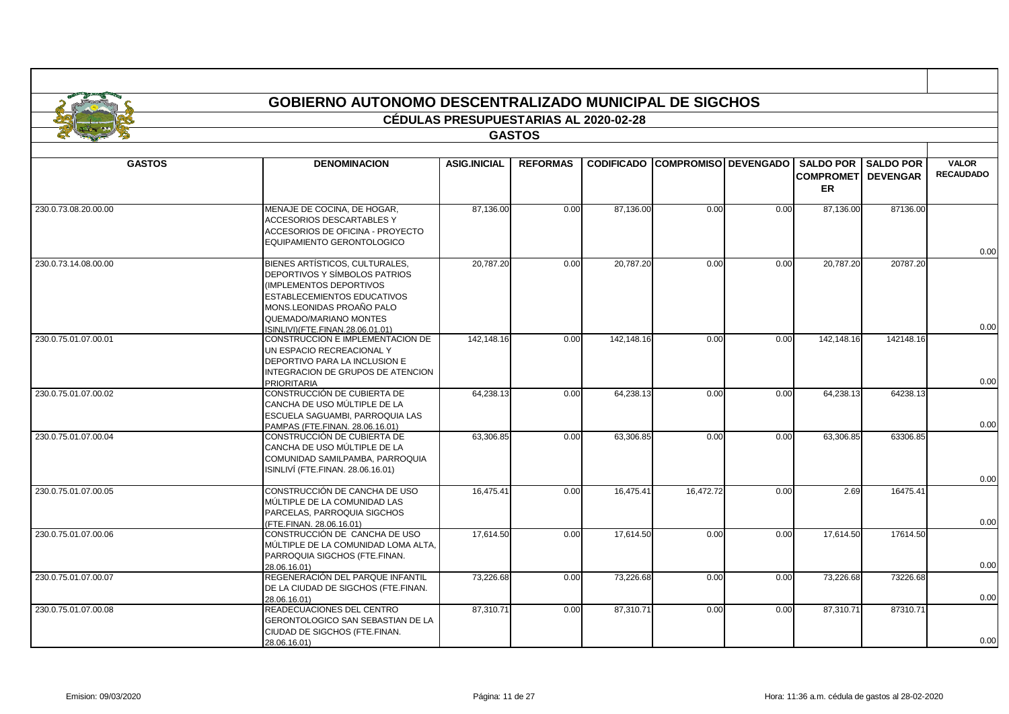|                      |                                                                                                                                                                                                                             | <b>CÉDULAS PRESUPUESTARIAS AL 2020-02-28</b> |                 |                   |                        |      |                                         |                              |                                  |
|----------------------|-----------------------------------------------------------------------------------------------------------------------------------------------------------------------------------------------------------------------------|----------------------------------------------|-----------------|-------------------|------------------------|------|-----------------------------------------|------------------------------|----------------------------------|
|                      |                                                                                                                                                                                                                             |                                              | <b>GASTOS</b>   |                   |                        |      |                                         |                              |                                  |
| <b>GASTOS</b>        | <b>DENOMINACION</b>                                                                                                                                                                                                         | <b>ASIG.INICIAL</b>                          | <b>REFORMAS</b> | <b>CODIFICADO</b> | COMPROMISO   DEVENGADO |      | <b>COMPROMETI DEVENGAR</b><br><b>ER</b> | <b>SALDO POR I SALDO POR</b> | <b>VALOR</b><br><b>RECAUDADO</b> |
| 230.0.73.08.20.00.00 | MENAJE DE COCINA. DE HOGAR.<br><b>ACCESORIOS DESCARTABLES Y</b><br>ACCESORIOS DE OFICINA - PROYECTO<br>EQUIPAMIENTO GERONTOLOGICO                                                                                           | 87.136.00                                    | 0.00            | 87.136.00         | 0.00                   | 0.00 | 87,136.00                               | 87136.00                     | 0.00                             |
| 230.0.73.14.08.00.00 | BIENES ARTÍSTICOS, CULTURALES,<br>DEPORTIVOS Y SÍMBOLOS PATRIOS<br>(IMPLEMENTOS DEPORTIVOS<br><b>ESTABLECEMIENTOS EDUCATIVOS</b><br>MONS.LEONIDAS PROAÑO PALO<br>QUEMADO/MARIANO MONTES<br>ISINLIVI)(FTE.FINAN.28.06.01.01) | 20,787.20                                    | 0.00            | 20,787.20         | 0.00                   | 0.00 | 20.787.20                               | 20787.20                     | 0.00                             |
| 230.0.75.01.07.00.01 | CONSTRUCCION E IMPLEMENTACION DE<br>UN ESPACIO RECREACIONAL Y<br>DEPORTIVO PARA LA INCLUSION E<br>INTEGRACION DE GRUPOS DE ATENCION<br><b>PRIORITARIA</b>                                                                   | 142,148.16                                   | 0.00            | 142,148.16        | 0.00                   | 0.00 | 142,148.16                              | 142148.16                    | 0.00                             |
| 230.0.75.01.07.00.02 | CONSTRUCCIÓN DE CUBIERTA DE<br>CANCHA DE USO MÚLTIPLE DE LA<br>ESCUELA SAGUAMBI, PARROQUIA LAS<br>PAMPAS (FTE.FINAN, 28.06.16.01)                                                                                           | 64,238.13                                    | 0.00            | 64,238.13         | 0.00                   | 0.00 | 64,238.13                               | 64238.13                     | 0.00                             |
| 230.0.75.01.07.00.04 | CONSTRUCCIÓN DE CUBIERTA DE<br>CANCHA DE USO MÚLTIPLE DE LA<br>COMUNIDAD SAMILPAMBA, PARROQUIA<br>ISINLIVI (FTE.FINAN. 28.06.16.01)                                                                                         | 63,306.85                                    | 0.00            | 63,306.85         | 0.00                   | 0.00 | 63,306.85                               | 63306.85                     | 0.00                             |
| 230.0.75.01.07.00.05 | CONSTRUCCIÓN DE CANCHA DE USO<br>MÚLTIPLE DE LA COMUNIDAD LAS<br>PARCELAS, PARROQUIA SIGCHOS<br>(FTE.FINAN. 28.06.16.01)                                                                                                    | 16,475.41                                    | 0.00            | 16,475.41         | 16,472.72              | 0.00 | 2.69                                    | 16475.41                     | 0.00                             |
| 230.0.75.01.07.00.06 | CONSTRUCCIÓN DE CANCHA DE USO<br>MÚLTIPLE DE LA COMUNIDAD LOMA ALTA,<br>PARROQUIA SIGCHOS (FTE.FINAN.<br>28.06.16.01)                                                                                                       | 17.614.50                                    | 0.00            | 17.614.50         | 0.00                   | 0.00 | 17.614.50                               | 17614.50                     | 0.00                             |
| 230.0.75.01.07.00.07 | REGENERACIÓN DEL PARQUE INFANTIL<br>DE LA CIUDAD DE SIGCHOS (FTE.FINAN.<br>28.06.16.01)                                                                                                                                     | 73,226.68                                    | 0.00            | 73,226.68         | 0.00                   | 0.00 | 73,226.68                               | 73226.68                     | 0.00                             |
| 230.0.75.01.07.00.08 | READECUACIONES DEL CENTRO<br><b>GERONTOLOGICO SAN SEBASTIAN DE LA</b><br>CIUDAD DE SIGCHOS (FTE.FINAN.<br>28.06.16.01)                                                                                                      | 87,310.71                                    | 0.00            | 87,310.71         | 0.00                   | 0.00 | 87,310.71                               | 87310.71                     | 0.00                             |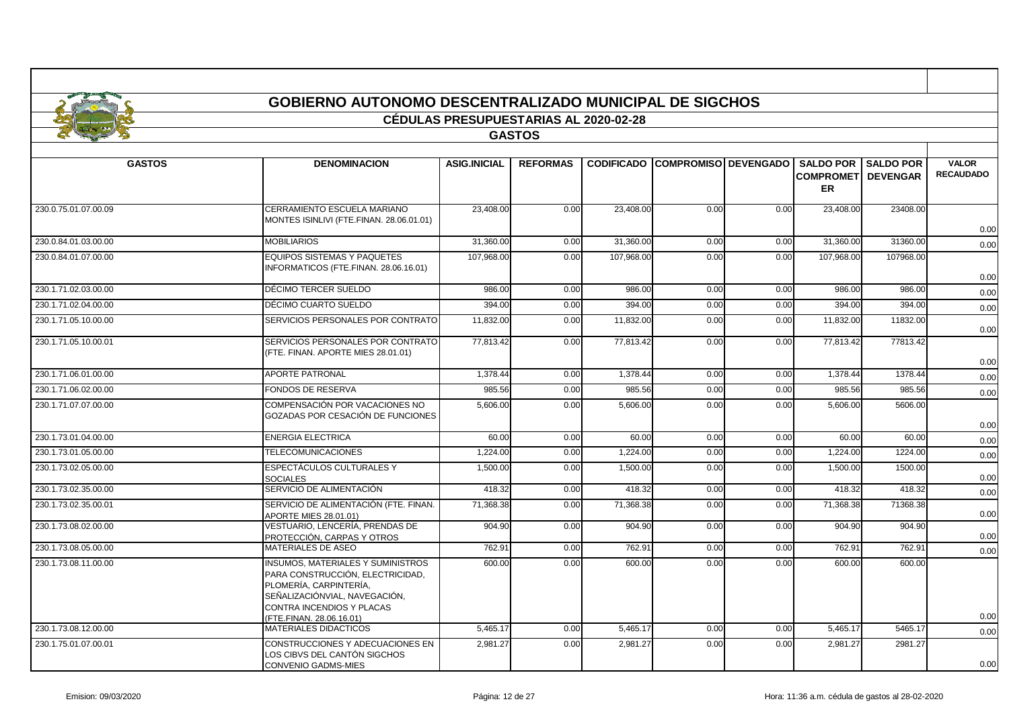|                      | <b>GOBIERNO AUTONOMO DESCENTRALIZADO MUNICIPAL DE SIGCHOS</b>                                                                                                                                    |                                              |                 |                   |                             |      |                                             |                                     |                                  |
|----------------------|--------------------------------------------------------------------------------------------------------------------------------------------------------------------------------------------------|----------------------------------------------|-----------------|-------------------|-----------------------------|------|---------------------------------------------|-------------------------------------|----------------------------------|
|                      |                                                                                                                                                                                                  | <b>CÉDULAS PRESUPUESTARIAS AL 2020-02-28</b> |                 |                   |                             |      |                                             |                                     |                                  |
|                      |                                                                                                                                                                                                  |                                              | <b>GASTOS</b>   |                   |                             |      |                                             |                                     |                                  |
|                      |                                                                                                                                                                                                  |                                              |                 |                   |                             |      |                                             |                                     |                                  |
| <b>GASTOS</b>        | <b>DENOMINACION</b>                                                                                                                                                                              | <b>ASIG.INICIAL</b>                          | <b>REFORMAS</b> | <b>CODIFICADO</b> | <b>COMPROMISO DEVENGADO</b> |      | <b>SALDO POR</b><br><b>COMPROMET</b><br>ER. | <b>SALDO POR</b><br><b>DEVENGAR</b> | <b>VALOR</b><br><b>RECAUDADO</b> |
| 230.0.75.01.07.00.09 | CERRAMIENTO ESCUELA MARIANO<br>MONTES ISINLIVI (FTE.FINAN. 28.06.01.01)                                                                                                                          | 23,408.00                                    | 0.00            | 23,408.00         | 0.00                        | 0.00 | 23,408.00                                   | 23408.00                            | 0.00                             |
| 230.0.84.01.03.00.00 | <b>MOBILIARIOS</b>                                                                                                                                                                               | 31,360.00                                    | 0.00            | 31,360.00         | 0.00                        | 0.00 | 31,360.00                                   | 31360.00                            | 0.00                             |
| 230.0.84.01.07.00.00 | <b>EQUIPOS SISTEMAS Y PAQUETES</b><br>INFORMATICOS (FTE.FINAN. 28.06.16.01)                                                                                                                      | 107,968.00                                   | 0.00            | 107,968.00        | 0.00                        | 0.00 | 107,968.00                                  | 107968.00                           | 0.00                             |
| 230.1.71.02.03.00.00 | DÉCIMO TERCER SUELDO                                                                                                                                                                             | 986.00                                       | 0.00            | 986.00            | 0.00                        | 0.00 | 986.00                                      | 986.00                              | 0.00                             |
| 230.1.71.02.04.00.00 | DÉCIMO CUARTO SUELDO                                                                                                                                                                             | 394.00                                       | 0.00            | 394.00            | 0.00                        | 0.00 | 394.00                                      | 394.00                              | 0.00                             |
| 230.1.71.05.10.00.00 | SERVICIOS PERSONALES POR CONTRATO                                                                                                                                                                | 11,832.00                                    | 0.00            | 11,832.00         | 0.00                        | 0.00 | 11,832.00                                   | 11832.00                            | 0.00                             |
| 230.1.71.05.10.00.01 | SERVICIOS PERSONALES POR CONTRATO<br>(FTE. FINAN. APORTE MIES 28.01.01)                                                                                                                          | 77,813.42                                    | 0.00            | 77,813.42         | 0.00                        | 0.00 | 77,813.42                                   | 77813.42                            | 0.00                             |
| 230.1.71.06.01.00.00 | <b>APORTE PATRONAL</b>                                                                                                                                                                           | 1,378.44                                     | 0.00            | 1,378.44          | 0.00                        | 0.00 | 1,378.44                                    | 1378.44                             | 0.00                             |
| 230.1.71.06.02.00.00 | FONDOS DE RESERVA                                                                                                                                                                                | 985.56                                       | 0.00            | 985.56            | 0.00                        | 0.00 | 985.56                                      | 985.56                              | 0.00                             |
| 230.1.71.07.07.00.00 | COMPENSACIÓN POR VACACIONES NO<br>GOZADAS POR CESACIÓN DE FUNCIONES                                                                                                                              | 5,606.00                                     | 0.00            | 5,606.00          | 0.00                        | 0.00 | 5,606.00                                    | 5606.00                             | 0.00                             |
| 230.1.73.01.04.00.00 | <b>ENERGIA ELECTRICA</b>                                                                                                                                                                         | 60.00                                        | 0.00            | 60.00             | 0.00                        | 0.00 | 60.00                                       | 60.00                               | 0.00                             |
| 230.1.73.01.05.00.00 | <b>TELECOMUNICACIONES</b>                                                                                                                                                                        | 1.224.00                                     | 0.00            | 1,224.00          | 0.00                        | 0.00 | 1,224.00                                    | 1224.00                             | 0.00                             |
| 230.1.73.02.05.00.00 | ESPECTÁCULOS CULTURALES Y<br><b>SOCIALES</b>                                                                                                                                                     | 1,500.00                                     | 0.00            | 1,500.00          | 0.00                        | 0.00 | 1,500.00                                    | 1500.00                             | 0.00                             |
| 230.1.73.02.35.00.00 | SERVICIO DE ALIMENTACIÓN                                                                                                                                                                         | 418.32                                       | 0.00            | 418.32            | 0.00                        | 0.00 | 418.32                                      | 418.32                              | 0.00                             |
| 230.1.73.02.35.00.01 | SERVICIO DE ALIMENTACIÓN (FTE. FINAN.<br>APORTE MIES 28.01.01)                                                                                                                                   | 71,368.38                                    | 0.00            | 71,368.38         | 0.00                        | 0.00 | 71,368.38                                   | 71368.38                            | 0.00                             |
| 230.1.73.08.02.00.00 | VESTUARIO. LENCERÍA. PRENDAS DE<br>PROTECCIÓN, CARPAS Y OTROS                                                                                                                                    | 904.90                                       | 0.00            | 904.90            | 0.00                        | 0.00 | 904.90                                      | 904.90                              | 0.00                             |
| 230.1.73.08.05.00.00 | <b>MATERIALES DE ASEO</b>                                                                                                                                                                        | 762.91                                       | 0.00            | 762.91            | 0.00                        | 0.00 | 762.91                                      | 762.91                              | 0.00                             |
| 230.1.73.08.11.00.00 | <b>INSUMOS, MATERIALES Y SUMINISTROS</b><br>PARA CONSTRUCCIÓN, ELECTRICIDAD.<br>PLOMERÍA, CARPINTERÍA,<br>SEÑALIZACIÓNVIAL, NAVEGACIÓN,<br>CONTRA INCENDIOS Y PLACAS<br>(FTE.FINAN, 28.06.16.01) | 600.00                                       | 0.00            | 600.00            | 0.00                        | 0.00 | 600.00                                      | 600.00                              | 0.00                             |
| 230.1.73.08.12.00.00 | <b>MATERIALES DIDACTICOS</b>                                                                                                                                                                     | 5,465.17                                     | 0.00            | 5,465.17          | 0.00                        | 0.00 | 5,465.17                                    | 5465.17                             | 0.00                             |
| 230.1.75.01.07.00.01 | CONSTRUCCIONES Y ADECUACIONES EN<br>LOS CIBVS DEL CANTÓN SIGCHOS                                                                                                                                 | 2,981.27                                     | 0.00            | 2,981.27          | 0.00                        | 0.00 | 2,981.27                                    | 2981.27                             |                                  |

CONVENIO GADMS-MIES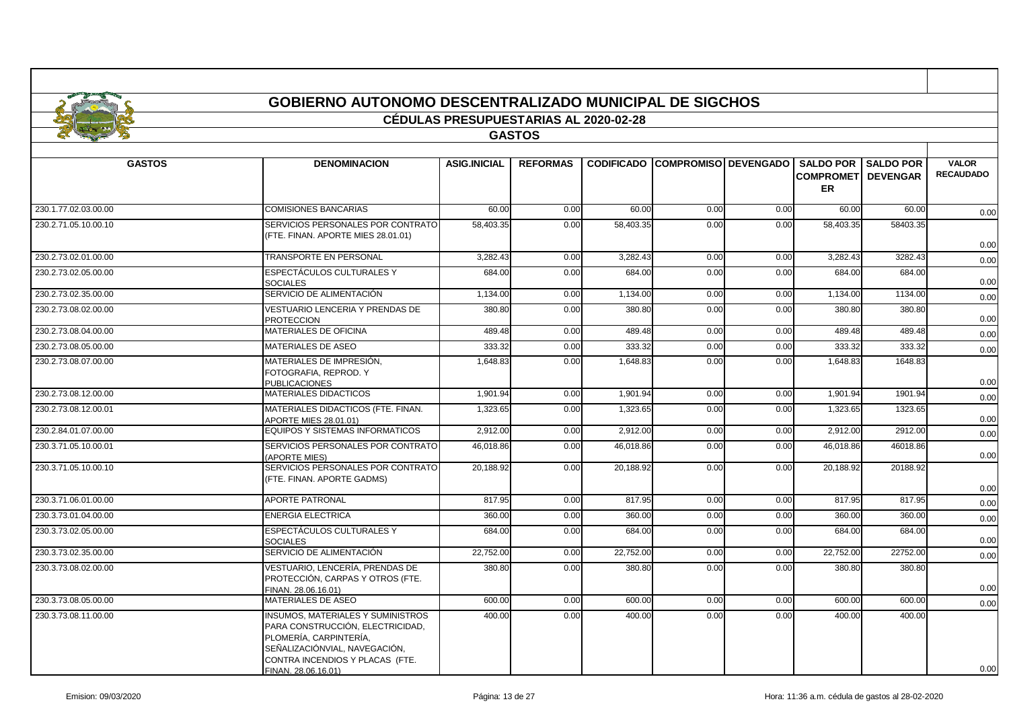|                      | <b>GOBIERNO AUTONOMO DESCENTRALIZADO MUNICIPAL DE SIGCHOS</b>                                          |                                              |                 |                   |      |                             |                                         |                              |                                  |
|----------------------|--------------------------------------------------------------------------------------------------------|----------------------------------------------|-----------------|-------------------|------|-----------------------------|-----------------------------------------|------------------------------|----------------------------------|
|                      |                                                                                                        | <b>CÉDULAS PRESUPUESTARIAS AL 2020-02-28</b> |                 |                   |      |                             |                                         |                              |                                  |
|                      |                                                                                                        |                                              | <b>GASTOS</b>   |                   |      |                             |                                         |                              |                                  |
|                      |                                                                                                        |                                              |                 |                   |      |                             |                                         |                              |                                  |
| <b>GASTOS</b>        | <b>DENOMINACION</b>                                                                                    | <b>ASIG.INICIAL</b>                          | <b>REFORMAS</b> | <b>CODIFICADO</b> |      | <b>COMPROMISO DEVENGADO</b> | <b>COMPROMETI DEVENGAR</b><br><b>ER</b> | <b>SALDO POR I SALDO POR</b> | <b>VALOR</b><br><b>RECAUDADO</b> |
| 230.1.77.02.03.00.00 | <b>COMISIONES BANCARIAS</b>                                                                            | 60.00                                        | 0.00            | 60.00             | 0.00 | 0.00                        | 60.00                                   | 60.00                        | 0.00                             |
| 230.2.71.05.10.00.10 | SERVICIOS PERSONALES POR CONTRATO<br>(FTE. FINAN. APORTE MIES 28.01.01)                                | 58.403.35                                    | 0.00            | 58.403.35         | 0.00 | 0.00                        | 58.403.35                               | 58403.35                     | 0.00                             |
| 230.2.73.02.01.00.00 | TRANSPORTE EN PERSONAL                                                                                 | 3.282.43                                     | 0.00            | 3.282.43          | 0.00 | 0.00                        | 3.282.43                                | 3282.43                      | 0.00                             |
| 230.2.73.02.05.00.00 | ESPECTÁCULOS CULTURALES Y<br><b>SOCIALES</b>                                                           | 684.00                                       | 0.00            | 684.00            | 0.00 | 0.00                        | 684.00                                  | 684.00                       | 0.00                             |
| 230.2.73.02.35.00.00 | SERVICIO DE ALIMENTACIÓN                                                                               | 1,134.00                                     | 0.00            | 1,134.00          | 0.00 | 0.00                        | 1,134.00                                | 1134.00                      | 0.00                             |
| 230.2.73.08.02.00.00 | VESTUARIO LENCERIA Y PRENDAS DE<br><b>PROTECCION</b>                                                   | 380.80                                       | 0.00            | 380.80            | 0.00 | 0.00                        | 380.80                                  | 380.80                       | 0.00                             |
| 230.2.73.08.04.00.00 | MATERIALES DE OFICINA                                                                                  | 489.48                                       | 0.00            | 489.48            | 0.00 | 0.00                        | 489.48                                  | 489.48                       | 0.00                             |
| 230.2.73.08.05.00.00 | MATERIALES DE ASEO                                                                                     | 333.32                                       | 0.00            | 333.32            | 0.00 | 0.00                        | 333.32                                  | 333.32                       | 0.00                             |
| 230.2.73.08.07.00.00 | MATERIALES DE IMPRESIÓN,<br>FOTOGRAFIA, REPROD. Y<br><b>PUBLICACIONES</b>                              | 1,648.83                                     | 0.00            | 1,648.83          | 0.00 | 0.00                        | 1,648.83                                | 1648.83                      | 0.00                             |
| 230.2.73.08.12.00.00 | <b>MATERIALES DIDACTICOS</b>                                                                           | 1.901.94                                     | 0.00            | 1,901.94          | 0.00 | 0.00                        | 1,901.94                                | 1901.94                      | 0.00                             |
| 230.2.73.08.12.00.01 | MATERIALES DIDACTICOS (FTE, FINAN,<br>APORTE MIES 28.01.01)                                            | 1,323.65                                     | 0.00            | 1.323.65          | 0.00 | 0.00                        | 1.323.65                                | 1323.65                      | 0.00                             |
| 230.2.84.01.07.00.00 | <b>EQUIPOS Y SISTEMAS INFORMATICOS</b>                                                                 | 2,912.00                                     | 0.00            | 2,912.00          | 0.00 | 0.00                        | 2,912.00                                | 2912.00                      | 0.00                             |
| 230.3.71.05.10.00.01 | SERVICIOS PERSONALES POR CONTRATO<br><b>APORTE MIES)</b>                                               | 46,018.86                                    | 0.00            | 46.018.86         | 0.00 | 0.00                        | 46,018.86                               | 46018.86                     | 0.00                             |
| 230.3.71.05.10.00.10 | SERVICIOS PERSONALES POR CONTRATO<br>(FTE, FINAN, APORTE GADMS)                                        | 20,188.92                                    | 0.00            | 20,188.92         | 0.00 | 0.00                        | 20,188.92                               | 20188.92                     | 0.00                             |
| 230.3.71.06.01.00.00 | APORTE PATRONAL                                                                                        | 817.95                                       | 0.00            | 817.95            | 0.00 | 0.00                        | 817.95                                  | 817.95                       | 0.00                             |
| 230.3.73.01.04.00.00 | <b>ENERGIA ELECTRICA</b>                                                                               | 360.00                                       | 0.00            | 360.00            | 0.00 | 0.00                        | 360.00                                  | 360.00                       | 0.00                             |
| 230.3.73.02.05.00.00 | ESPECTÁCULOS CULTURALES Y<br><b>SOCIALES</b>                                                           | 684.00                                       | 0.00            | 684.00            | 0.00 | 0.00                        | 684.00                                  | 684.00                       | 0.00                             |
| 230.3.73.02.35.00.00 | SERVICIO DE ALIMENTACIÓN                                                                               | 22,752.00                                    | 0.00            | 22,752.00         | 0.00 | 0.00                        | 22,752.00                               | 22752.00                     | 0.00                             |
| 230.3.73.08.02.00.00 | VESTUARIO, LENCERÍA, PRENDAS DE<br>PROTECCIÓN. CARPAS Y OTROS (FTE.<br>FINAN. 28.06.16.01)             | 380.80                                       | 0.00            | 380.80            | 0.00 | 0.00                        | 380.80                                  | 380.80                       | 0.00                             |
| 230.3.73.08.05.00.00 | MATERIALES DE ASEO                                                                                     | 600.00                                       | 0.00            | 600.00            | 0.00 | 0.00                        | 600.00                                  | 600.00                       | 0.00                             |
| 230.3.73.08.11.00.00 | <b>INSUMOS, MATERIALES Y SUMINISTROS</b><br>PARA CONSTRUCCIÓN, ELECTRICIDAD,<br>PLOMERÍA, CARPINTERÍA. | 400.00                                       | 0.00            | 400.00            | 0.00 | 0.00                        | 400.00                                  | 400.00                       |                                  |

SENALIZACIÓNVIAL, NAVEGACIÓN, CONTRA INCENDIOS Y PLACAS (FTE.

FINAN. 28.06.16.01)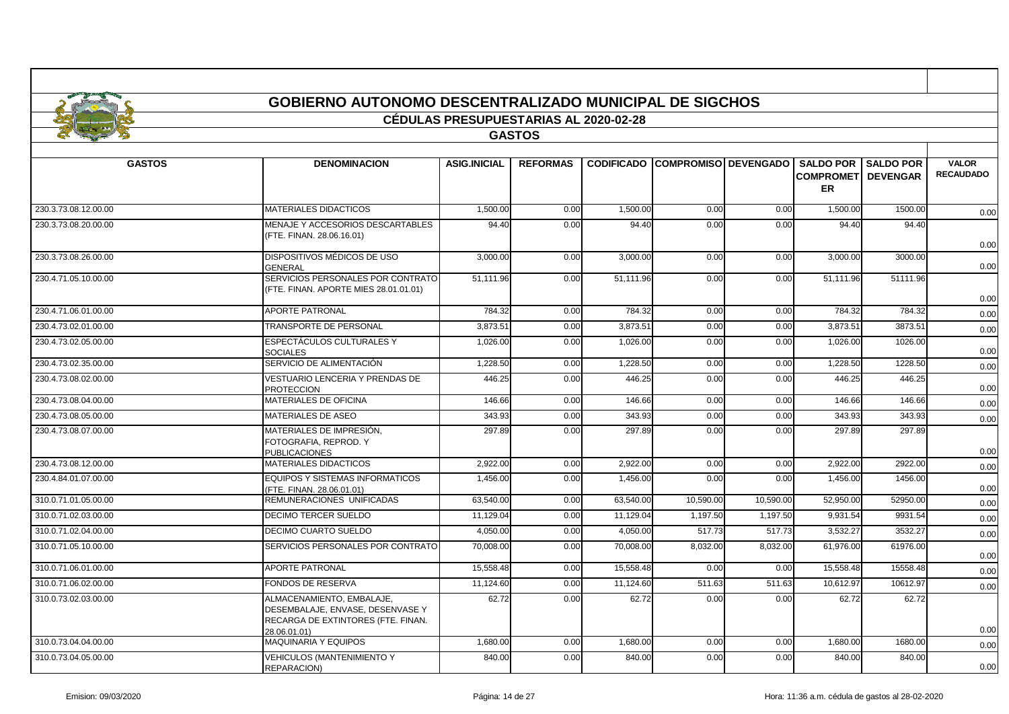| <b>GOBIERNO AUTONOMO DESCENTRALIZADO MUNICIPAL DE SIGCHOS</b> |
|---------------------------------------------------------------|

#### **CÉDULAS PRESUPUESTARIAS AL 2020-02-28**

## **GASTOS**

| <b>GASTOS</b>        | <b>DENOMINACION</b>                                                                                                 | <b>ASIG.INICIAL</b>   | <b>REFORMAS</b> |           | <b>CODIFICADO COMPROMISO DEVENGADO</b> |           | <b>COMPROMET DEVENGAR</b><br>ER | <b>SALDO POR I SALDO POR</b> | <b>VALOR</b><br><b>RECAUDADO</b> |
|----------------------|---------------------------------------------------------------------------------------------------------------------|-----------------------|-----------------|-----------|----------------------------------------|-----------|---------------------------------|------------------------------|----------------------------------|
| 230.3.73.08.12.00.00 | <b>MATERIALES DIDACTICOS</b>                                                                                        | 1.500.00              | 0.00            | 1.500.00  | 0.00                                   | 0.00      | 1.500.00                        | 1500.00                      | 0.00                             |
| 230.3.73.08.20.00.00 | MENAJE Y ACCESORIOS DESCARTABLES<br>(FTE. FINAN. 28.06.16.01)                                                       | 94.40                 | 0.00            | 94.40     | 0.00                                   | 0.00      | 94.40                           | 94.40                        | 0.00                             |
| 230.3.73.08.26.00.00 | DISPOSITIVOS MÉDICOS DE USO<br><b>GENERAL</b>                                                                       | $\overline{3,000.00}$ | 0.00            | 3,000.00  | 0.00                                   | 0.00      | 3,000.00                        | 3000.00                      | 0.00                             |
| 230.4.71.05.10.00.00 | SERVICIOS PERSONALES POR CONTRATO<br>(FTE. FINAN. APORTE MIES 28.01.01.01)                                          | 51,111.96             | 0.00            | 51,111.96 | 0.00                                   | 0.00      | 51,111.96                       | 51111.96                     | 0.00                             |
| 230.4.71.06.01.00.00 | <b>APORTE PATRONAL</b>                                                                                              | 784.32                | 0.00            | 784.32    | 0.00                                   | 0.00      | 784.32                          | 784.32                       | 0.00                             |
| 230.4.73.02.01.00.00 | TRANSPORTE DE PERSONAL                                                                                              | 3.873.51              | 0.00            | 3,873.51  | 0.00                                   | 0.00      | 3,873.51                        | 3873.51                      | 0.00                             |
| 230.4.73.02.05.00.00 | ESPECTÁCULOS CULTURALES Y<br><b>SOCIALES</b>                                                                        | 1,026.00              | 0.00            | 1,026.00  | 0.00                                   | 0.00      | 1,026.00                        | 1026.00                      | 0.00                             |
| 230.4.73.02.35.00.00 | SERVICIO DE ALIMENTACIÓN                                                                                            | 1,228.50              | 0.00            | 1,228.50  | 0.00                                   | 0.00      | 1,228.50                        | 1228.50                      | 0.00                             |
| 230.4.73.08.02.00.00 | VESTUARIO LENCERIA Y PRENDAS DE<br><b>PROTECCION</b>                                                                | 446.25                | 0.00            | 446.25    | 0.00                                   | 0.00      | 446.25                          | 446.25                       | 0.00                             |
| 230.4.73.08.04.00.00 | MATERIALES DE OFICINA                                                                                               | 146.66                | 0.00            | 146.66    | 0.00                                   | 0.00      | 146.66                          | 146.66                       | 0.00                             |
| 230.4.73.08.05.00.00 | MATERIALES DE ASEO                                                                                                  | 343.93                | 0.00            | 343.93    | 0.00                                   | 0.00      | 343.93                          | 343.93                       | 0.00                             |
| 230.4.73.08.07.00.00 | MATERIALES DE IMPRESIÓN,<br>FOTOGRAFIA, REPROD. Y<br><b>PUBLICACIONES</b>                                           | 297.89                | 0.00            | 297.89    | 0.00                                   | 0.00      | 297.89                          | 297.89                       | 0.00                             |
| 230.4.73.08.12.00.00 | <b>MATERIALES DIDACTICOS</b>                                                                                        | 2,922.00              | 0.00            | 2,922.00  | 0.00                                   | 0.00      | 2,922.00                        | 2922.00                      | 0.00                             |
| 230.4.84.01.07.00.00 | <b>EQUIPOS Y SISTEMAS INFORMATICOS</b><br>(FTE. FINAN. 28.06.01.01)                                                 | 1,456.00              | 0.00            | 1,456.00  | 0.00                                   | 0.00      | 1,456.00                        | 1456.00                      | 0.00                             |
| 310.0.71.01.05.00.00 | REMUNERACIONES UNIFICADAS                                                                                           | 63.540.00             | 0.00            | 63.540.00 | 10,590.00                              | 10,590.00 | 52.950.00                       | 52950.00                     | 0.00                             |
| 310.0.71.02.03.00.00 | <b>DECIMO TERCER SUELDO</b>                                                                                         | 11.129.04             | 0.00            | 11,129.04 | 1,197.50                               | 1,197.50  | 9,931.54                        | 9931.54                      | 0.00                             |
| 310.0.71.02.04.00.00 | <b>DECIMO CUARTO SUELDO</b>                                                                                         | 4.050.00              | 0.00            | 4.050.00  | 517.73                                 | 517.73    | 3.532.27                        | 3532.27                      | 0.00                             |
| 310.0.71.05.10.00.00 | SERVICIOS PERSONALES POR CONTRATO                                                                                   | 70,008.00             | 0.00            | 70,008.00 | 8,032.00                               | 8,032.00  | 61,976.00                       | 61976.00                     | 0.00                             |
| 310.0.71.06.01.00.00 | <b>APORTE PATRONAL</b>                                                                                              | 15,558.48             | 0.00            | 15,558.48 | 0.00                                   | 0.00      | 15,558.48                       | 15558.48                     | 0.00                             |
| 310.0.71.06.02.00.00 | <b>FONDOS DE RESERVA</b>                                                                                            | 11,124.60             | 0.00            | 11,124.60 | 511.63                                 | 511.63    | 10,612.97                       | 10612.97                     | 0.00                             |
| 310.0.73.02.03.00.00 | ALMACENAMIENTO, EMBALAJE,<br>DESEMBALAJE, ENVASE, DESENVASE Y<br>RECARGA DE EXTINTORES (FTE. FINAN.<br>28.06.01.01) | 62.72                 | 0.00            | 62.72     | 0.00                                   | 0.00      | 62.72                           | 62.72                        | 0.00                             |
| 310.0.73.04.04.00.00 | <b>MAQUINARIA Y EQUIPOS</b>                                                                                         | 1,680.00              | 0.00            | 1,680.00  | 0.00                                   | 0.00      | 1,680.00                        | 1680.00                      | 0.00                             |
| 310.0.73.04.05.00.00 | <b>VEHICULOS (MANTENIMIENTO Y</b><br>REPARACION)                                                                    | 840.00                | 0.00            | 840.00    | 0.00                                   | 0.00      | 840.00                          | 840.00                       | 0.00                             |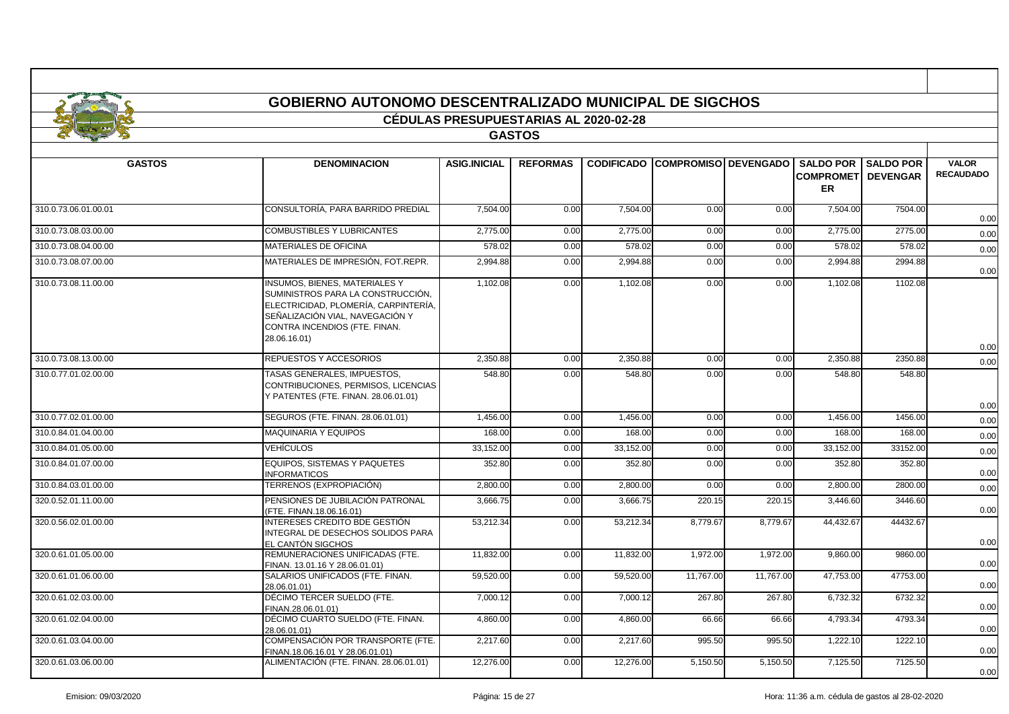|                      | <b>GOBIERNO AUTONOMO DESCENTRALIZADO MUNICIPAL DE SIGCHOS</b>                                                                                                                                         |                                              |                 |                   |                             |           |                                                             |                  |                                  |
|----------------------|-------------------------------------------------------------------------------------------------------------------------------------------------------------------------------------------------------|----------------------------------------------|-----------------|-------------------|-----------------------------|-----------|-------------------------------------------------------------|------------------|----------------------------------|
|                      |                                                                                                                                                                                                       | <b>CÉDULAS PRESUPUESTARIAS AL 2020-02-28</b> |                 |                   |                             |           |                                                             |                  |                                  |
|                      |                                                                                                                                                                                                       |                                              | <b>GASTOS</b>   |                   |                             |           |                                                             |                  |                                  |
| <b>GASTOS</b>        | <b>DENOMINACION</b>                                                                                                                                                                                   | <b>ASIG.INICIAL</b>                          | <b>REFORMAS</b> | <b>CODIFICADO</b> | <b>COMPROMISO DEVENGADO</b> |           | <b>SALDO POR</b><br><b>COMPROMETI DEVENGAR</b><br><b>ER</b> | <b>SALDO POR</b> | <b>VALOR</b><br><b>RECAUDADO</b> |
| 310.0.73.06.01.00.01 | CONSULTORÍA, PARA BARRIDO PREDIAL                                                                                                                                                                     | 7,504.00                                     | 0.00            | 7,504.00          | 0.00                        | 0.00      | 7,504.00                                                    | 7504.00          | 0.00                             |
| 310.0.73.08.03.00.00 | COMBUSTIBLES Y LUBRICANTES                                                                                                                                                                            | 2,775.00                                     | 0.00            | 2,775.00          | 0.00                        | 0.00      | 2,775.00                                                    | 2775.00          | 0.00                             |
| 310.0.73.08.04.00.00 | MATERIALES DE OFICINA                                                                                                                                                                                 | 578.02                                       | 0.00            | 578.02            | 0.00                        | 0.00      | 578.02                                                      | 578.02           | 0.00                             |
| 310.0.73.08.07.00.00 | MATERIALES DE IMPRESIÓN, FOT.REPR.                                                                                                                                                                    | 2,994.88                                     | 0.00            | 2,994.88          | 0.00                        | 0.00      | 2,994.88                                                    | 2994.88          | 0.00                             |
| 310.0.73.08.11.00.00 | <b>INSUMOS, BIENES, MATERIALES Y</b><br>SUMINISTROS PARA LA CONSTRUCCIÓN,<br>ELECTRICIDAD, PLOMERÍA, CARPINTERÍA,<br>SEÑALIZACIÓN VIAL, NAVEGACIÓN Y<br>CONTRA INCENDIOS (FTE. FINAN.<br>28.06.16.01) | 1,102.08                                     | 0.00            | 1,102.08          | 0.00                        | 0.00      | 1.102.08                                                    | 1102.08          | 0.00                             |
| 310.0.73.08.13.00.00 | REPUESTOS Y ACCESORIOS                                                                                                                                                                                | 2,350.88                                     | 0.00            | 2,350.88          | 0.00                        | 0.00      | 2,350.88                                                    | 2350.88          | 0.00                             |
| 310.0.77.01.02.00.00 | TASAS GENERALES, IMPUESTOS,<br>CONTRIBUCIONES, PERMISOS, LICENCIAS<br>Y PATENTES (FTE. FINAN. 28.06.01.01)                                                                                            | 548.80                                       | 0.00            | 548.80            | 0.00                        | 0.00      | 548.80                                                      | 548.80           | 0.00                             |
| 310.0.77.02.01.00.00 | SEGUROS (FTE. FINAN. 28.06.01.01)                                                                                                                                                                     | 1.456.00                                     | 0.00            | 1.456.00          | 0.00                        | 0.00      | 1.456.00                                                    | 1456.00          | 0.00                             |
| 310.0.84.01.04.00.00 | MAQUINARIA Y EQUIPOS                                                                                                                                                                                  | 168.00                                       | 0.00            | 168.00            | 0.00                        | 0.00      | 168.00                                                      | 168.00           | 0.00                             |
| 310.0.84.01.05.00.00 | <b>VEHÍCULOS</b>                                                                                                                                                                                      | 33,152.00                                    | 0.00            | 33.152.00         | 0.00                        | 0.00      | 33.152.00                                                   | 33152.00         | 0.00                             |
| 310.0.84.01.07.00.00 | <b>EQUIPOS, SISTEMAS Y PAQUETES</b><br><b>INFORMATICOS</b>                                                                                                                                            | 352.80                                       | 0.00            | 352.80            | 0.00                        | 0.00      | 352.80                                                      | 352.80           | 0.00                             |
| 310.0.84.03.01.00.00 | TERRENOS (EXPROPIACIÓN)                                                                                                                                                                               | 2,800.00                                     | 0.00            | 2,800.00          | 0.00                        | 0.00      | 2,800.00                                                    | 2800.00          | 0.00                             |
| 320.0.52.01.11.00.00 | PENSIONES DE JUBILACIÓN PATRONAL<br>FTE. FINAN.18.06.16.01)                                                                                                                                           | 3,666.75                                     | 0.00            | 3,666.75          | 220.15                      | 220.15    | 3,446.60                                                    | 3446.60          | 0.00                             |
| 320.0.56.02.01.00.00 | INTERESES CREDITO BDE GESTIÓN<br>INTEGRAL DE DESECHOS SOLIDOS PARA<br>EL CANTÓN SIGCHOS                                                                                                               | 53,212.34                                    | 0.00            | 53,212.34         | 8,779.67                    | 8,779.67  | 44,432.67                                                   | 44432.67         | 0.00                             |
| 320.0.61.01.05.00.00 | REMUNERACIONES UNIFICADAS (FTE.<br>FINAN. 13.01.16 Y 28.06.01.01)                                                                                                                                     | 11.832.00                                    | 0.00            | 11,832.00         | 1,972.00                    | 1,972.00  | 9,860.00                                                    | 9860.00          | 0.00                             |
| 320.0.61.01.06.00.00 | SALARIOS UNIFICADOS (FTE. FINAN.<br>28.06.01.01)                                                                                                                                                      | 59,520.00                                    | 0.00            | 59,520.00         | 11.767.00                   | 11.767.00 | 47,753.00                                                   | 47753.00         | 0.00                             |
| 320.0.61.02.03.00.00 | DÉCIMO TERCER SUELDO (FTE.<br>FINAN.28.06.01.01)                                                                                                                                                      | 7,000.12                                     | 0.00            | 7,000.12          | 267.80                      | 267.80    | 6,732.32                                                    | 6732.32          | 0.00                             |
| 320.0.61.02.04.00.00 | DÉCIMO CUARTO SUELDO (FTE. FINAN.<br>28.06.01.01)                                                                                                                                                     | 4,860.00                                     | 0.00            | 4,860.00          | 66.66                       | 66.66     | 4,793.34                                                    | 4793.34          | 0.00                             |
| 320.0.61.03.04.00.00 | COMPENSACIÓN POR TRANSPORTE (FTE.<br>FINAN.18.06.16.01 Y 28.06.01.01)                                                                                                                                 | 2,217.60                                     | 0.00            | 2,217.60          | 995.50                      | 995.50    | 1,222.10                                                    | 1222.10          | 0.00                             |

320.0.61.03.06.00.00 ALIMENTACIÓN (FTE. FINAN. 28.06.01.01) 12,276.00 0.00 12,276.00 5,150.50 5,150.50 7,125.50 7125.50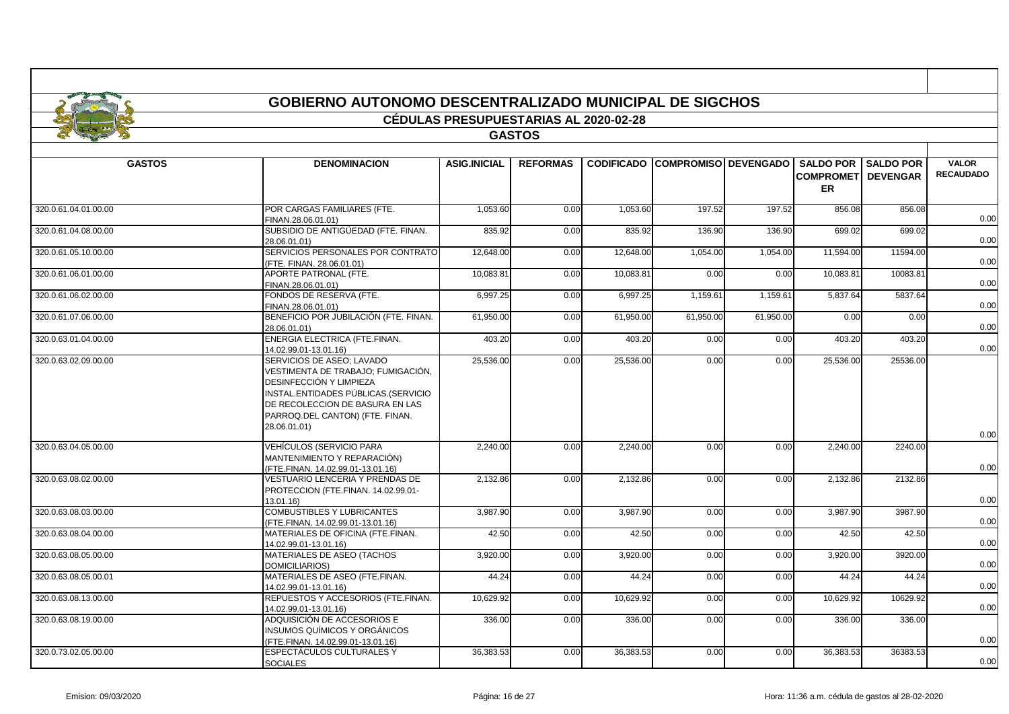|                      | GOBIERNO AUTONOMO DESCENTRALIZADO MUNICIPAL DE SIGCHOS                                                                                                                                                                  |                                              |                 |           |                                        |           |                                         |                              |                                  |
|----------------------|-------------------------------------------------------------------------------------------------------------------------------------------------------------------------------------------------------------------------|----------------------------------------------|-----------------|-----------|----------------------------------------|-----------|-----------------------------------------|------------------------------|----------------------------------|
|                      |                                                                                                                                                                                                                         | <b>CÉDULAS PRESUPUESTARIAS AL 2020-02-28</b> |                 |           |                                        |           |                                         |                              |                                  |
|                      |                                                                                                                                                                                                                         |                                              | <b>GASTOS</b>   |           |                                        |           |                                         |                              |                                  |
|                      |                                                                                                                                                                                                                         |                                              |                 |           |                                        |           |                                         |                              |                                  |
| <b>GASTOS</b>        | <b>DENOMINACION</b>                                                                                                                                                                                                     | <b>ASIG.INICIAL</b>                          | <b>REFORMAS</b> |           | <b>CODIFICADO COMPROMISO DEVENGADO</b> |           | <b>COMPROMETI DEVENGAR</b><br><b>ER</b> | <b>SALDO POR I SALDO POR</b> | <b>VALOR</b><br><b>RECAUDADO</b> |
| 320.0.61.04.01.00.00 | POR CARGAS FAMILIARES (FTE.<br>FINAN.28.06.01.01)                                                                                                                                                                       | 1,053.60                                     | 0.00            | 1,053.60  | 197.52                                 | 197.52    | 856.08                                  | 856.08                       | 0.00                             |
| 320.0.61.04.08.00.00 | SUBSIDIO DE ANTIGÜEDAD (FTE. FINAN.<br>28.06.01.01)                                                                                                                                                                     | 835.92                                       | 0.00            | 835.92    | 136.90                                 | 136.90    | 699.02                                  | 699.02                       | 0.00                             |
| 320.0.61.05.10.00.00 | SERVICIOS PERSONALES POR CONTRATO<br>(FTE. FINAN. 28.06.01.01)                                                                                                                                                          | 12,648.00                                    | 0.00            | 12,648.00 | 1,054.00                               | 1,054.00  | 11,594.00                               | 11594.00                     | 0.00                             |
| 320.0.61.06.01.00.00 | APORTE PATRONAL (FTE.<br>FINAN.28.06.01.01)                                                                                                                                                                             | 10,083.81                                    | 0.00            | 10,083.81 | 0.00                                   | 0.00      | 10,083.81                               | 10083.81                     | 0.00                             |
| 320.0.61.06.02.00.00 | FONDOS DE RESERVA (FTE.<br>FINAN.28.06.01.01)                                                                                                                                                                           | 6,997.25                                     | 0.00            | 6,997.25  | 1,159.61                               | 1,159.61  | 5,837.64                                | 5837.64                      | 0.00                             |
| 320.0.61.07.06.00.00 | BENEFICIO POR JUBILACIÓN (FTE, FINAN,<br>28.06.01.01)                                                                                                                                                                   | 61,950.00                                    | 0.00            | 61,950.00 | 61,950.00                              | 61,950.00 | 0.00                                    | 0.00                         | 0.00                             |
| 320.0.63.01.04.00.00 | ENERGIA ELECTRICA (FTE.FINAN.<br>14.02.99.01-13.01.16)                                                                                                                                                                  | 403.20                                       | 0.00            | 403.20    | 0.00                                   | 0.00      | 403.20                                  | 403.20                       | 0.00                             |
| 320.0.63.02.09.00.00 | SERVICIOS DE ASEO; LAVADO<br>VESTIMENTA DE TRABAJO; FUMIGACIÓN,<br>DESINFECCIÓN Y LIMPIEZA<br>INSTAL.ENTIDADES PÚBLICAS.(SERVICIO<br>DE RECOLECCION DE BASURA EN LAS<br>PARROQ DEL CANTON) (FTE. FINAN.<br>28.06.01.01) | 25,536.00                                    | 0.00            | 25,536.00 | 0.00                                   | 0.00      | 25,536.00                               | 25536.00                     |                                  |
| 320.0.63.04.05.00.00 | VEHÍCULOS (SERVICIO PARA<br>MANTENIMIENTO Y REPARACIÓN)<br>(FTE.FINAN. 14.02.99.01-13.01.16)                                                                                                                            | 2,240.00                                     | 0.00            | 2,240.00  | 0.00                                   | 0.00      | 2,240.00                                | 2240.00                      | 0.00<br>0.00                     |
| 320.0.63.08.02.00.00 | VESTUARIO LENCERIA Y PRENDAS DE<br>PROTECCION (FTE.FINAN. 14.02.99.01-<br>13.01.16                                                                                                                                      | 2,132.86                                     | 0.00            | 2,132.86  | 0.00                                   | 0.00      | 2,132.86                                | 2132.86                      | 0.00                             |
| 320.0.63.08.03.00.00 | <b>COMBUSTIBLES Y LUBRICANTES</b><br>(FTE.FINAN. 14.02.99.01-13.01.16)                                                                                                                                                  | 3,987.90                                     | 0.00            | 3,987.90  | 0.00                                   | 0.00      | 3,987.90                                | 3987.90                      | 0.00                             |
| 320.0.63.08.04.00.00 | MATERIALES DE OFICINA (FTE.FINAN.<br>14.02.99.01-13.01.16)                                                                                                                                                              | 42.50                                        | 0.00            | 42.50     | 0.00                                   | 0.00      | 42.50                                   | 42.50                        | 0.00                             |
| 320.0.63.08.05.00.00 | MATERIALES DE ASEO (TACHOS<br><b>DOMICILIARIOS)</b>                                                                                                                                                                     | 3,920.00                                     | 0.00            | 3,920.00  | 0.00                                   | 0.00      | 3.920.00                                | 3920.00                      | 0.00                             |
| 320.0.63.08.05.00.01 | MATERIALES DE ASEO (FTE.FINAN.<br>14.02.99.01-13.01.16)                                                                                                                                                                 | 44.24                                        | 0.00            | 44.24     | 0.00                                   | 0.00      | 44.24                                   | 44.24                        | 0.00                             |
| 320.0.63.08.13.00.00 | REPUESTOS Y ACCESORIOS (FTE.FINAN.<br>14.02.99.01-13.01.16)                                                                                                                                                             | 10,629.92                                    | 0.00            | 10,629.92 | 0.00                                   | 0.00      | 10,629.92                               | 10629.92                     | 0.00                             |
| 320.0.63.08.19.00.00 | ADQUISICIÓN DE ACCESORIOS E<br>INSUMOS QUÍMICOS Y ORGÁNICOS<br>(FTE.FINAN. 14.02.99.01-13.01.16)                                                                                                                        | 336.00                                       | 0.00            | 336.00    | 0.00                                   | 0.00      | 336.00                                  | 336.00                       | 0.00                             |
| 320.0.73.02.05.00.00 | ESPECTÁCULOS CULTURALES Y<br><b>SOCIALES</b>                                                                                                                                                                            | 36,383.53                                    | 0.00            | 36,383.53 | 0.00                                   | 0.00      | 36,383.53                               | 36383.53                     | 0.00                             |

л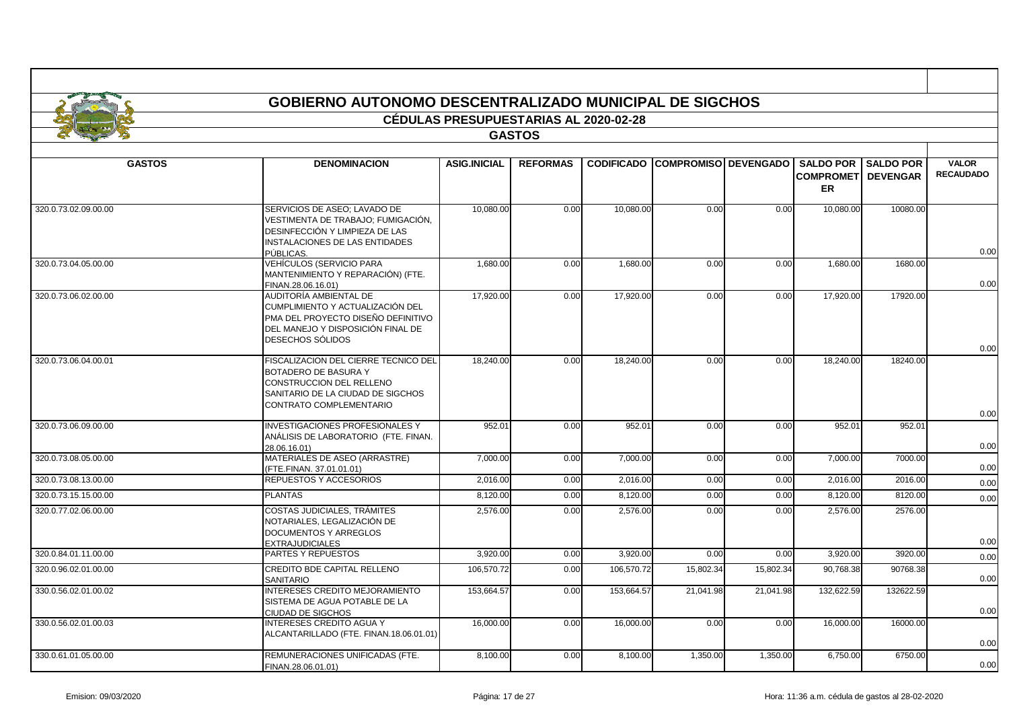|                      | <b>GOBIERNO AUTONOMO DESCENTRALIZADO MUNICIPAL DE SIGCHOS</b>                                                                                             |                                              |                 |                   |                             |           |                                            |                                     |                                  |  |
|----------------------|-----------------------------------------------------------------------------------------------------------------------------------------------------------|----------------------------------------------|-----------------|-------------------|-----------------------------|-----------|--------------------------------------------|-------------------------------------|----------------------------------|--|
|                      |                                                                                                                                                           | <b>CÉDULAS PRESUPUESTARIAS AL 2020-02-28</b> |                 |                   |                             |           |                                            |                                     |                                  |  |
|                      |                                                                                                                                                           |                                              | <b>GASTOS</b>   |                   |                             |           |                                            |                                     |                                  |  |
| <b>GASTOS</b>        | <b>DENOMINACION</b>                                                                                                                                       | <b>ASIG.INICIAL</b>                          | <b>REFORMAS</b> | <b>CODIFICADO</b> | <b>COMPROMISO DEVENGADO</b> |           | <b>SALDO POR</b><br><b>COMPROMET</b><br>ER | <b>SALDO POR</b><br><b>DEVENGAR</b> | <b>VALOR</b><br><b>RECAUDADO</b> |  |
| 320.0.73.02.09.00.00 | SERVICIOS DE ASEO; LAVADO DE<br>VESTIMENTA DE TRABAJO; FUMIGACIÓN,<br>DESINFECCIÓN Y LIMPIEZA DE LAS<br>INSTALACIONES DE LAS ENTIDADES<br>PÚBLICAS.       | 10,080.00                                    | 0.00            | 10,080.00         | 0.00                        | 0.00      | 10,080.00                                  | 10080.00                            | 0.00                             |  |
| 320.0.73.04.05.00.00 | <b>VEHÍCULOS (SERVICIO PARA</b><br>MANTENIMIENTO Y REPARACIÓN) (FTE.<br>FINAN.28.06.16.01)                                                                | 1.680.00                                     | 0.00            | 1.680.00          | 0.00                        | 0.00      | 1.680.00                                   | 1680.00                             | 0.00                             |  |
| 320.0.73.06.02.00.00 | AUDITORÍA AMBIENTAL DE<br>CUMPLIMIENTO Y ACTUALIZACIÓN DEL<br>PMA DEL PROYECTO DISEÑO DEFINITIVO<br>DEL MANEJO Y DISPOSICIÓN FINAL DE<br>DESECHOS SÓLIDOS | 17,920.00                                    | 0.00            | 17,920.00         | 0.00                        | 0.00      | 17,920.00                                  | 17920.00                            | 0.00                             |  |
| 320.0.73.06.04.00.01 | FISCALIZACION DEL CIERRE TECNICO DEL<br>BOTADERO DE BASURA Y<br>CONSTRUCCION DEL RELLENO<br>SANITARIO DE LA CIUDAD DE SIGCHOS<br>CONTRATO COMPLEMENTARIO  | 18,240.00                                    | 0.00            | 18,240.00         | 0.00                        | 0.00      | 18,240.00                                  | 18240.00                            | 0.00                             |  |
| 320.0.73.06.09.00.00 | <b>INVESTIGACIONES PROFESIONALES Y</b><br>ANÁLISIS DE LABORATORIO (FTE. FINAN.<br>28.06.16.01)                                                            | 952.01                                       | 0.00            | 952.01            | 0.00                        | 0.00      | 952.01                                     | 952.01                              | 0.00                             |  |
| 320.0.73.08.05.00.00 | MATERIALES DE ASEO (ARRASTRE)<br>(FTE.FINAN. 37.01.01.01)                                                                                                 | 7,000.00                                     | 0.00            | 7,000.00          | 0.00                        | 0.00      | 7,000.00                                   | 7000.00                             | 0.00                             |  |
| 320.0.73.08.13.00.00 | REPUESTOS Y ACCESORIOS                                                                                                                                    | 2,016.00                                     | 0.00            | 2,016.00          | 0.00                        | 0.00      | 2,016.00                                   | 2016.00                             | 0.00                             |  |
| 320.0.73.15.15.00.00 | <b>PLANTAS</b>                                                                                                                                            | 8,120.00                                     | 0.00            | 8,120.00          | 0.00                        | 0.00      | 8,120.00                                   | 8120.00                             | 0.00                             |  |
| 320.0.77.02.06.00.00 | <b>COSTAS JUDICIALES. TRÁMITES</b><br>NOTARIALES, LEGALIZACIÓN DE<br><b>DOCUMENTOS Y ARREGLOS</b><br><b>EXTRAJUDICIALES</b>                               | 2.576.00                                     | 0.00            | 2.576.00          | 0.00                        | 0.00      | 2.576.00                                   | 2576.00                             | 0.00                             |  |
| 320.0.84.01.11.00.00 | PARTES Y REPUESTOS                                                                                                                                        | 3,920.00                                     | 0.00            | 3,920.00          | 0.00                        | 0.00      | 3,920.00                                   | 3920.00                             | 0.00                             |  |
| 320.0.96.02.01.00.00 | CREDITO BDE CAPITAL RELLENO<br><b>SANITARIO</b>                                                                                                           | 106,570.72                                   | 0.00            | 106,570.72        | 15,802.34                   | 15,802.34 | 90,768.38                                  | 90768.38                            | 0.00                             |  |
| 330.0.56.02.01.00.02 | INTERESES CREDITO MEJORAMIENTO<br>SISTEMA DE AGUA POTABLE DE LA<br><b>CIUDAD DE SIGCHOS</b>                                                               | 153,664.57                                   | 0.00            | 153,664.57        | 21,041.98                   | 21,041.98 | 132,622.59                                 | 132622.59                           | 0.00                             |  |
| 330.0.56.02.01.00.03 | <b>INTERESES CREDITO AGUA Y</b><br>ALCANTARILLADO (FTE. FINAN.18.06.01.01)                                                                                | 16,000.00                                    | 0.00            | 16,000.00         | 0.00                        | 0.00      | 16,000.00                                  | 16000.00                            | 0.00                             |  |
| 330.0.61.01.05.00.00 | REMUNERACIONES UNIFICADAS (FTE.<br>FINAN.28.06.01.01)                                                                                                     | 8,100.00                                     | 0.00            | 8,100.00          | 1,350.00                    | 1,350.00  | 6,750.00                                   | 6750.00                             | 0.00                             |  |

- 11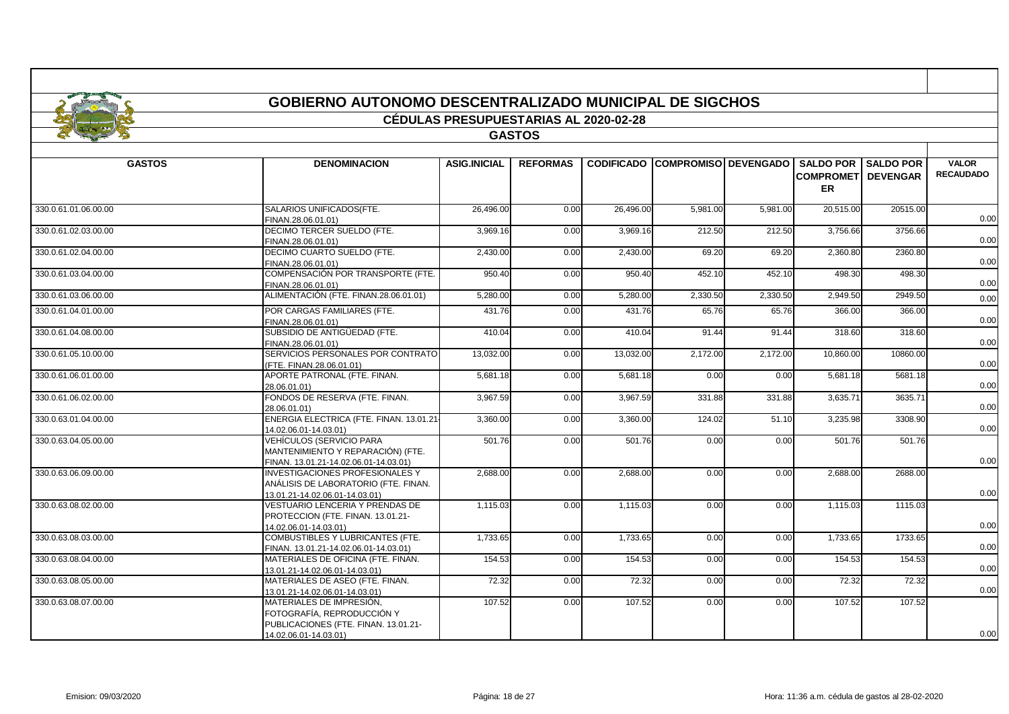|                                              |                                                                                                                         | <b>CÉDULAS PRESUPUESTARIAS AL 2020-02-28</b> |                 |                    |                                        |                   |                                                             |                   |                                  |
|----------------------------------------------|-------------------------------------------------------------------------------------------------------------------------|----------------------------------------------|-----------------|--------------------|----------------------------------------|-------------------|-------------------------------------------------------------|-------------------|----------------------------------|
|                                              |                                                                                                                         |                                              |                 |                    |                                        |                   |                                                             |                   |                                  |
|                                              |                                                                                                                         |                                              | <b>GASTOS</b>   |                    |                                        |                   |                                                             |                   |                                  |
| <b>GASTOS</b>                                | <b>DENOMINACION</b>                                                                                                     | <b>ASIG.INICIAL</b>                          | <b>REFORMAS</b> |                    | <b>CODIFICADO COMPROMISO DEVENGADO</b> |                   | <b>SALDO POR</b><br><b>COMPROMETI DEVENGAR</b><br><b>ER</b> | <b>SALDO POR</b>  | <b>VALOR</b><br><b>RECAUDADO</b> |
| 330.0.61.01.06.00.00                         | SALARIOS UNIFICADOS(FTE.                                                                                                | 26,496.00                                    | 0.00            | 26,496.00          | 5,981.00                               | 5.981.00          | 20,515.00                                                   | 20515.00          |                                  |
| 330.0.61.02.03.00.00                         | FINAN.28.06.01.01)<br>DECIMO TERCER SUELDO (FTE.                                                                        | 3,969.16                                     | 0.00            | 3,969.16           | 212.50                                 | 212.50            | 3,756.66                                                    | 3756.66           | 0.00                             |
| 330.0.61.02.04.00.00                         | FINAN.28.06.01.01)<br>DECIMO CUARTO SUELDO (FTE.                                                                        | 2,430.00                                     | 0.00            | 2,430.00           | 69.20                                  | 69.20             | 2,360.80                                                    | 2360.80           | 0.00                             |
| 330.0.61.03.04.00.00                         | FINAN.28.06.01.01)<br>COMPENSACIÓN POR TRANSPORTE (FTE.                                                                 | 950.40                                       | 0.00            | 950.40             | 452.10                                 | 452.10            | 498.30                                                      | 498.30            | 0.00                             |
|                                              | FINAN.28.06.01.01)<br>ALIMENTACIÓN (FTE. FINAN.28.06.01.01)                                                             |                                              |                 |                    |                                        |                   |                                                             |                   | 0.00                             |
| 330.0.61.03.06.00.00<br>330.0.61.04.01.00.00 | POR CARGAS FAMILIARES (FTE.                                                                                             | 5,280.00<br>431.76                           | 0.00<br>0.00    | 5,280.00<br>431.76 | 2,330.50<br>65.76                      | 2,330.50<br>65.76 | 2.949.50<br>366.00                                          | 2949.50<br>366.00 | 0.00                             |
| 330.0.61.04.08.00.00                         | FINAN.28.06.01.01)<br>SUBSIDIO DE ANTIGÜEDAD (FTE.                                                                      | 410.04                                       | 0.00            | 410.04             | 91.44                                  | 91.44             | 318.60                                                      | 318.60            | 0.00                             |
|                                              | FINAN.28.06.01.01)<br>SERVICIOS PERSONALES POR CONTRATO                                                                 |                                              |                 |                    |                                        |                   |                                                             |                   | 0.00                             |
| 330.0.61.05.10.00.00                         | (FTE. FINAN.28.06.01.01)                                                                                                | 13.032.00                                    | 0.00            | 13,032.00          | 2,172.00                               | 2,172.00          | 10,860.00                                                   | 10860.00          | 0.00                             |
| 330.0.61.06.01.00.00                         | APORTE PATRONAL (FTE. FINAN.<br>28.06.01.01)                                                                            | 5.681.18                                     | 0.00            | 5,681.18           | 0.00                                   | 0.00              | 5,681.18                                                    | 5681.18           | 0.00                             |
| 330.0.61.06.02.00.00                         | FONDOS DE RESERVA (FTE, FINAN.<br>28.06.01.01)                                                                          | 3.967.59                                     | 0.00            | 3,967.59           | 331.88                                 | 331.88            | 3.635.7'                                                    | 3635.7            | 0.00                             |
| 330.0.63.01.04.00.00                         | ENERGIA ELECTRICA (FTE. FINAN. 13.01.21-<br>14.02.06.01-14.03.01)                                                       | 3,360.00                                     | 0.00            | 3,360.00           | 124.02                                 | 51.10             | 3,235.98                                                    | 3308.90           | 0.00                             |
| 330.0.63.04.05.00.00                         | VEHÍCULOS (SERVICIO PARA<br>MANTENIMIENTO Y REPARACIÓN) (FTE.<br>FINAN. 13.01.21-14.02.06.01-14.03.01)                  | 501.76                                       | 0.00            | 501.76             | 0.00                                   | 0.00              | 501.76                                                      | 501.76            | 0.00                             |
| 330.0.63.06.09.00.00                         | <b>INVESTIGACIONES PROFESIONALES Y</b><br>ANÁLISIS DE LABORATORIO (FTE. FINAN.<br>13.01.21-14.02.06.01-14.03.01)        | 2,688.00                                     | 0.00            | 2,688.00           | 0.00                                   | 0.00              | 2.688.00                                                    | 2688.00           | 0.00                             |
| 330.0.63.08.02.00.00                         | VESTUARIO LENCERIA Y PRENDAS DE<br>PROTECCION (FTE. FINAN. 13.01.21-<br>14.02.06.01-14.03.01)                           | 1,115.03                                     | 0.00            | 1,115.03           | 0.00                                   | 0.00              | 1,115.03                                                    | 1115.03           | 0.00                             |
| 330.0.63.08.03.00.00                         | COMBUSTIBLES Y LUBRICANTES (FTE.<br>FINAN. 13.01.21-14.02.06.01-14.03.01)                                               | 1,733.65                                     | 0.00            | 1,733.65           | 0.00                                   | 0.00              | 1,733.65                                                    | 1733.65           | 0.00                             |
| 330.0.63.08.04.00.00                         | MATERIALES DE OFICINA (FTE. FINAN.<br>13.01.21-14.02.06.01-14.03.01)                                                    | 154.53                                       | 0.00            | 154.53             | 0.00                                   | 0.00              | 154.53                                                      | 154.53            | 0.00                             |
| 330.0.63.08.05.00.00                         | MATERIALES DE ASEO (FTE. FINAN.<br>13.01.21-14.02.06.01-14.03.01)                                                       | 72.32                                        | 0.00            | 72.32              | 0.00                                   | 0.00              | 72.32                                                       | 72.32             | 0.00                             |
| 330.0.63.08.07.00.00                         | MATERIALES DE IMPRESIÓN.<br>FOTOGRAFÍA. REPRODUCCIÓN Y<br>PUBLICACIONES (FTE. FINAN. 13.01.21-<br>14 02 06 01-14 03 01) | 107.52                                       | 0.00            | 107.52             | 0.00                                   | 0.00              | 107.52                                                      | 107.52            | 0.00                             |

14.02.06.01-14.03.01)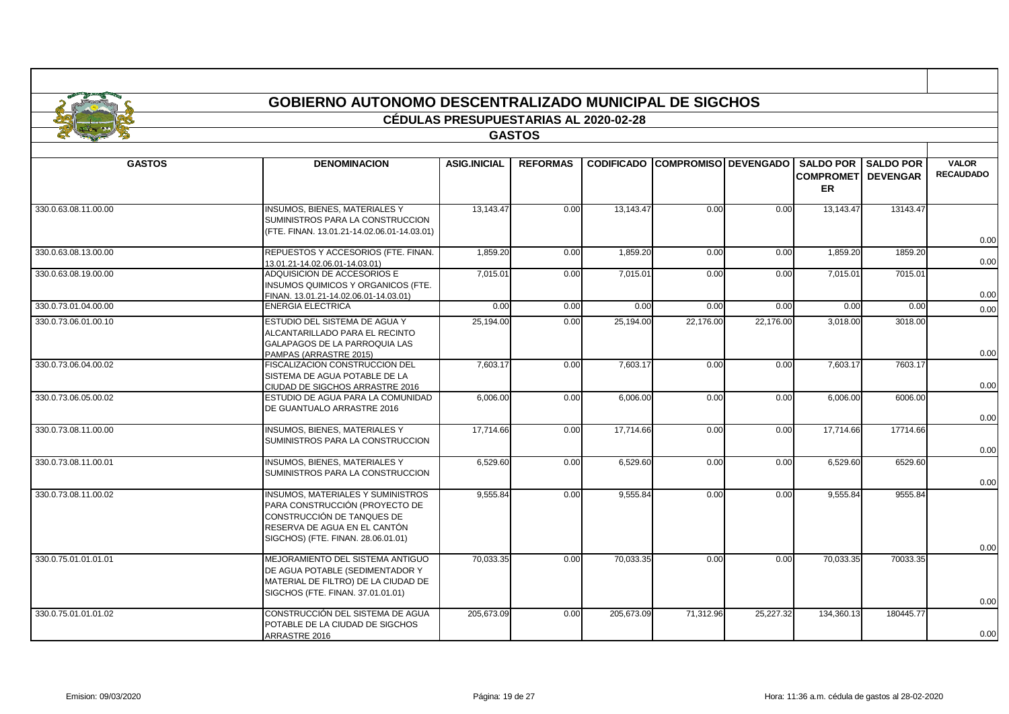|                      | <b>GOBIERNO AUTONOMO DESCENTRALIZADO MUNICIPAL DE SIGCHOS</b>                                                                                                                  |                                              |                 |            |                                 |           |                                                   |                                     |                                  |
|----------------------|--------------------------------------------------------------------------------------------------------------------------------------------------------------------------------|----------------------------------------------|-----------------|------------|---------------------------------|-----------|---------------------------------------------------|-------------------------------------|----------------------------------|
|                      |                                                                                                                                                                                | <b>CÉDULAS PRESUPUESTARIAS AL 2020-02-28</b> |                 |            |                                 |           |                                                   |                                     |                                  |
|                      |                                                                                                                                                                                |                                              | <b>GASTOS</b>   |            |                                 |           |                                                   |                                     |                                  |
| <b>GASTOS</b>        | <b>DENOMINACION</b>                                                                                                                                                            | <b>ASIG.INICIAL</b>                          | <b>REFORMAS</b> |            | CODIFICADO COMPROMISO DEVENGADO |           | <b>SALDO POR</b><br><b>COMPROMET</b><br><b>ER</b> | <b>SALDO POR</b><br><b>DEVENGAR</b> | <b>VALOR</b><br><b>RECAUDADO</b> |
| 330.0.63.08.11.00.00 | <b>INSUMOS, BIENES, MATERIALES Y</b><br>SUMINISTROS PARA LA CONSTRUCCION<br>(FTE, FINAN, 13.01.21-14.02.06.01-14.03.01)                                                        | 13.143.47                                    | 0.00            | 13,143.47  | 0.00                            | 0.00      | 13.143.47                                         | 13143.47                            | 0.00                             |
| 330.0.63.08.13.00.00 | REPUESTOS Y ACCESORIOS (FTE. FINAN.<br>13.01.21-14.02.06.01-14.03.01)                                                                                                          | 1,859.20                                     | 0.00            | 1,859.20   | 0.00                            | 0.00      | 1,859.20                                          | 1859.20                             | 0.00                             |
| 330.0.63.08.19.00.00 | ADQUISICION DE ACCESORIOS E<br>INSUMOS QUIMICOS Y ORGANICOS (FTE.<br>FINAN. 13.01.21-14.02.06.01-14.03.01)                                                                     | 7,015.01                                     | 0.00            | 7,015.01   | 0.00                            | 0.00      | 7,015.01                                          | 7015.01                             | 0.00                             |
| 330.0.73.01.04.00.00 | <b>ENERGIA ELECTRICA</b>                                                                                                                                                       | 0.00                                         | 0.00            | 0.00       | 0.00                            | 0.00      | 0.00                                              | 0.00                                | 0.00                             |
| 330.0.73.06.01.00.10 | ESTUDIO DEL SISTEMA DE AGUA Y<br>ALCANTARILLADO PARA EL RECINTO<br><b>GALAPAGOS DE LA PARROQUIA LAS</b>                                                                        | 25.194.00                                    | 0.00            | 25.194.00  | 22.176.00                       | 22.176.00 | 3.018.00                                          | 3018.00                             | 0.00                             |
| 330.0.73.06.04.00.02 | PAMPAS (ARRASTRE 2015)<br>FISCALIZACION CONSTRUCCION DEL<br>SISTEMA DE AGUA POTABLE DE LA<br>CIUDAD DE SIGCHOS ARRASTRE 2016                                                   | 7,603.17                                     | 0.00            | 7,603.17   | 0.00                            | 0.00      | 7,603.17                                          | 7603.17                             | 0.00                             |
| 330.0.73.06.05.00.02 | ESTUDIO DE AGUA PARA LA COMUNIDAD<br>DE GUANTUALO ARRASTRE 2016                                                                                                                | 6.006.00                                     | 0.00            | 6,006.00   | 0.00                            | 0.00      | 6.006.00                                          | 6006.00                             | 0.00                             |
| 330.0.73.08.11.00.00 | <b>INSUMOS, BIENES, MATERIALES Y</b><br>SUMINISTROS PARA LA CONSTRUCCION                                                                                                       | 17.714.66                                    | 0.00            | 17.714.66  | 0.00                            | 0.00      | 17.714.66                                         | 17714.66                            | 0.00                             |
| 330.0.73.08.11.00.01 | <b>INSUMOS, BIENES, MATERIALES Y</b><br>SUMINISTROS PARA LA CONSTRUCCION                                                                                                       | 6,529.60                                     | 0.00            | 6,529.60   | 0.00                            | 0.00      | 6,529.60                                          | 6529.60                             | 0.00                             |
| 330.0.73.08.11.00.02 | <b>INSUMOS, MATERIALES Y SUMINISTROS</b><br>PARA CONSTRUCCIÓN (PROYECTO DE<br>CONSTRUCCIÓN DE TANQUES DE<br>RESERVA DE AGUA EN EL CANTÓN<br>SIGCHOS) (FTE. FINAN. 28.06.01.01) | 9,555.84                                     | 0.00            | 9,555.84   | 0.00                            | 0.00      | 9.555.84                                          | 9555.84                             | 0.00                             |
| 330.0.75.01.01.01.01 | MEJORAMIENTO DEL SISTEMA ANTIGUO<br>DE AGUA POTABLE (SEDIMENTADOR Y<br>MATERIAL DE FILTRO) DE LA CIUDAD DE<br>SIGCHOS (FTE. FINAN. 37.01.01.01)                                | 70.033.35                                    | 0.00            | 70,033.35  | 0.00                            | 0.00      | 70.033.35                                         | 70033.35                            | 0.00                             |
| 330.0.75.01.01.01.02 | CONSTRUCCIÓN DEL SISTEMA DE AGUA<br>POTABLE DE LA CIUDAD DE SIGCHOS<br>ARRASTRE 2016                                                                                           | 205,673.09                                   | 0.00            | 205,673.09 | 71,312.96                       | 25,227.32 | 134,360.13                                        | 180445.77                           | 0.00                             |

ா

┱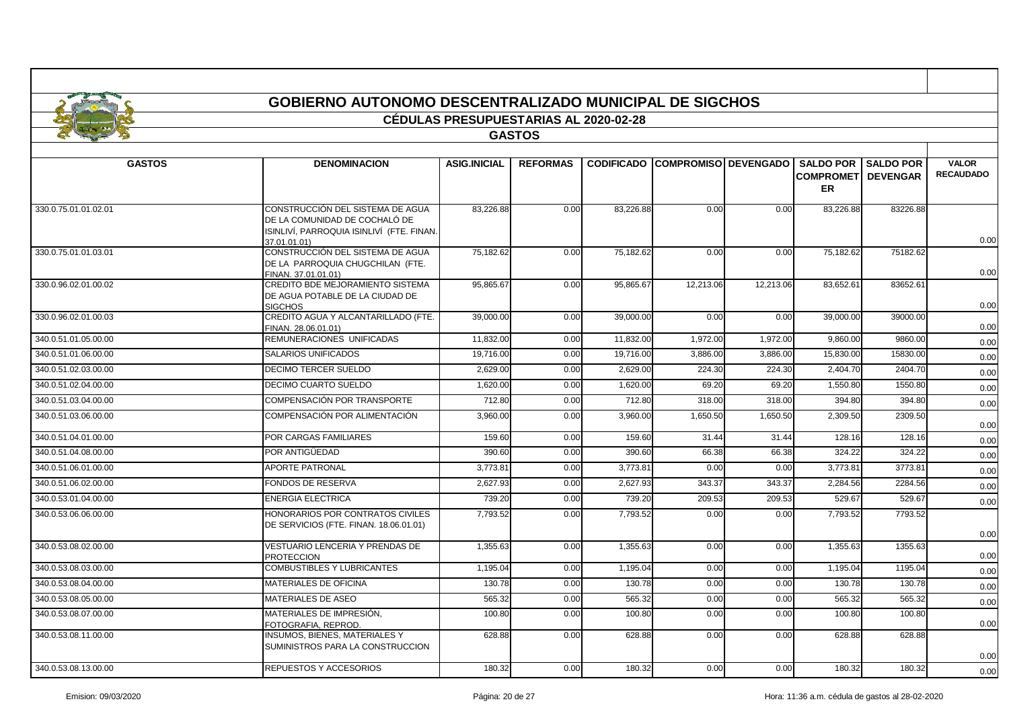|                      |                                                                                                                                 | <b>CÉDULAS PRESUPUESTARIAS AL 2020-02-28</b> |                 |                   |                               |           |                                         |                              |                  |
|----------------------|---------------------------------------------------------------------------------------------------------------------------------|----------------------------------------------|-----------------|-------------------|-------------------------------|-----------|-----------------------------------------|------------------------------|------------------|
|                      |                                                                                                                                 |                                              | <b>GASTOS</b>   |                   |                               |           |                                         |                              |                  |
|                      |                                                                                                                                 |                                              |                 |                   |                               |           |                                         | <b>VALOR</b>                 |                  |
| <b>GASTOS</b>        | <b>DENOMINACION</b>                                                                                                             | <b>ASIG.INICIAL</b>                          | <b>REFORMAS</b> | <b>CODIFICADO</b> | <b>COMPROMISO   DEVENGADO</b> |           | <b>COMPROMETI DEVENGAR</b><br><b>ER</b> | <b>SALDO POR I SALDO POR</b> | <b>RECAUDADO</b> |
| 330.0.75.01.01.02.01 | CONSTRUCCIÓN DEL SISTEMA DE AGUA<br>DE LA COMUNIDAD DE COCHALÓ DE<br>ISINLIVÍ, PARROQUIA ISINLIVÍ  (FTE. FINAN.<br>37.01.01.01) | 83,226.88                                    | 0.00            | 83,226.88         | 0.00                          | 0.00      | 83,226.88                               | 83226.88                     | 0.00             |
| 330.0.75.01.01.03.01 | CONSTRUCCIÓN DEL SISTEMA DE AGUA<br>DE LA PARROQUIA CHUGCHILAN (FTE.<br>FINAN. 37.01.01.01)                                     | 75,182.62                                    | 0.00            | 75,182.62         | 0.00                          | 0.00      | 75,182.62                               | 75182.62                     | 0.00             |
| 330.0.96.02.01.00.02 | CREDITO BDE MEJORAMIENTO SISTEMA<br>DE AGUA POTABLE DE LA CIUDAD DE<br><b>SIGCHOS</b>                                           | 95,865.67                                    | 0.00            | 95,865.67         | 12,213.06                     | 12,213.06 | 83,652.61                               | 83652.61                     | 0.00             |
| 330.0.96.02.01.00.03 | CREDITO AGUA Y ALCANTARILLADO (FTE.<br>FINAN. 28.06.01.01)                                                                      | 39,000.00                                    | 0.00            | 39,000.00         | 0.00                          | 0.00      | 39,000.00                               | 39000.00                     | 0.00             |
| 340.0.51.01.05.00.00 | REMUNERACIONES UNIFICADAS                                                                                                       | 11,832.00                                    | 0.00            | 11,832.00         | 1,972.00                      | 1,972.00  | 9,860.00                                | 9860.00                      | 0.00             |
| 340.0.51.01.06.00.00 | SALARIOS UNIFICADOS                                                                                                             | 19,716.00                                    | 0.00            | 19,716.00         | 3,886.00                      | 3,886.00  | 15,830.00                               | 15830.00                     | 0.00             |
| 340.0.51.02.03.00.00 | DECIMO TERCER SUELDO                                                                                                            | 2,629.00                                     | 0.00            | 2,629.00          | 224.30                        | 224.30    | 2,404.70                                | 2404.70                      | 0.00             |
| 340.0.51.02.04.00.00 | <b>DECIMO CUARTO SUELDO</b>                                                                                                     | 1,620.00                                     | 0.00            | 1,620.00          | 69.20                         | 69.20     | 1,550.80                                | 1550.80                      | 0.00             |
| 340.0.51.03.04.00.00 | COMPENSACIÓN POR TRANSPORTE                                                                                                     | 712.80                                       | 0.00            | 712.80            | 318.00                        | 318.00    | 394.80                                  | 394.80                       | 0.00             |
| 340.0.51.03.06.00.00 | COMPENSACIÓN POR ALIMENTACIÓN                                                                                                   | 3,960.00                                     | 0.00            | 3,960.00          | 1,650.50                      | 1,650.50  | 2,309.50                                | 2309.50                      | 0.00             |
| 340.0.51.04.01.00.00 | POR CARGAS FAMILIARES                                                                                                           | 159.60                                       | 0.00            | 159.60            | 31.44                         | 31.44     | 128.16                                  | 128.16                       | 0.00             |
| 340.0.51.04.08.00.00 | POR ANTIGÜEDAD                                                                                                                  | 390.60                                       | 0.00            | 390.60            | 66.38                         | 66.38     | 324.22                                  | 324.22                       | 0.00             |
| 340.0.51.06.01.00.00 | <b>APORTE PATRONAL</b>                                                                                                          | 3,773.81                                     | 0.00            | 3,773.8'          | 0.00                          | 0.00      | 3,773.81                                | 3773.81                      | 0.00             |
| 340.0.51.06.02.00.00 | FONDOS DE RESERVA                                                                                                               | 2,627.93                                     | 0.00            | 2,627.93          | 343.37                        | 343.37    | 2,284.56                                | 2284.56                      | 0.00             |
| 340.0.53.01.04.00.00 | ENERGIA ELECTRICA                                                                                                               | 739.20                                       | 0.00            | 739.20            | 209.53                        | 209.53    | 529.67                                  | 529.67                       | 0.00             |
| 340.0.53.06.06.00.00 | HONORARIOS POR CONTRATOS CIVILES<br>DE SERVICIOS (FTE. FINAN. 18.06.01.01)                                                      | 7,793.52                                     | 0.00            | 7,793.52          | 0.00                          | 0.00      | 7,793.52                                | 7793.52                      | 0.00             |
| 340.0.53.08.02.00.00 | VESTUARIO LENCERIA Y PRENDAS DE<br><b>PROTECCION</b>                                                                            | 1,355.63                                     | 0.00            | 1,355.63          | 0.00                          | 0.00      | 1,355.63                                | 1355.63                      | 0.00             |
| 340.0.53.08.03.00.00 | COMBUSTIBLES Y LUBRICANTES                                                                                                      | 1.195.04                                     | 0.00            | 1.195.04          | 0.00                          | 0.00      | 1,195.04                                | 1195.04                      | 0.00             |
| 340.0.53.08.04.00.00 | MATERIALES DE OFICINA                                                                                                           | 130.78                                       | 0.00            | 130.78            | 0.00                          | 0.00      | 130.78                                  | 130.78                       | 0.00             |
| 340.0.53.08.05.00.00 | MATERIALES DE ASEO                                                                                                              | 565.32                                       | 0.00            | 565.32            | 0.00                          | 0.00      | 565.32                                  | 565.32                       | 0.00             |
| 340.0.53.08.07.00.00 | MATERIALES DE IMPRESIÓN.<br>FOTOGRAFIA, REPROD.                                                                                 | 100.80                                       | 0.00            | 100.80            | 0.00                          | 0.00      | 100.80                                  | 100.80                       | 0.00             |
| 340.0.53.08.11.00.00 | <b>INSUMOS, BIENES, MATERIALES Y</b><br>SUMINISTROS PARA LA CONSTRUCCION                                                        | 628.88                                       | 0.00            | 628.88            | 0.00                          | 0.00      | 628.88                                  | 628.88                       | 0.00             |
| 340.0.53.08.13.00.00 | REPUESTOS Y ACCESORIOS                                                                                                          | 180.32                                       | 0.00            | 180.32            | 0.00                          | 0.00      | 180.32                                  | 180.32                       | 0.00             |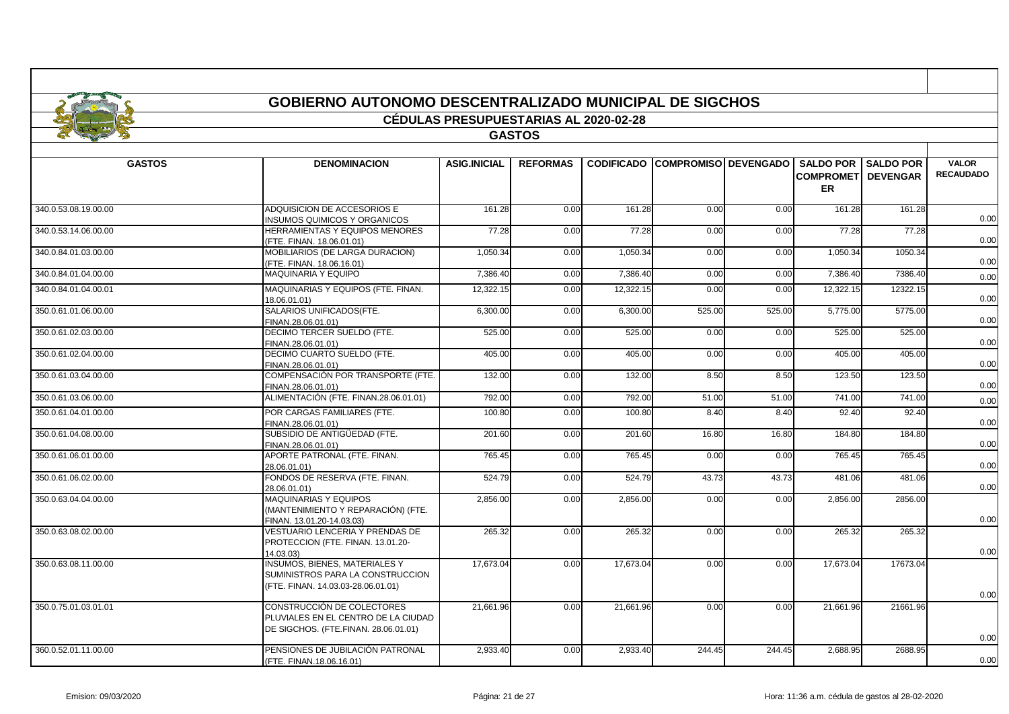|                      | <b>GOBIERNO AUTONOMO DESCENTRALIZADO MUNICIPAL DE SIGCHOS</b>                                                  |                                              |                 |           |                                        |        |                                            |                                     |                                  |
|----------------------|----------------------------------------------------------------------------------------------------------------|----------------------------------------------|-----------------|-----------|----------------------------------------|--------|--------------------------------------------|-------------------------------------|----------------------------------|
|                      |                                                                                                                | <b>CÉDULAS PRESUPUESTARIAS AL 2020-02-28</b> |                 |           |                                        |        |                                            |                                     |                                  |
|                      |                                                                                                                |                                              | <b>GASTOS</b>   |           |                                        |        |                                            |                                     |                                  |
| <b>GASTOS</b>        | <b>DENOMINACION</b>                                                                                            | <b>ASIG.INICIAL</b>                          | <b>REFORMAS</b> |           | <b>CODIFICADO COMPROMISO DEVENGADO</b> |        | <b>SALDO POR</b><br><b>COMPROMET</b><br>ER | <b>SALDO POR</b><br><b>DEVENGAR</b> | <b>VALOR</b><br><b>RECAUDADO</b> |
| 340.0.53.08.19.00.00 | ADQUISICION DE ACCESORIOS E<br><b>INSUMOS QUIMICOS Y ORGANICOS</b>                                             | 161.28                                       | 0.00            | 161.28    | 0.00                                   | 0.00   | 161.28                                     | 161.28                              | 0.00                             |
| 340.0.53.14.06.00.00 | HERRAMIENTAS Y EQUIPOS MENORES<br>(FTE, FINAN, 18.06.01.01)                                                    | 77.28                                        | 0.00            | 77.28     | 0.00                                   | 0.00   | 77.28                                      | 77.28                               | 0.00                             |
| 340.0.84.01.03.00.00 | MOBILIARIOS (DE LARGA DURACION)<br>(FTE. FINAN. 18.06.16.01)                                                   | 1,050.34                                     | 0.00            | 1,050.34  | 0.00                                   | 0.00   | 1,050.34                                   | 1050.34                             | 0.00                             |
| 340.0.84.01.04.00.00 | <b>MAQUINARIA Y EQUIPO</b>                                                                                     | 7,386.40                                     | 0.00            | 7,386.40  | 0.00                                   | 0.00   | 7,386.40                                   | 7386.40                             | 0.00                             |
| 340.0.84.01.04.00.01 | MAQUINARIAS Y EQUIPOS (FTE. FINAN.<br>18.06.01.01)                                                             | 12,322.15                                    | 0.00            | 12,322.15 | 0.00                                   | 0.00   | 12,322.15                                  | 12322.15                            | 0.00                             |
| 350.0.61.01.06.00.00 | SALARIOS UNIFICADOS(FTE.<br>FINAN.28.06.01.01)                                                                 | 6,300.00                                     | 0.00            | 6,300.00  | 525.00                                 | 525.00 | 5,775.00                                   | 5775.00                             | 0.00                             |
| 350.0.61.02.03.00.00 | DECIMO TERCER SUELDO (FTE.<br>FINAN.28.06.01.01)                                                               | 525.00                                       | 0.00            | 525.00    | 0.00                                   | 0.00   | 525.00                                     | 525.00                              | 0.00                             |
| 350.0.61.02.04.00.00 | DECIMO CUARTO SUELDO (FTE.<br>FINAN.28.06.01.01)                                                               | 405.00                                       | 0.00            | 405.00    | 0.00                                   | 0.00   | 405.00                                     | 405.00                              | 0.00                             |
| 350.0.61.03.04.00.00 | COMPENSACIÓN POR TRANSPORTE (FTE.<br>FINAN.28.06.01.01)                                                        | 132.00                                       | 0.00            | 132.00    | 8.50                                   | 8.50   | 123.50                                     | 123.50                              | 0.00                             |
| 350.0.61.03.06.00.00 | ALIMENTACIÓN (FTE. FINAN.28.06.01.01)                                                                          | 792.00                                       | 0.00            | 792.00    | 51.00                                  | 51.00  | 741.00                                     | 741.00                              | 0.00                             |
| 350.0.61.04.01.00.00 | POR CARGAS FAMILIARES (FTE.<br>FINAN.28.06.01.01)                                                              | 100.80                                       | 0.00            | 100.80    | 8.40                                   | 8.40   | 92.40                                      | 92.40                               | 0.00                             |
| 350.0.61.04.08.00.00 | SUBSIDIO DE ANTIGÜEDAD (FTE.<br>FINAN.28.06.01.01)                                                             | 201.60                                       | 0.00            | 201.60    | 16.80                                  | 16.80  | 184.80                                     | 184.80                              | 0.00                             |
| 350.0.61.06.01.00.00 | APORTE PATRONAL (FTE. FINAN.<br>28.06.01.01)                                                                   | 765.45                                       | 0.00            | 765.45    | 0.00                                   | 0.00   | 765.45                                     | 765.45                              | 0.00                             |
| 350.0.61.06.02.00.00 | FONDOS DE RESERVA (FTE, FINAN,<br>28.06.01.01)                                                                 | 524.79                                       | 0.00            | 524.79    | 43.73                                  | 43.73  | 481.06                                     | 481.06                              | 0.00                             |
| 350.0.63.04.04.00.00 | <b>MAQUINARIAS Y EQUIPOS</b><br>(MANTENIMIENTO Y REPARACIÓN) (FTE.<br>FINAN. 13.01.20-14.03.03)                | 2.856.00                                     | 0.00            | 2.856.00  | 0.00                                   | 0.00   | 2.856.00                                   | 2856.00                             | 0.00                             |
| 350.0.63.08.02.00.00 | VESTUARIO LENCERIA Y PRENDAS DE<br>PROTECCION (FTE. FINAN. 13.01.20-<br>14.03.03)                              | 265.32                                       | 0.00            | 265.32    | 0.00                                   | 0.00   | 265.32                                     | 265.32                              | 0.00                             |
| 350.0.63.08.11.00.00 | <b>INSUMOS. BIENES. MATERIALES Y</b><br>SUMINISTROS PARA LA CONSTRUCCION<br>(FTE. FINAN. 14.03.03-28.06.01.01) | 17.673.04                                    | 0.00            | 17,673.04 | 0.00                                   | 0.00   | 17.673.04                                  | 17673.04                            | 0.00                             |
| 350.0.75.01.03.01.01 | CONSTRUCCIÓN DE COLECTORES<br>PLUVIALES EN EL CENTRO DE LA CIUDAD<br>DE SIGCHOS. (FTE.FINAN. 28.06.01.01)      | 21.661.96                                    | 0.00            | 21.661.96 | 0.00                                   | 0.00   | 21.661.96                                  | 21661.96                            | 0.00                             |
| 360.0.52.01.11.00.00 | PENSIONES DE JUBILACIÓN PATRONAL<br>(FTE. FINAN.18.06.16.01)                                                   | 2,933.40                                     | 0.00            | 2,933.40  | 244.45                                 | 244.45 | 2,688.95                                   | 2688.95                             | 0.00                             |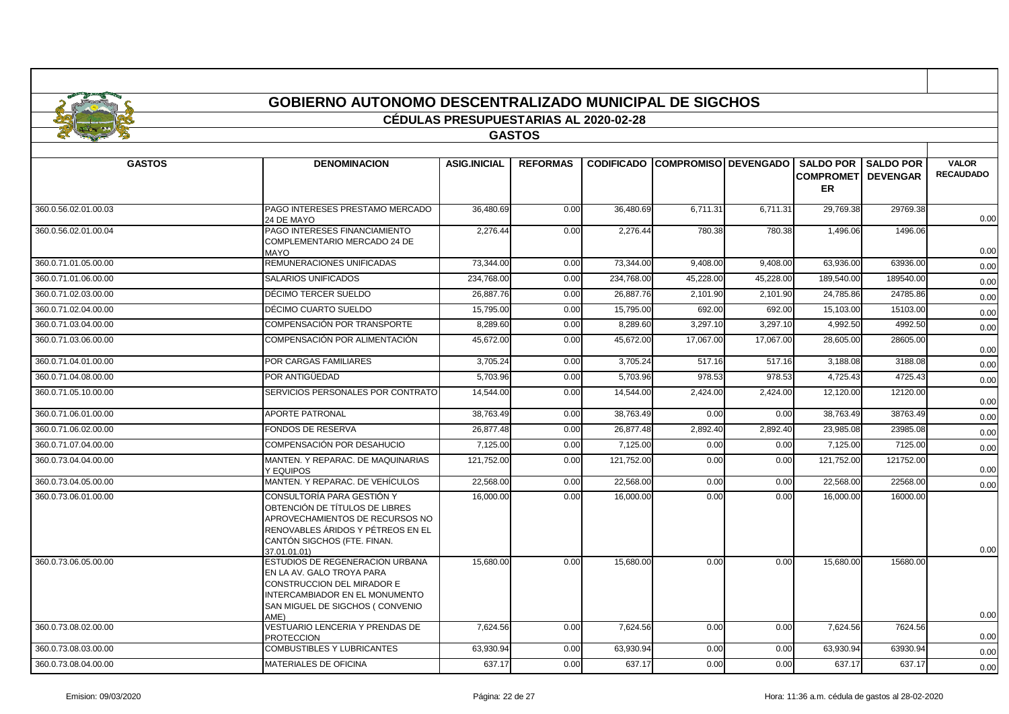|                      | GOBIERNO AUTONOMO DESCENTRALIZADO MUNICIPAL DE SIGCHOS |                                              |                 |            |                                        |           |                   |                  |                  |  |  |  |
|----------------------|--------------------------------------------------------|----------------------------------------------|-----------------|------------|----------------------------------------|-----------|-------------------|------------------|------------------|--|--|--|
|                      |                                                        | <b>CÉDULAS PRESUPUESTARIAS AL 2020-02-28</b> |                 |            |                                        |           |                   |                  |                  |  |  |  |
|                      |                                                        |                                              | <b>GASTOS</b>   |            |                                        |           |                   |                  |                  |  |  |  |
|                      |                                                        |                                              |                 |            |                                        |           |                   |                  |                  |  |  |  |
| <b>GASTOS</b>        | <b>DENOMINACION</b>                                    | <b>ASIG.INICIAL</b>                          | <b>REFORMAS</b> |            | <b>CODIFICADO COMPROMISO DEVENGADO</b> |           | <b>SALDO POR</b>  | <b>SALDO POR</b> | <b>VALOR</b>     |  |  |  |
|                      |                                                        |                                              |                 |            |                                        |           | <b>COMPROMETI</b> | <b>DEVENGAR</b>  | <b>RECAUDADO</b> |  |  |  |
|                      |                                                        |                                              |                 |            |                                        |           | <b>ER</b>         |                  |                  |  |  |  |
| 360.0.56.02.01.00.03 | <b>PAGO INTERESES PRESTAMO MERCADO</b><br>24 DE MAYO   | 36.480.69                                    | 0.00            | 36,480.69  | 6.711.31                               | 6.711.31  | 29,769.38         | 29769.38         | 0.00             |  |  |  |
| 360.0.56.02.01.00.04 | PAGO INTERESES FINANCIAMIENTO                          | 2.276.44                                     | 0.00            | 2,276.44   | 780.38                                 | 780.38    | 1,496.06          | 1496.06          |                  |  |  |  |
|                      | COMPLEMENTARIO MERCADO 24 DE<br><b>MAYO</b>            |                                              |                 |            |                                        |           |                   |                  | 0.00             |  |  |  |
| 360.0.71.01.05.00.00 | <b>REMUNERACIONES UNIFICADAS</b>                       | 73,344.00                                    | 0.00            | 73,344.00  | 9,408.00                               | 9,408.00  | 63,936.00         | 63936.00         | 0.00             |  |  |  |
| 360.0.71.01.06.00.00 | <b>SALARIOS UNIFICADOS</b>                             | 234.768.00                                   | 0.00            | 234,768.00 | 45,228.00                              | 45,228.00 | 189,540.00        | 189540.00        | 0.00             |  |  |  |
| 360.0.71.02.03.00.00 | DÉCIMO TERCER SUELDO                                   | 26,887.76                                    | 0.00            | 26,887.76  | 2,101.90                               | 2,101.90  | 24,785.86         | 24785.86         | 0.00             |  |  |  |
| 360.0.71.02.04.00.00 | DÉCIMO CUARTO SUELDO                                   | 15.795.00                                    | 0.00            | 15.795.00  | 692.00                                 | 692.00    | 15.103.00         | 15103.00         | 0.00             |  |  |  |

| <b>JUU.U.I I.UT.UJ.UU.UU</b> | REMUNERACIONES UNIFICADAS                                                                                                                                                           | 13,344.00  | v.vv | 13,344.00  | 9,400.00  | 9,400.00  | 09,990.00             | 02920.00  | 0.00 |
|------------------------------|-------------------------------------------------------------------------------------------------------------------------------------------------------------------------------------|------------|------|------------|-----------|-----------|-----------------------|-----------|------|
| 360.0.71.01.06.00.00         | <b>SALARIOS UNIFICADOS</b>                                                                                                                                                          | 234,768.00 | 0.00 | 234,768.00 | 45,228.00 | 45,228.00 | 189,540.00            | 189540.00 | 0.00 |
| 360.0.71.02.03.00.00         | DÉCIMO TERCER SUELDO                                                                                                                                                                | 26,887.76  | 0.00 | 26,887.76  | 2,101.90  | 2,101.90  | 24,785.86             | 24785.86  | 0.00 |
| 360.0.71.02.04.00.00         | DÉCIMO CUARTO SUELDO                                                                                                                                                                | 15,795.00  | 0.00 | 15,795.00  | 692.00    | 692.00    | 15,103.00             | 15103.00  | 0.00 |
| 360.0.71.03.04.00.00         | COMPENSACIÓN POR TRANSPORTE                                                                                                                                                         | 8,289.60   | 0.00 | 8,289.60   | 3,297.10  | 3.297.10  | $\overline{4,992.50}$ | 4992.50   | 0.00 |
| 360.0.71.03.06.00.00         | COMPENSACIÓN POR ALIMENTACIÓN                                                                                                                                                       | 45.672.00  | 0.00 | 45.672.00  | 17.067.00 | 17.067.00 | 28,605.00             | 28605.00  | 0.00 |
| 360.0.71.04.01.00.00         | POR CARGAS FAMILIARES                                                                                                                                                               | 3,705.24   | 0.00 | 3,705.24   | 517.16    | 517.16    | 3,188.08              | 3188.08   | 0.00 |
| 360.0.71.04.08.00.00         | POR ANTIGÜEDAD                                                                                                                                                                      | 5.703.96   | 0.00 | 5.703.96   | 978.53    | 978.53    | 4,725.43              | 4725.43   | 0.00 |
| 360.0.71.05.10.00.00         | SERVICIOS PERSONALES POR CONTRATO                                                                                                                                                   | 14,544.00  | 0.00 | 14,544.00  | 2,424.00  | 2,424.00  | 12,120.00             | 12120.00  | 0.00 |
| 360.0.71.06.01.00.00         | <b>APORTE PATRONAL</b>                                                                                                                                                              | 38.763.49  | 0.00 | 38,763.49  | 0.00      | 0.00      | 38,763.49             | 38763.49  | 0.00 |
| 360.0.71.06.02.00.00         | <b>FONDOS DE RESERVA</b>                                                                                                                                                            | 26.877.48  | 0.00 | 26.877.48  | 2,892.40  | 2.892.40  | 23.985.08             | 23985.08  | 0.00 |
| 360.0.71.07.04.00.00         | COMPENSACIÓN POR DESAHUCIO                                                                                                                                                          | 7,125.00   | 0.00 | 7,125.00   | 0.00      | 0.00      | 7,125.00              | 7125.00   | 0.00 |
| 360.0.73.04.04.00.00         | MANTEN, Y REPARAC, DE MAQUINARIAS<br>Y EQUIPOS                                                                                                                                      | 121,752.00 | 0.00 | 121,752.00 | 0.00      | 0.00      | 121,752.00            | 121752.00 | 0.00 |
| 360.0.73.04.05.00.00         | MANTEN. Y REPARAC. DE VEHÍCULOS                                                                                                                                                     | 22,568.00  | 0.00 | 22,568.00  | 0.00      | 0.00      | 22,568.00             | 22568.00  | 0.00 |
| 360.0.73.06.01.00.00         | CONSULTORÍA PARA GESTIÓN Y<br>OBTENCIÓN DE TÍTULOS DE LIBRES<br>APROVECHAMIENTOS DE RECURSOS NO<br>RENOVABLES ÁRIDOS Y PÉTREOS EN EL<br>CANTÓN SIGCHOS (FTE. FINAN.<br>37.01.01.01) | 16,000.00  | 0.00 | 16,000.00  | 0.00      | 0.00      | 16,000.00             | 16000.00  | 0.00 |
| 360.0.73.06.05.00.00         | ESTUDIOS DE REGENERACION URBANA<br>EN LA AV. GALO TROYA PARA<br>CONSTRUCCION DEL MIRADOR E<br>INTERCAMBIADOR EN EL MONUMENTO<br>SAN MIGUEL DE SIGCHOS (CONVENIO<br>AME)             | 15.680.00  | 0.00 | 15.680.00  | 0.00      | 0.00      | 15.680.00             | 15680.00  | 0.00 |
| 360.0.73.08.02.00.00         | VESTUARIO LENCERIA Y PRENDAS DE<br><b>PROTECCION</b>                                                                                                                                | 7,624.56   | 0.00 | 7,624.56   | 0.00      | 0.00      | 7,624.56              | 7624.56   | 0.00 |
| 360.0.73.08.03.00.00         | <b>COMBUSTIBLES Y LUBRICANTES</b>                                                                                                                                                   | 63.930.94  | 0.00 | 63,930.94  | 0.00      | 0.00      | 63.930.94             | 63930.94  | 0.00 |
| 360.0.73.08.04.00.00         | <b>MATERIALES DE OFICINA</b>                                                                                                                                                        | 637.17     | 0.00 | 637.17     | 0.00      | 0.00      | 637.17                | 637.17    | 0.00 |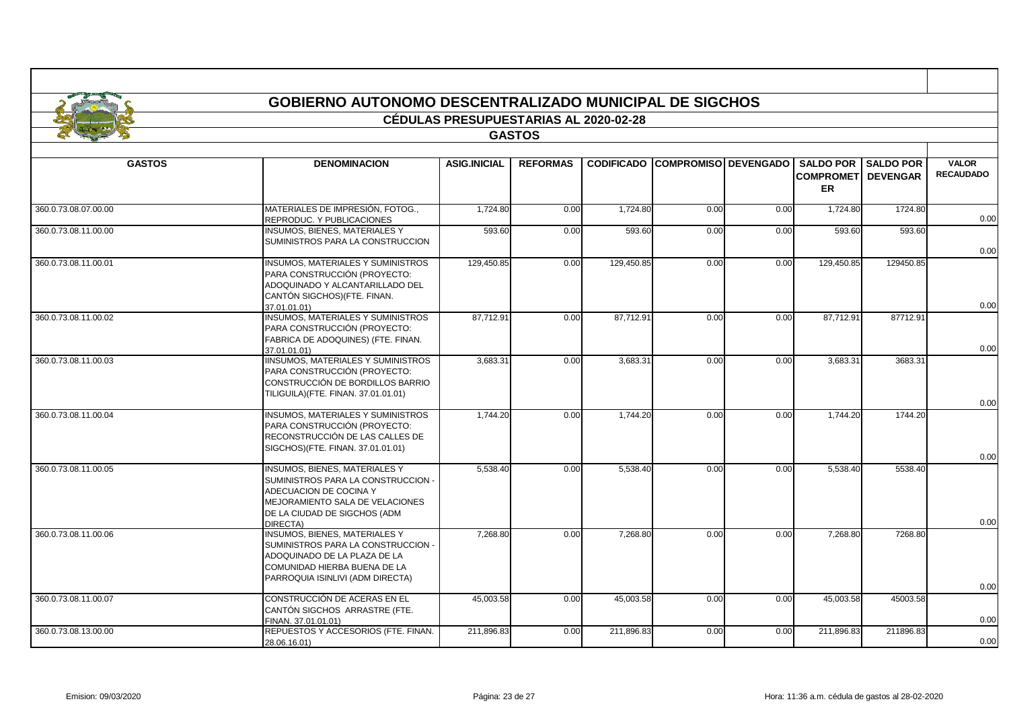| <b>GOBIERNO AUTONOMO DESCENTRALIZADO MUNICIPAL DE SIGCHOS</b> |                                                                                                                                                                                     |                                              |                 |                   |                             |      |                                                   |                                     |                                  |  |  |  |
|---------------------------------------------------------------|-------------------------------------------------------------------------------------------------------------------------------------------------------------------------------------|----------------------------------------------|-----------------|-------------------|-----------------------------|------|---------------------------------------------------|-------------------------------------|----------------------------------|--|--|--|
|                                                               |                                                                                                                                                                                     |                                              |                 |                   |                             |      |                                                   |                                     |                                  |  |  |  |
|                                                               |                                                                                                                                                                                     | <b>CÉDULAS PRESUPUESTARIAS AL 2020-02-28</b> |                 |                   |                             |      |                                                   |                                     |                                  |  |  |  |
| <b>GASTOS</b>                                                 |                                                                                                                                                                                     |                                              |                 |                   |                             |      |                                                   |                                     |                                  |  |  |  |
| <b>GASTOS</b>                                                 | <b>DENOMINACION</b>                                                                                                                                                                 | <b>ASIG.INICIAL</b>                          | <b>REFORMAS</b> | <b>CODIFICADO</b> | <b>COMPROMISO DEVENGADO</b> |      | <b>SALDO POR</b><br><b>COMPROMET</b><br><b>ER</b> | <b>SALDO POR</b><br><b>DEVENGAR</b> | <b>VALOR</b><br><b>RECAUDADO</b> |  |  |  |
| 360.0.73.08.07.00.00                                          | MATERIALES DE IMPRESIÓN, FOTOG<br>REPRODUC. Y PUBLICACIONES                                                                                                                         | 1,724.80                                     | 0.00            | 1,724.80          | 0.00                        | 0.00 | 1,724.80                                          | 1724.80                             | 0.00                             |  |  |  |
| 360.0.73.08.11.00.00                                          | <b>INSUMOS, BIENES, MATERIALES Y</b><br>SUMINISTROS PARA LA CONSTRUCCION                                                                                                            | 593.60                                       | 0.00            | 593.60            | 0.00                        | 0.00 | 593.60                                            | 593.60                              | 0.00                             |  |  |  |
| 360.0.73.08.11.00.01                                          | INSUMOS, MATERIALES Y SUMINISTROS<br>PARA CONSTRUCCIÓN (PROYECTO:<br>ADOQUINADO Y ALCANTARILLADO DEL<br>CANTÓN SIGCHOS) (FTE. FINAN.                                                | 129,450.85                                   | 0.00            | 129,450.85        | 0.00                        | 0.00 | 129,450.85                                        | 129450.85                           | 0.00                             |  |  |  |
| 360.0.73.08.11.00.02                                          | 37 01 01 01)<br><b>INSUMOS, MATERIALES Y SUMINISTROS</b><br>PARA CONSTRUCCIÓN (PROYECTO:<br>FABRICA DE ADOQUINES) (FTE. FINAN.<br>37.01.01.01)                                      | 87,712.91                                    | 0.00            | 87,712.91         | 0.00                        | 0.00 | 87,712.91                                         | 87712.91                            | 0.00                             |  |  |  |
| 360.0.73.08.11.00.03                                          | <b>IINSUMOS, MATERIALES Y SUMINISTROS</b><br>PARA CONSTRUCCIÓN (PROYECTO:<br>CONSTRUCCIÓN DE BORDILLOS BARRIO<br>TILIGUILA) (FTE. FINAN. 37.01.01.01)                               | 3,683.31                                     | 0.00            | 3,683.31          | 0.00                        | 0.00 | 3.683.3'                                          | 3683.3                              | 0.00                             |  |  |  |
| 360.0.73.08.11.00.04                                          | <b>INSUMOS, MATERIALES Y SUMINISTROS</b><br>PARA CONSTRUCCIÓN (PROYECTO:<br>RECONSTRUCCIÓN DE LAS CALLES DE<br>SIGCHOS) (FTE. FINAN. 37.01.01.01)                                   | 1,744.20                                     | 0.00            | 1,744.20          | 0.00                        | 0.00 | 1,744.20                                          | 1744.20                             | 0.00                             |  |  |  |
| 360.0.73.08.11.00.05                                          | <b>INSUMOS, BIENES, MATERIALES Y</b><br>SUMINISTROS PARA LA CONSTRUCCION -<br>ADECUACION DE COCINA Y<br>MEJORAMIENTO SALA DE VELACIONES<br>DE LA CIUDAD DE SIGCHOS (ADM<br>DIRECTA) | 5,538.40                                     | 0.00            | 5,538.40          | 0.00                        | 0.00 | 5,538.40                                          | 5538.40                             | 0.00                             |  |  |  |
| 360.0.73.08.11.00.06                                          | <b>INSUMOS, BIENES, MATERIALES Y</b><br>SUMINISTROS PARA LA CONSTRUCCION -<br>ADOQUINADO DE LA PLAZA DE LA<br>COMUNIDAD HIERBA BUENA DE LA<br>PARROQUIA ISINLIVI (ADM DIRECTA)      | 7,268.80                                     | 0.00            | 7,268.80          | 0.00                        | 0.00 | 7,268.80                                          | 7268.80                             | 0.00                             |  |  |  |
| 360.0.73.08.11.00.07                                          | CONSTRUCCIÓN DE ACERAS EN EL<br>CANTÓN SIGCHOS ARRASTRE (FTE.<br>FINAN. 37.01.01.01)                                                                                                | 45,003.58                                    | 0.00            | 45,003.58         | 0.00                        | 0.00 | 45,003.58                                         | 45003.58                            | 0.00                             |  |  |  |
| 360.0.73.08.13.00.00                                          | REPUESTOS Y ACCESORIOS (FTE. FINAN.<br>28.06.16.01)                                                                                                                                 | 211,896.83                                   | 0.00            | 211,896.83        | 0.00                        | 0.00 | 211,896.83                                        | 211896.83                           | 0.00                             |  |  |  |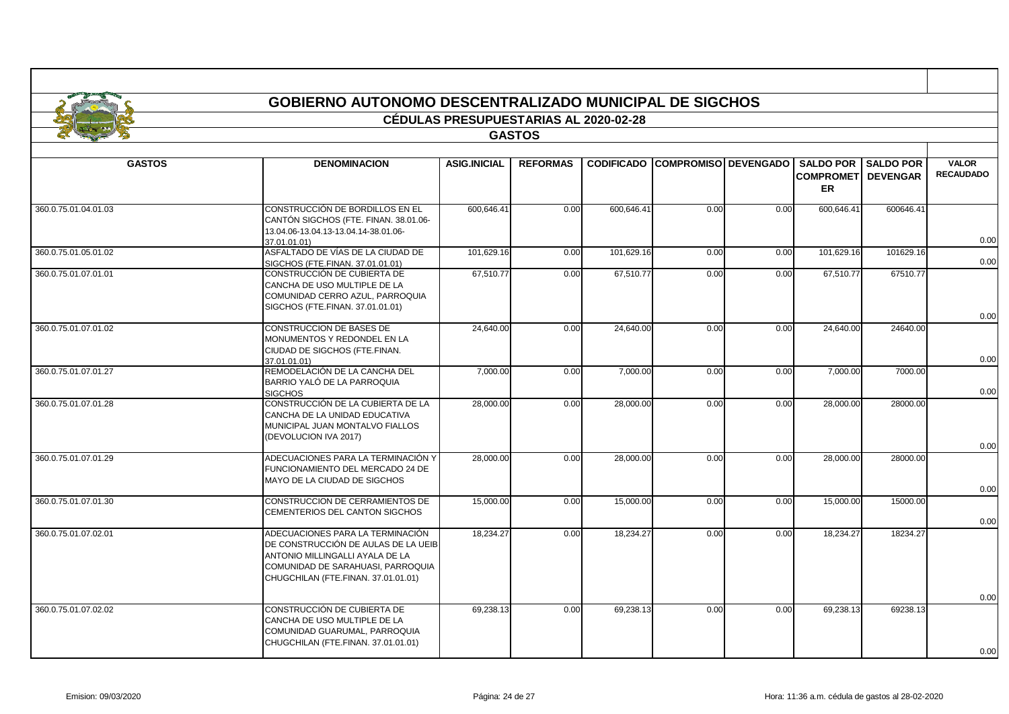| <b>GASTOS</b>        |                                                                                                                                                                                        |                     |                 | <b>CÉDULAS PRESUPUESTARIAS AL 2020-02-28</b><br><b>GASTOS</b> |                                        |      |                                         |                            |                                  |  |  |  |  |  |  |  |
|----------------------|----------------------------------------------------------------------------------------------------------------------------------------------------------------------------------------|---------------------|-----------------|---------------------------------------------------------------|----------------------------------------|------|-----------------------------------------|----------------------------|----------------------------------|--|--|--|--|--|--|--|
|                      |                                                                                                                                                                                        |                     |                 |                                                               |                                        |      |                                         |                            |                                  |  |  |  |  |  |  |  |
|                      | <b>DENOMINACION</b>                                                                                                                                                                    | <b>ASIG.INICIAL</b> | <b>REFORMAS</b> |                                                               | <b>CODIFICADO COMPROMISO DEVENGADO</b> |      | <b>COMPROMETI DEVENGAR</b><br><b>ER</b> | <b>SALDO POR SALDO POR</b> | <b>VALOR</b><br><b>RECAUDADO</b> |  |  |  |  |  |  |  |
| 360.0.75.01.04.01.03 | CONSTRUCCIÓN DE BORDILLOS EN EL<br>CANTÓN SIGCHOS (FTE. FINAN. 38.01.06-<br>13.04.06-13.04.13-13.04.14-38.01.06-<br>37.01.01.01)                                                       | 600,646.41          | 0.00            | 600,646.41                                                    | 0.00                                   | 0.00 | 600,646.41                              | 600646.41                  | 0.00                             |  |  |  |  |  |  |  |
| 360.0.75.01.05.01.02 | ASFALTADO DE VÍAS DE LA CIUDAD DE<br>SIGCHOS (FTE.FINAN. 37.01.01.01)                                                                                                                  | 101,629.16          | 0.00            | 101,629.16                                                    | 0.00                                   | 0.00 | 101,629.16                              | 101629.16                  | 0.00                             |  |  |  |  |  |  |  |
| 360.0.75.01.07.01.01 | CONSTRUCCIÓN DE CUBIERTA DE<br>CANCHA DE USO MULTIPLE DE LA<br>COMUNIDAD CERRO AZUL. PARROQUIA<br>SIGCHOS (FTE.FINAN. 37.01.01.01)                                                     | 67,510.77           | 0.00            | 67,510.77                                                     | 0.00                                   | 0.00 | 67,510.77                               | 67510.77                   | 0.00                             |  |  |  |  |  |  |  |
| 360.0.75.01.07.01.02 | CONSTRUCCION DE BASES DE<br>MONUMENTOS Y REDONDEL EN LA<br>CIUDAD DE SIGCHOS (FTE.FINAN.                                                                                               | 24,640.00           | 0.00            | 24,640.00                                                     | 0.00                                   | 0.00 | 24,640.00                               | 24640.00                   |                                  |  |  |  |  |  |  |  |
| 360.0.75.01.07.01.27 | 37.01.01.01)<br>REMODELACIÓN DE LA CANCHA DEL<br>BARRIO YALÓ DE LA PARROQUIA<br><b>SIGCHOS</b>                                                                                         | 7,000.00            | 0.00            | 7,000.00                                                      | 0.00                                   | 0.00 | 7,000.00                                | 7000.00                    | 0.00<br>0.00                     |  |  |  |  |  |  |  |
| 360.0.75.01.07.01.28 | CONSTRUCCIÓN DE LA CUBIERTA DE LA<br>CANCHA DE LA UNIDAD EDUCATIVA<br>MUNICIPAL JUAN MONTALVO FIALLOS<br>(DEVOLUCION IVA 2017)                                                         | 28,000.00           | 0.00            | 28,000.00                                                     | 0.00                                   | 0.00 | 28,000.00                               | 28000.00                   | 0.00                             |  |  |  |  |  |  |  |
| 360.0.75.01.07.01.29 | ADECUACIONES PARA LA TERMINACIÓN Y<br>FUNCIONAMIENTO DEL MERCADO 24 DE<br>MAYO DE LA CIUDAD DE SIGCHOS                                                                                 | 28,000.00           | 0.00            | 28,000.00                                                     | 0.00                                   | 0.00 | 28,000.00                               | 28000.00                   | 0.00                             |  |  |  |  |  |  |  |
| 360.0.75.01.07.01.30 | CONSTRUCCION DE CERRAMIENTOS DE<br>CEMENTERIOS DEL CANTON SIGCHOS                                                                                                                      | 15,000.00           | 0.00            | 15,000.00                                                     | 0.00                                   | 0.00 | 15,000.00                               | 15000.00                   | 0.00                             |  |  |  |  |  |  |  |
| 360.0.75.01.07.02.01 | ADECUACIONES PARA LA TERMINACIÓN<br>DE CONSTRUCCIÓN DE AULAS DE LA UEIB<br>ANTONIO MILLINGALLI AYALA DE LA<br>COMUNIDAD DE SARAHUASI. PARROQUIA<br>CHUGCHILAN (FTE.FINAN. 37.01.01.01) | 18,234.27           | 0.00            | 18,234.27                                                     | 0.00                                   | 0.00 | 18,234.27                               | 18234.27                   |                                  |  |  |  |  |  |  |  |
| 360.0.75.01.07.02.02 | CONSTRUCCIÓN DE CUBIERTA DE<br>CANCHA DE USO MULTIPLE DE LA<br>COMUNIDAD GUARUMAL, PARROQUIA<br>CHUGCHILAN (FTE.FINAN. 37.01.01.01)                                                    | 69,238.13           | 0.00            | 69,238.13                                                     | 0.00                                   | 0.00 | 69,238.13                               | 69238.13                   | 0.00                             |  |  |  |  |  |  |  |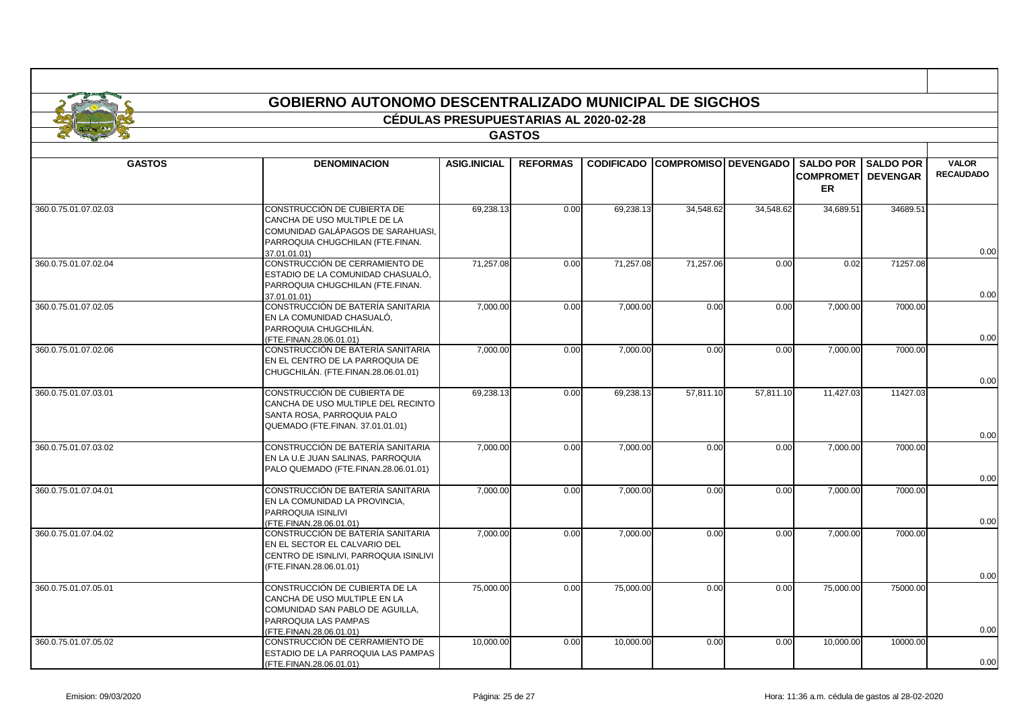|                      | <b>GOBIERNO AUTONOMO DESCENTRALIZADO MUNICIPAL DE SIGCHOS</b>                                                                                        |                                              |                 |                   |                             |           |                                             |                                     |                                  |  |  |  |  |
|----------------------|------------------------------------------------------------------------------------------------------------------------------------------------------|----------------------------------------------|-----------------|-------------------|-----------------------------|-----------|---------------------------------------------|-------------------------------------|----------------------------------|--|--|--|--|
|                      |                                                                                                                                                      | <b>CÉDULAS PRESUPUESTARIAS AL 2020-02-28</b> |                 |                   |                             |           |                                             |                                     |                                  |  |  |  |  |
|                      |                                                                                                                                                      |                                              | <b>GASTOS</b>   |                   |                             |           |                                             |                                     |                                  |  |  |  |  |
|                      |                                                                                                                                                      |                                              |                 |                   |                             |           |                                             |                                     |                                  |  |  |  |  |
| <b>GASTOS</b>        | <b>DENOMINACION</b>                                                                                                                                  | <b>ASIG.INICIAL</b>                          | <b>REFORMAS</b> | <b>CODIFICADO</b> | <b>COMPROMISO DEVENGADO</b> |           | <b>SALDO POR</b><br><b>COMPROMET</b><br>ER. | <b>SALDO POR</b><br><b>DEVENGAR</b> | <b>VALOR</b><br><b>RECAUDADO</b> |  |  |  |  |
| 360.0.75.01.07.02.03 | CONSTRUCCIÓN DE CUBIERTA DE<br>CANCHA DE USO MULTIPLE DE LA<br>COMUNIDAD GALÁPAGOS DE SARAHUASI.<br>PARROQUIA CHUGCHILAN (FTE.FINAN.<br>37.01.01.01) | 69,238.13                                    | 0.00            | 69,238.13         | 34,548.62                   | 34,548.62 | 34,689.51                                   | 34689.51                            | 0.00                             |  |  |  |  |
| 360.0.75.01.07.02.04 | CONSTRUCCIÓN DE CERRAMIENTO DE<br>ESTADIO DE LA COMUNIDAD CHASUALÓ,<br>PARROQUIA CHUGCHILAN (FTE.FINAN.<br>37.01.01.01)                              | 71.257.08                                    | 0.00            | 71.257.08         | 71.257.06                   | 0.00      | 0.02                                        | 71257.08                            | 0.00                             |  |  |  |  |
| 360.0.75.01.07.02.05 | CONSTRUCCIÓN DE BATERÍA SANITARIA<br>EN LA COMUNIDAD CHASUALÓ,<br>PARROQUIA CHUGCHILÁN.<br>(FTE.FINAN.28.06.01.01)                                   | 7,000.00                                     | 0.00            | 7,000.00          | 0.00                        | 0.00      | 7,000.00                                    | 7000.00                             | 0.00                             |  |  |  |  |
| 360.0.75.01.07.02.06 | CONSTRUCCIÓN DE BATERÍA SANITARIA<br>EN EL CENTRO DE LA PARROQUIA DE<br>CHUGCHILÁN. (FTE.FINAN.28.06.01.01)                                          | 7,000.00                                     | 0.00            | 7,000.00          | 0.00                        | 0.00      | 7,000.00                                    | 7000.00                             | 0.00                             |  |  |  |  |
| 360.0.75.01.07.03.01 | CONSTRUCCIÓN DE CUBIERTA DE<br>CANCHA DE USO MULTIPLE DEL RECINTO<br>SANTA ROSA, PARROQUIA PALO<br>QUEMADO (FTE.FINAN. 37.01.01.01)                  | 69.238.13                                    | 0.00            | 69,238.13         | 57,811.10                   | 57.811.10 | 11,427.03                                   | 11427.03                            | 0.00                             |  |  |  |  |
| 360.0.75.01.07.03.02 | CONSTRUCCIÓN DE BATERÍA SANITARIA<br>EN LA U.E JUAN SALINAS, PARROQUIA<br>PALO QUEMADO (FTE.FINAN.28.06.01.01)                                       | 7,000.00                                     | 0.00            | 7,000.00          | 0.00                        | 0.00      | 7,000.00                                    | 7000.00                             | 0.00                             |  |  |  |  |
| 360.0.75.01.07.04.01 | CONSTRUCCIÓN DE BATERÍA SANITARIA<br>EN LA COMUNIDAD LA PROVINCIA,<br>PARROQUIA ISINLIVI<br>(FTE.FINAN.28.06.01.01)                                  | 7,000.00                                     | 0.00            | 7,000.00          | 0.00                        | 0.00      | 7,000.00                                    | 7000.00                             | 0.00                             |  |  |  |  |
| 360.0.75.01.07.04.02 | CONSTRUCCIÓN DE BATERÍA SANITARIA<br>EN EL SECTOR EL CALVARIO DEL<br>CENTRO DE ISINLIVI, PARROQUIA ISINLIVI<br>(FTE.FINAN.28.06.01.01)               | 7,000.00                                     | 0.00            | 7,000.00          | 0.00                        | 0.00      | 7,000.00                                    | 7000.00                             | 0.00                             |  |  |  |  |
| 360.0.75.01.07.05.01 | CONSTRUCCIÓN DE CUBIERTA DE LA<br>CANCHA DE USO MULTIPLE EN LA<br>COMUNIDAD SAN PABLO DE AGUILLA,<br>PARROQUIA LAS PAMPAS<br>(FTE.FINAN.28.06.01.01) | 75,000.00                                    | 0.00            | 75,000.00         | 0.00                        | 0.00      | 75,000.00                                   | 75000.00                            | 0.00                             |  |  |  |  |
| 360.0.75.01.07.05.02 | CONSTRUCCIÓN DE CERRAMIENTO DE<br>ESTADIO DE LA PARROQUIA LAS PAMPAS<br>(FTE.FINAN.28.06.01.01)                                                      | 10,000.00                                    | 0.00            | 10,000.00         | 0.00                        | 0.00      | 10,000.00                                   | 10000.00                            | 0.00                             |  |  |  |  |

Г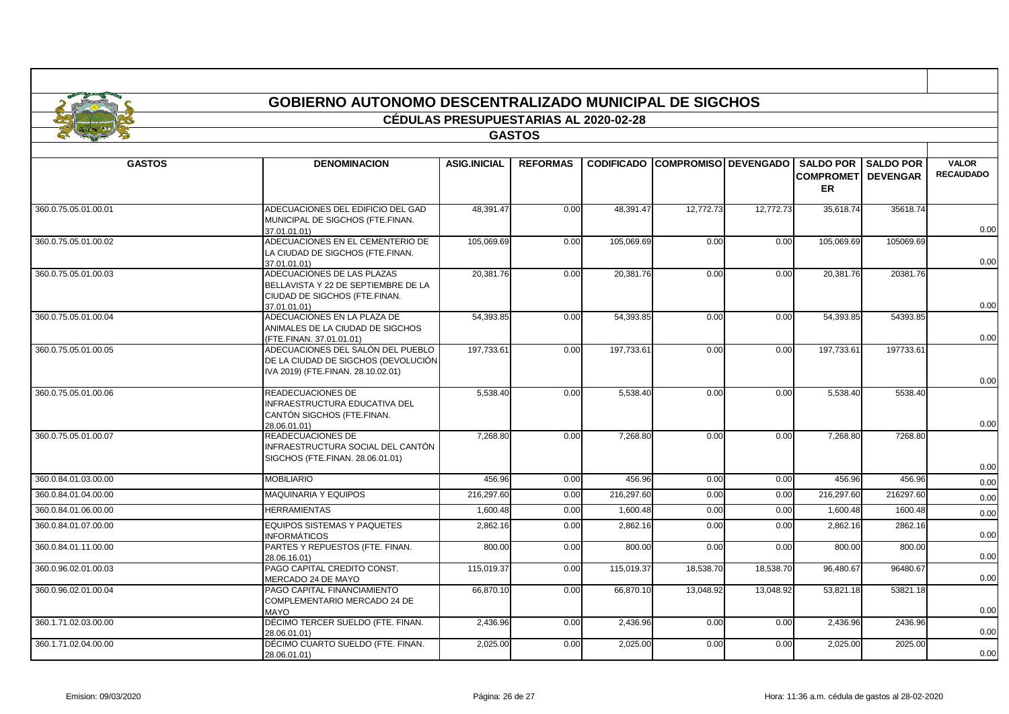|                      | <b>GOBIERNO AUTONOMO DESCENTRALIZADO MUNICIPAL DE SIGCHOS</b>                                                      |                                              |                 |                   |                             |           |                               |                                               |                                  |
|----------------------|--------------------------------------------------------------------------------------------------------------------|----------------------------------------------|-----------------|-------------------|-----------------------------|-----------|-------------------------------|-----------------------------------------------|----------------------------------|
|                      |                                                                                                                    | <b>CÉDULAS PRESUPUESTARIAS AL 2020-02-28</b> |                 |                   |                             |           |                               |                                               |                                  |
|                      |                                                                                                                    |                                              | <b>GASTOS</b>   |                   |                             |           |                               |                                               |                                  |
|                      |                                                                                                                    |                                              |                 |                   |                             |           |                               |                                               |                                  |
| <b>GASTOS</b>        | <b>DENOMINACION</b>                                                                                                | <b>ASIG.INICIAL</b>                          | <b>REFORMAS</b> | <b>CODIFICADO</b> | <b>COMPROMISO DEVENGADO</b> |           | <b>SALDO POR</b><br><b>ER</b> | <b>SALDO POR</b><br><b>COMPROMET DEVENGAR</b> | <b>VALOR</b><br><b>RECAUDADO</b> |
| 360.0.75.05.01.00.01 | ADECUACIONES DEL EDIFICIO DEL GAD<br>MUNICIPAL DE SIGCHOS (FTE.FINAN.<br>37.01.01.01)                              | 48.391.47                                    | 0.00            | 48.391.47         | 12.772.73                   | 12.772.73 | 35.618.74                     | 35618.74                                      | 0.00                             |
| 360.0.75.05.01.00.02 | ADECUACIONES EN EL CEMENTERIO DE<br>LA CIUDAD DE SIGCHOS (FTE.FINAN.<br>37.01.01.01)                               | 105,069.69                                   | 0.00            | 105,069.69        | 0.00                        | 0.00      | 105,069.69                    | 105069.69                                     | 0.00                             |
| 360.0.75.05.01.00.03 | ADECUACIONES DE LAS PLAZAS<br>BELLAVISTA Y 22 DE SEPTIEMBRE DE LA<br>CIUDAD DE SIGCHOS (FTE.FINAN.<br>37.01.01.01) | 20.381.76                                    | 0.00            | 20,381.76         | 0.00                        | 0.00      | 20,381.76                     | 20381.76                                      | 0.00                             |
| 360.0.75.05.01.00.04 | ADECUACIONES EN LA PLAZA DE<br>ANIMALES DE LA CIUDAD DE SIGCHOS<br>(FTE.FINAN. 37.01.01.01)                        | 54,393.85                                    | 0.00            | 54,393.85         | 0.00                        | 0.00      | 54,393.85                     | 54393.85                                      | 0.00                             |
| 360.0.75.05.01.00.05 | ADECUACIONES DEL SALÓN DEL PUEBLO<br>DE LA CIUDAD DE SIGCHOS (DEVOLUCIÓN<br>IVA 2019) (FTE.FINAN. 28.10.02.01)     | 197,733.61                                   | 0.00            | 197,733.61        | 0.00                        | 0.00      | 197,733.61                    | 197733.61                                     | 0.00                             |
| 360.0.75.05.01.00.06 | <b>READECUACIONES DE</b><br>INFRAESTRUCTURA EDUCATIVA DEL<br>CANTÓN SIGCHOS (FTE.FINAN.<br>28.06.01.01)            | 5,538.40                                     | 0.00            | 5,538.40          | 0.00                        | 0.00      | 5,538.40                      | 5538.40                                       | 0.00                             |
| 360.0.75.05.01.00.07 | <b>READECUACIONES DE</b><br>INFRAESTRUCTURA SOCIAL DEL CANTÓN<br>SIGCHOS (FTE.FINAN. 28.06.01.01)                  | 7.268.80                                     | 0.00            | 7.268.80          | 0.00                        | 0.00      | 7.268.80                      | 7268.80                                       | 0.00                             |
| 360.0.84.01.03.00.00 | <b>MOBILIARIO</b>                                                                                                  | 456.96                                       | 0.00            | 456.96            | 0.00                        | 0.00      | 456.96                        | 456.96                                        | 0.00                             |
| 360.0.84.01.04.00.00 | <b>MAQUINARIA Y EQUIPOS</b>                                                                                        | 216,297.60                                   | 0.00            | 216,297.60        | 0.00                        | 0.00      | 216,297.60                    | 216297.60                                     | 0.00                             |
| 360.0.84.01.06.00.00 | <b>HERRAMIENTAS</b>                                                                                                | 1.600.48                                     | 0.00            | 1.600.48          | 0.00                        | 0.00      | 1.600.48                      | 1600.48                                       | 0.00                             |
| 360.0.84.01.07.00.00 | <b>EQUIPOS SISTEMAS Y PAQUETES</b><br><b>INFORMÁTICOS</b>                                                          | 2,862.16                                     | 0.00            | 2,862.16          | 0.00                        | 0.00      | 2,862.16                      | 2862.16                                       | 0.00                             |
| 360.0.84.01.11.00.00 | PARTES Y REPUESTOS (FTE. FINAN.<br>28.06.16.01)                                                                    | 800.00                                       | 0.00            | 800.00            | 0.00                        | 0.00      | 800.00                        | 800.00                                        | 0.00                             |
| 360.0.96.02.01.00.03 | PAGO CAPITAL CREDITO CONST.<br>MERCADO 24 DE MAYO                                                                  | 115.019.37                                   | 0.00            | 115,019.37        | 18,538.70                   | 18,538.70 | 96.480.67                     | 96480.67                                      | 0.00                             |
| 360.0.96.02.01.00.04 | PAGO CAPITAL FINANCIAMIENTO<br>COMPLEMENTARIO MERCADO 24 DE<br><b>MAYO</b>                                         | 66,870.10                                    | 0.00            | 66,870.10         | 13,048.92                   | 13,048.92 | 53,821.18                     | 53821.18                                      | 0.00                             |
| 360.1.71.02.03.00.00 | DÉCIMO TERCER SUELDO (FTE. FINAN.<br>28.06.01.01)                                                                  | 2,436.96                                     | 0.00            | 2,436.96          | 0.00                        | 0.00      | 2,436.96                      | 2436.96                                       | 0.00                             |
| 360.1.71.02.04.00.00 | DÉCIMO CUARTO SUELDO (FTE, FINAN.<br>28.06.01.01)                                                                  | 2.025.00                                     | 0.00            | 2,025.00          | 0.00                        | 0.00      | 2,025.00                      | 2025.00                                       | 0.00                             |

Г

┑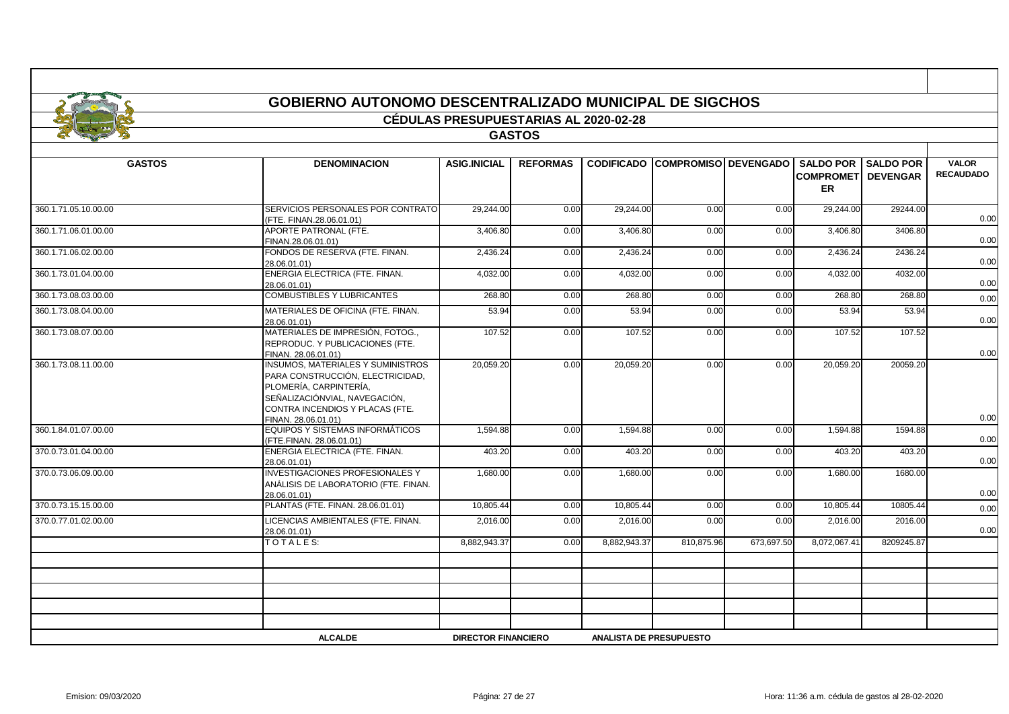|                      |                                                                                                                                                                                                   | <b>CÉDULAS PRESUPUESTARIAS AL 2020-02-28</b> |                 |              |                                        |            |                                                                         |            |                                  |
|----------------------|---------------------------------------------------------------------------------------------------------------------------------------------------------------------------------------------------|----------------------------------------------|-----------------|--------------|----------------------------------------|------------|-------------------------------------------------------------------------|------------|----------------------------------|
|                      |                                                                                                                                                                                                   |                                              | <b>GASTOS</b>   |              |                                        |            |                                                                         |            |                                  |
|                      |                                                                                                                                                                                                   |                                              |                 |              |                                        |            |                                                                         |            |                                  |
| <b>GASTOS</b>        | <b>DENOMINACION</b>                                                                                                                                                                               | <b>ASIG.INICIAL</b>                          | <b>REFORMAS</b> |              | <b>CODIFICADO COMPROMISO DEVENGADO</b> |            | <b>SALDO POR I SALDO POR</b><br><b>COMPROMETI DEVENGAR</b><br><b>ER</b> |            | <b>VALOR</b><br><b>RECAUDADO</b> |
| 360.1.71.05.10.00.00 | SERVICIOS PERSONALES POR CONTRATO<br>(FTE. FINAN.28.06.01.01)                                                                                                                                     | 29,244.00                                    | 0.00            | 29,244.00    | 0.00                                   | 0.00       | 29,244.00                                                               | 29244.00   | 0.00                             |
| 360.1.71.06.01.00.00 | APORTE PATRONAL (FTE.<br>FINAN.28.06.01.01)                                                                                                                                                       | 3,406.80                                     | 0.00            | 3,406.80     | 0.00                                   | 0.00       | 3,406.80                                                                | 3406.80    | 0.00                             |
| 360.1.71.06.02.00.00 | FONDOS DE RESERVA (FTE. FINAN.<br>28.06.01.01)                                                                                                                                                    | 2,436.24                                     | 0.00            | 2,436.24     | 0.00                                   | 0.00       | 2,436.24                                                                | 2436.24    | 0.00                             |
| 360.1.73.01.04.00.00 | ENERGIA ELECTRICA (FTE. FINAN.<br>28.06.01.01)                                                                                                                                                    | 4,032.00                                     | 0.00            | 4,032.00     | 0.00                                   | 0.00       | 4,032.00                                                                | 4032.00    | 0.00                             |
| 360.1.73.08.03.00.00 | <b>COMBUSTIBLES Y LUBRICANTES</b>                                                                                                                                                                 | 268.80                                       | 0.00            | 268.80       | 0.00                                   | 0.00       | 268.80                                                                  | 268.80     | 0.00                             |
| 360.1.73.08.04.00.00 | MATERIALES DE OFICINA (FTE. FINAN.<br>28.06.01.01)                                                                                                                                                | 53.94                                        | 0.00            | 53.94        | 0.00                                   | 0.00       | 53.94                                                                   | 53.94      | 0.00                             |
| 360.1.73.08.07.00.00 | MATERIALES DE IMPRESIÓN, FOTOG.,<br>REPRODUC. Y PUBLICACIONES (FTE.<br>FINAN. 28.06.01.01)                                                                                                        | 107.52                                       | 0.00            | 107.52       | 0.00                                   | 0.00       | 107.52                                                                  | 107.52     | 0.00                             |
| 360.1.73.08.11.00.00 | <b>INSUMOS, MATERIALES Y SUMINISTROS</b><br>PARA CONSTRUCCIÓN, ELECTRICIDAD,<br>PLOMERÍA. CARPINTERÍA.<br>SEÑALIZACIÓNVIAL, NAVEGACIÓN,<br>CONTRA INCENDIOS Y PLACAS (FTE.<br>FINAN. 28.06.01.01) | 20,059.20                                    | 0.00            | 20,059.20    | 0.00                                   | 0.00       | 20,059.20                                                               | 20059.20   | 0.00                             |
| 360.1.84.01.07.00.00 | EQUIPOS Y SISTEMAS INFORMÁTICOS<br>(FTE.FINAN. 28.06.01.01)                                                                                                                                       | 1,594.88                                     | 0.00            | 1,594.88     | 0.00                                   | 0.00       | 1,594.88                                                                | 1594.88    | 0.00                             |
| 370.0.73.01.04.00.00 | ENERGIA ELECTRICA (FTE. FINAN.<br>28.06.01.01)                                                                                                                                                    | 403.20                                       | 0.00            | 403.20       | 0.00                                   | 0.00       | 403.20                                                                  | 403.20     | 0.00                             |
| 370.0.73.06.09.00.00 | <b>INVESTIGACIONES PROFESIONALES Y</b><br>ANÁLISIS DE LABORATORIO (FTE. FINAN.<br>28.06.01.01)                                                                                                    | 1,680.00                                     | 0.00            | 1,680.00     | 0.00                                   | 0.00       | 1,680.00                                                                | 1680.00    | 0.00                             |
| 370.0.73.15.15.00.00 | PLANTAS (FTE. FINAN. 28.06.01.01)                                                                                                                                                                 | 10,805.44                                    | 0.00            | 10,805.44    | 0.00                                   | 0.00       | 10,805.44                                                               | 10805.44   | 0.00                             |
| 370.0.77.01.02.00.00 | LICENCIAS AMBIENTALES (FTE. FINAN.<br>28.06.01.01)                                                                                                                                                | 2,016.00                                     | 0.00            | 2,016.00     | 0.00                                   | 0.00       | 2,016.00                                                                | 2016.00    | 0.00                             |
|                      | TOTALES:                                                                                                                                                                                          | 8.882.943.37                                 | 0.00            | 8.882.943.37 | 810.875.96                             | 673.697.50 | 8,072,067.41                                                            | 8209245.87 |                                  |
|                      |                                                                                                                                                                                                   |                                              |                 |              |                                        |            |                                                                         |            |                                  |
|                      |                                                                                                                                                                                                   |                                              |                 |              |                                        |            |                                                                         |            |                                  |
|                      |                                                                                                                                                                                                   |                                              |                 |              |                                        |            |                                                                         |            |                                  |
|                      |                                                                                                                                                                                                   |                                              |                 |              |                                        |            |                                                                         |            |                                  |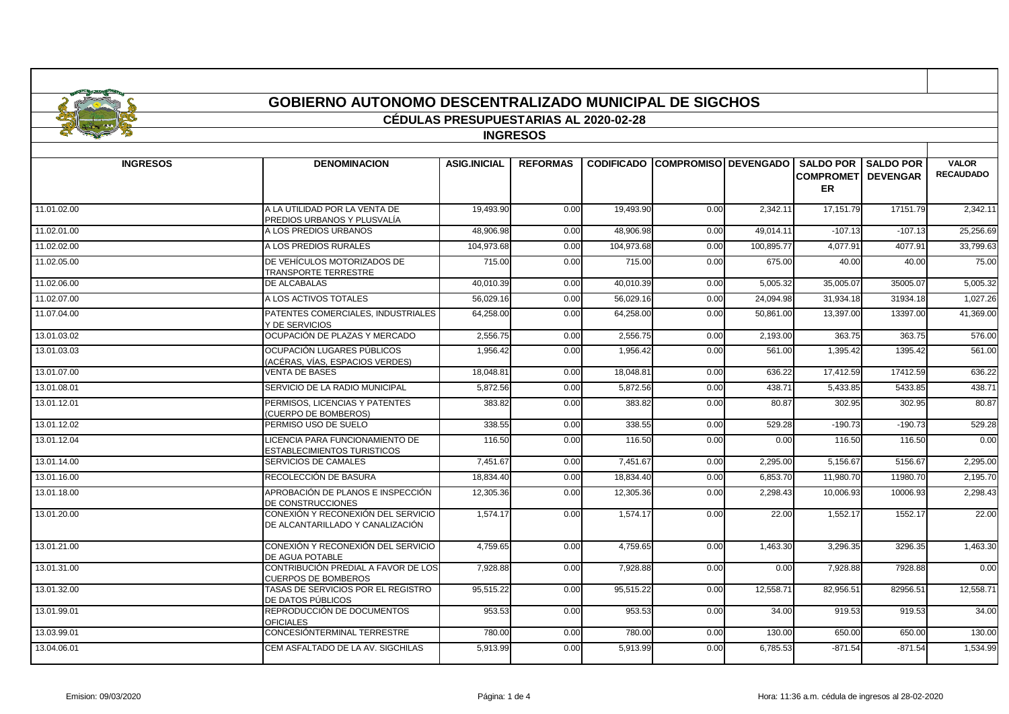|                 | <b>GOBIERNO AUTONOMO DESCENTRALIZADO MUNICIPAL DE SIGCHOS</b>          | <b>CEDULAS PRESUPUESTARIAS AL 2020-02-28</b> |                 |            |                                        |            |                                         |                              |                                  |
|-----------------|------------------------------------------------------------------------|----------------------------------------------|-----------------|------------|----------------------------------------|------------|-----------------------------------------|------------------------------|----------------------------------|
|                 |                                                                        |                                              | <b>INGRESOS</b> |            |                                        |            |                                         |                              |                                  |
|                 |                                                                        |                                              |                 |            |                                        |            |                                         |                              |                                  |
| <b>INGRESOS</b> | <b>DENOMINACION</b>                                                    | <b>ASIG.INICIAL</b>                          | <b>REFORMAS</b> |            | <b>CODIFICADO COMPROMISO DEVENGADO</b> |            | <b>COMPROMETI DEVENGAR</b><br><b>ER</b> | <b>SALDO POR I SALDO POR</b> | <b>VALOR</b><br><b>RECAUDADO</b> |
| 11.01.02.00     | A LA UTILIDAD POR LA VENTA DE<br>PREDIOS URBANOS Y PLUSVALÍA           | 19.493.90                                    | 0.00            | 19.493.90  | 0.00                                   | 2.342.11   | 17.151.79                               | 17151.79                     | 2.342.11                         |
| 11.02.01.00     | A LOS PREDIOS URBANOS                                                  | 48,906.98                                    | 0.00            | 48,906.98  | 0.00                                   | 49,014.11  | $-107.13$                               | $-107.13$                    | 25,256.69                        |
| 11.02.02.00     | A LOS PREDIOS RURALES                                                  | 104,973.68                                   | 0.00            | 104,973.68 | 0.00                                   | 100,895.77 | 4,077.91                                | 4077.91                      | 33,799.63                        |
| 11.02.05.00     | DE VEHÍCULOS MOTORIZADOS DE<br><b>TRANSPORTE TERRESTRE</b>             | 715.00                                       | 0.00            | 715.00     | 0.00                                   | 675.00     | 40.00                                   | 40.00                        | 75.00                            |
| 11.02.06.00     | DE ALCABALAS                                                           | 40,010.39                                    | 0.00            | 40,010.39  | 0.00                                   | 5,005.32   | 35,005.07                               | 35005.07                     | 5,005.32                         |
| 11.02.07.00     | A LOS ACTIVOS TOTALES                                                  | 56,029.16                                    | 0.00            | 56,029.16  | 0.00                                   | 24,094.98  | 31,934.18                               | 31934.18                     | 1,027.26                         |
| 11.07.04.00     | PATENTES COMERCIALES. INDUSTRIALES<br>Y DE SERVICIOS                   | 64,258.00                                    | 0.00            | 64,258.00  | 0.00                                   | 50,861.00  | 13,397.00                               | 13397.00                     | 41,369.00                        |
| 13.01.03.02     | OCUPACIÓN DE PLAZAS Y MERCADO                                          | 2,556.75                                     | 0.00            | 2.556.75   | 0.00                                   | 2,193.00   | 363.75                                  | 363.75                       | 576.00                           |
| 13.01.03.03     | OCUPACIÓN LUGARES PÚBLICOS<br>(ACÉRAS, VÍAS, ESPACIOS VERDES)          | 1,956.42                                     | 0.00            | 1,956.42   | 0.00                                   | 561.00     | 1,395.42                                | 1395.42                      | 561.00                           |
| 13.01.07.00     | <b>VENTA DE BASES</b>                                                  | 18,048.81                                    | 0.00            | 18,048.8   | 0.00                                   | 636.22     | 17,412.59                               | 17412.59                     | 636.22                           |
| 13.01.08.01     | SERVICIO DE LA RADIO MUNICIPAL                                         | 5,872.56                                     | 0.00            | 5,872.56   | 0.00                                   | 438.71     | 5,433.85                                | 5433.85                      | 438.71                           |
| 13.01.12.01     | PERMISOS. LICENCIAS Y PATENTES<br>(CUERPO DE BOMBEROS)                 | 383.82                                       | 0.00            | 383.82     | 0.00                                   | 80.87      | 302.95                                  | 302.95                       | 80.87                            |
| 13.01.12.02     | PERMISO USO DE SUELO                                                   | 338.55                                       | 0.00            | 338.55     | 0.00                                   | 529.28     | $-190.73$                               | $-190.73$                    | 529.28                           |
| 13.01.12.04     | LICENCIA PARA FUNCIONAMIENTO DE<br><b>ESTABLECIMIENTOS TURISTICOS</b>  | 116.50                                       | 0.00            | 116.50     | 0.00                                   | 0.00       | 116.50                                  | 116.50                       | 0.00                             |
| 13.01.14.00     | SERVICIOS DE CAMALES                                                   | 7,451.67                                     | 0.00            | 7.451.67   | 0.00                                   | 2.295.00   | 5.156.67                                | 5156.67                      | 2.295.00                         |
| 13.01.16.00     | RECOLECCIÓN DE BASURA                                                  | 18,834.40                                    | 0.00            | 18,834.40  | 0.00                                   | 6,853.70   | 11,980.70                               | 11980.70                     | 2,195.70                         |
| 13.01.18.00     | APROBACIÓN DE PLANOS E INSPECCIÓN<br>DE CONSTRUCCIONES                 | 12,305.36                                    | 0.00            | 12,305.36  | 0.00                                   | 2,298.43   | 10,006.93                               | 10006.93                     | 2,298.43                         |
| 13.01.20.00     | CONEXIÓN Y RECONEXIÓN DEL SERVICIO<br>DE ALCANTARILLADO Y CANALIZACIÓN | 1,574.17                                     | 0.00            | 1,574.17   | 0.00                                   | 22.00      | 1,552.17                                | 1552.17                      | 22.00                            |
| 13.01.21.00     | CONEXIÓN Y RECONEXIÓN DEL SERVICIO<br>DE AGUA POTABLE                  | 4,759.65                                     | 0.00            | 4,759.65   | 0.00                                   | 1,463.30   | 3,296.35                                | 3296.35                      | 1,463.30                         |
| 13.01.31.00     | CONTRIBUCIÓN PREDIAL A FAVOR DE LOS<br><b>CUERPOS DE BOMBEROS</b>      | 7,928.88                                     | 0.00            | 7,928.88   | 0.00                                   | 0.00       | 7,928.88                                | 7928.88                      | 0.00                             |
| 13.01.32.00     | TASAS DE SERVICIOS POR EL REGISTRO<br>DE DATOS PÚBLICOS                | 95.515.22                                    | 0.00            | 95.515.22  | 0.00                                   | 12,558.71  | 82.956.51                               | 82956.51                     | 12.558.71                        |
| 13.01.99.01     | REPRODUCCIÓN DE DOCUMENTOS<br><b>OFICIALES</b>                         | 953.53                                       | 0.00            | 953.53     | 0.00                                   | 34.00      | 919.53                                  | 919.53                       | 34.00                            |
| 13.03.99.01     | CONCESIÓNTERMINAL TERRESTRE                                            | 780.00                                       | 0.00            | 780.00     | 0.00                                   | 130.00     | 650.00                                  | 650.00                       | 130.00                           |
| 13.04.06.01     | CEM ASFALTADO DE LA AV. SIGCHILAS                                      | 5.913.99                                     | 0.00            | 5.913.99   | 0.00                                   | 6.785.53   | $-871.54$                               | $-871.54$                    | 1.534.99                         |

- I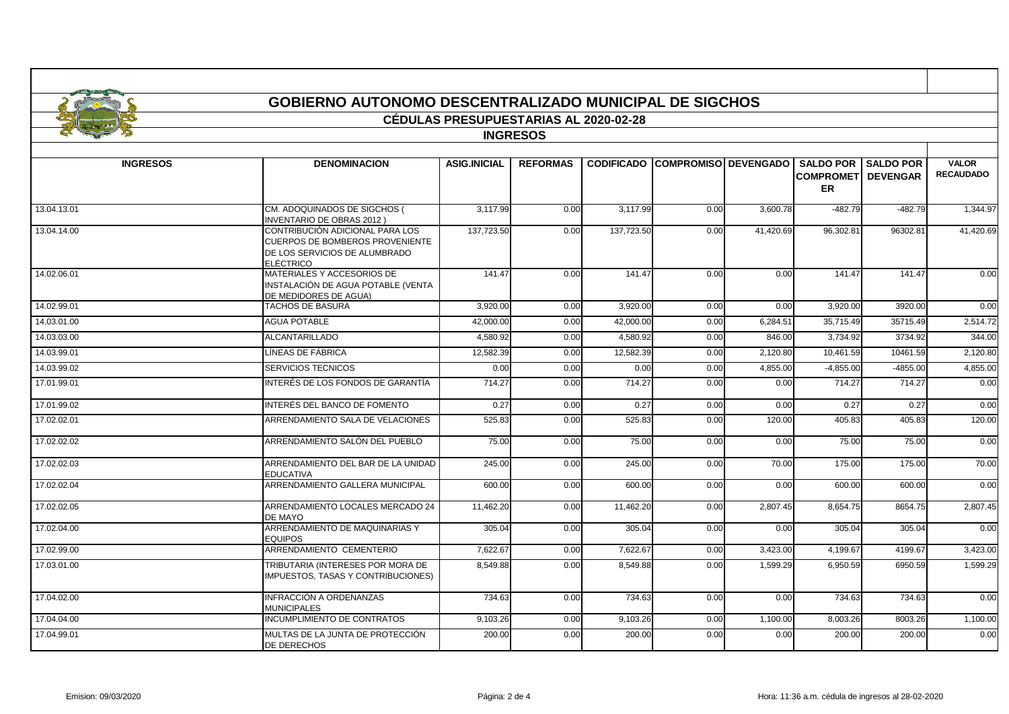|                 | GOBIERNO AUTONOMO DESCENTRALIZADO MUNICIPAL DE SIGCHOS                                                                  |                                              |                 |                   |                             |           |                                                             |                  |                                  |  |  |  |  |
|-----------------|-------------------------------------------------------------------------------------------------------------------------|----------------------------------------------|-----------------|-------------------|-----------------------------|-----------|-------------------------------------------------------------|------------------|----------------------------------|--|--|--|--|
|                 |                                                                                                                         | <b>CÉDULAS PRESUPUESTARIAS AL 2020-02-28</b> |                 |                   |                             |           |                                                             |                  |                                  |  |  |  |  |
|                 |                                                                                                                         |                                              | <b>INGRESOS</b> |                   |                             |           |                                                             |                  |                                  |  |  |  |  |
|                 |                                                                                                                         |                                              |                 |                   |                             |           |                                                             |                  |                                  |  |  |  |  |
| <b>INGRESOS</b> | <b>DENOMINACION</b>                                                                                                     | <b>ASIG.INICIAL</b>                          | <b>REFORMAS</b> | <b>CODIFICADO</b> | <b>COMPROMISO DEVENGADO</b> |           | <b>SALDO POR</b><br><b>COMPROMETI DEVENGAR</b><br><b>ER</b> | <b>SALDO POR</b> | <b>VALOR</b><br><b>RECAUDADO</b> |  |  |  |  |
| 13.04.13.01     | CM. ADOQUINADOS DE SIGCHOS (<br><b>INVENTARIO DE OBRAS 2012)</b>                                                        | 3,117.99                                     | 0.00            | 3,117.99          | 0.00                        | 3,600.78  | $-482.79$                                                   | $-482.79$        | 1,344.97                         |  |  |  |  |
| 13.04.14.00     | CONTRIBUCIÓN ADICIONAL PARA LOS<br><b>CUERPOS DE BOMBEROS PROVENIENTE</b><br>DE LOS SERVICIOS DE ALUMBRADO<br>ELÉCTRICO | 137,723.50                                   | 0.00            | 137,723.50        | 0.00                        | 41,420.69 | 96,302.81                                                   | 96302.81         | 41,420.69                        |  |  |  |  |
| 14.02.06.01     | MATERIALES Y ACCESORIOS DE<br>INSTALACIÓN DE AGUA POTABLE (VENTA<br>DE MEDIDORES DE AGUA)                               | 141.47                                       | 0.00            | 141.47            | 0.00                        | 0.00      | 141.47                                                      | 141.47           | 0.00                             |  |  |  |  |
| 14.02.99.01     | <b>TACHOS DE BASURA</b>                                                                                                 | 3.920.00                                     | 0.00            | 3,920.00          | 0.00                        | 0.00      | 3.920.00                                                    | 3920.00          | 0.00                             |  |  |  |  |
| 14.03.01.00     | <b>AGUA POTABLE</b>                                                                                                     | 42.000.00                                    | 0.00            | 42,000.00         | 0.00                        | 6,284.51  | 35,715.49                                                   | 35715.49         | 2,514.72                         |  |  |  |  |
| 14.03.03.00     | <b>ALCANTARILLADO</b>                                                                                                   | 4.580.92                                     | 0.00            | 4,580.92          | 0.00                        | 846.00    | 3,734.92                                                    | 3734.92          | 344.00                           |  |  |  |  |
| 14.03.99.01     | LÍNEAS DE FÁBRICA                                                                                                       | 12,582.39                                    | 0.00            | 12,582.39         | 0.00                        | 2,120.80  | 10,461.59                                                   | 10461.59         | 2,120.80                         |  |  |  |  |
| 14.03.99.02     | SERVICIOS TECNICOS                                                                                                      | 0.00                                         | 0.00            | 0.00              | 0.00                        | 4,855.00  | $-4,855.00$                                                 | $-4855.00$       | 4,855.00                         |  |  |  |  |
| 17.01.99.01     | INTERÉS DE LOS FONDOS DE GARANTÍA                                                                                       | 714.27                                       | 0.00            | 714.27            | 0.00                        | 0.00      | 714.27                                                      | 714.27           | 0.00                             |  |  |  |  |
| 17.01.99.02     | INTERÉS DEL BANCO DE FOMENTO                                                                                            | 0.27                                         | 0.00            | 0.27              | 0.00                        | 0.00      | 0.27                                                        | 0.27             | 0.00                             |  |  |  |  |
| 17.02.02.01     | ARRENDAMIENTO SALA DE VELACIONES                                                                                        | 525.83                                       | 0.00            | 525.83            | 0.00                        | 120.00    | 405.83                                                      | 405.83           | 120.00                           |  |  |  |  |
| 17.02.02.02     | ARRENDAMIENTO SALÓN DEL PUEBLO                                                                                          | 75.00                                        | 0.00            | 75.00             | 0.00                        | 0.00      | 75.00                                                       | 75.00            | 0.00                             |  |  |  |  |
| 17.02.02.03     | ARRENDAMIENTO DEL BAR DE LA UNIDAD<br><b>EDUCATIVA</b>                                                                  | 245.00                                       | 0.00            | 245.00            | 0.00                        | 70.00     | 175.00                                                      | 175.00           | 70.00                            |  |  |  |  |
| 17.02.02.04     | ARRENDAMIENTO GALLERA MUNICIPAL                                                                                         | 600.00                                       | 0.00            | 600.00            | 0.00                        | 0.00      | 600.00                                                      | 600.00           | 0.00                             |  |  |  |  |
| 17.02.02.05     | ARRENDAMIENTO LOCALES MERCADO 24<br>DE MAYO                                                                             | 11,462.20                                    | 0.00            | 11,462.20         | 0.00                        | 2,807.45  | 8,654.75                                                    | 8654.75          | 2,807.45                         |  |  |  |  |
| 17.02.04.00     | ARRENDAMIENTO DE MAQUINARIAS Y<br><b>EQUIPOS</b>                                                                        | 305.04                                       | 0.00            | 305.04            | 0.00                        | 0.00      | 305.04                                                      | 305.04           | 0.00                             |  |  |  |  |
| 17.02.99.00     | ARRENDAMIENTO CEMENTERIO                                                                                                | 7,622.67                                     | 0.00            | 7,622.67          | 0.00                        | 3,423.00  | 4.199.67                                                    | 4199.67          | 3,423.00                         |  |  |  |  |
| 17.03.01.00     | TRIBUTARIA (INTERESES POR MORA DE<br>IMPUESTOS, TASAS Y CONTRIBUCIONES)                                                 | 8,549.88                                     | 0.00            | 8.549.88          | 0.00                        | 1,599.29  | 6,950.59                                                    | 6950.59          | 1,599.29                         |  |  |  |  |
| 17.04.02.00     | INFRACCIÓN A ORDENANZAS<br><b>MUNICIPALES</b>                                                                           | 734.63                                       | 0.00            | 734.63            | 0.00                        | 0.00      | 734.63                                                      | 734.63           | 0.00                             |  |  |  |  |
| 17.04.04.00     | INCUMPLIMIENTO DE CONTRATOS                                                                                             | 9,103.26                                     | 0.00            | 9,103.26          | 0.00                        | 1,100.00  | 8,003.26                                                    | 8003.26          | 1,100.00                         |  |  |  |  |
| 17.04.99.01     | MULTAS DE LA JUNTA DE PROTECCIÓN<br><b>DE DERECHOS</b>                                                                  | 200.00                                       | 0.00            | 200.00            | 0.00                        | 0.00      | 200.00                                                      | 200.00           | 0.00                             |  |  |  |  |

 $\blacksquare$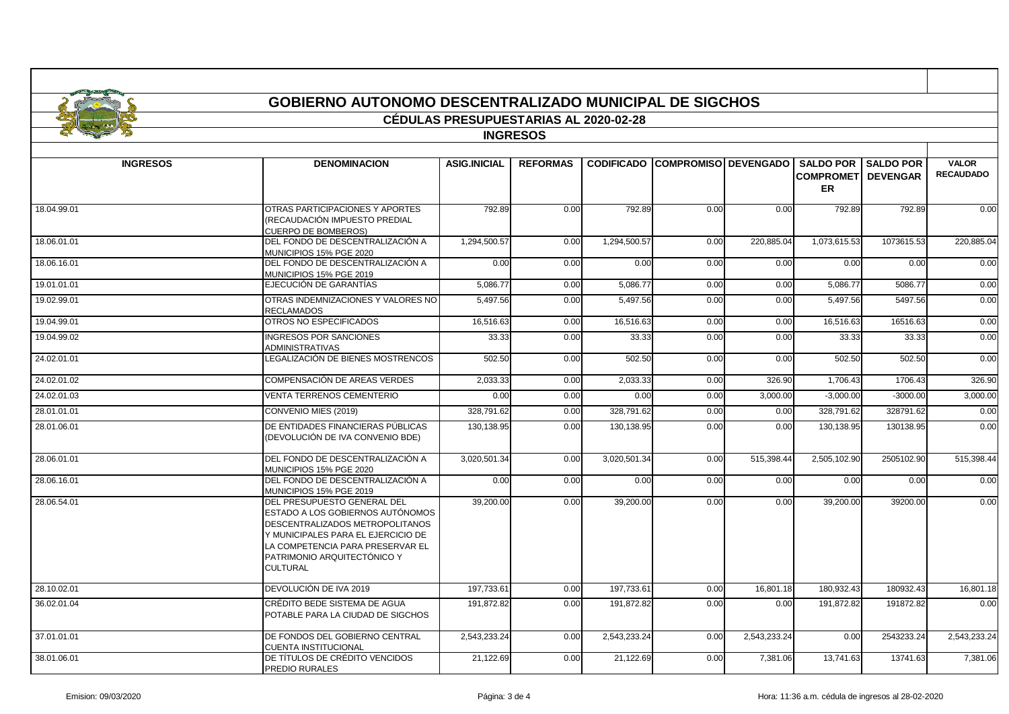|                 | <b>GOBIERNO AUTONOMO DESCENTRALIZADO MUNICIPAL DE SIGCHOS</b>                                                                                                                                                                  |                                              |                 |                   |                        |              |                                             |                                     |                                  |
|-----------------|--------------------------------------------------------------------------------------------------------------------------------------------------------------------------------------------------------------------------------|----------------------------------------------|-----------------|-------------------|------------------------|--------------|---------------------------------------------|-------------------------------------|----------------------------------|
|                 |                                                                                                                                                                                                                                | <b>CÉDULAS PRESUPUESTARIAS AL 2020-02-28</b> |                 |                   |                        |              |                                             |                                     |                                  |
|                 |                                                                                                                                                                                                                                |                                              | <b>INGRESOS</b> |                   |                        |              |                                             |                                     |                                  |
| <b>INGRESOS</b> | <b>DENOMINACION</b>                                                                                                                                                                                                            | <b>ASIG.INICIAL</b>                          | <b>REFORMAS</b> | <b>CODIFICADO</b> | COMPROMISO   DEVENGADO |              | <b>SALDO POR</b><br><b>COMPROMET</b><br>ER. | <b>SALDO POR</b><br><b>DEVENGAR</b> | <b>VALOR</b><br><b>RECAUDADO</b> |
| 18.04.99.01     | OTRAS PARTICIPACIONES Y APORTES<br>(RECAUDACIÓN IMPUESTO PREDIAL<br><b>CUERPO DE BOMBEROS)</b>                                                                                                                                 | 792.89                                       | 0.00            | 792.89            | 0.00                   | 0.00         | 792.89                                      | 792.89                              | 0.00                             |
| 18.06.01.01     | DEL FONDO DE DESCENTRALIZACIÓN A<br>MUNICIPIOS 15% PGE 2020                                                                                                                                                                    | 1,294,500.57                                 | 0.00            | 1,294,500.57      | 0.00                   | 220,885.04   | 1,073,615.53                                | 1073615.53                          | 220,885.04                       |
| 18.06.16.01     | DEL FONDO DE DESCENTRALIZACIÓN A<br>MUNICIPIOS 15% PGE 2019                                                                                                                                                                    | 0.00                                         | 0.00            | 0.00              | 0.00                   | 0.00         | 0.00                                        | 0.00                                | 0.00                             |
| 19.01.01.01     | EJECUCIÓN DE GARANTÍAS                                                                                                                                                                                                         | 5.086.77                                     | 0.00            | 5,086.77          | 0.00                   | 0.00         | 5,086.77                                    | 5086.77                             | 0.00                             |
| 19.02.99.01     | OTRAS INDEMNIZACIONES Y VALORES NO<br><b>RECLAMADOS</b>                                                                                                                                                                        | 5,497.56                                     | 0.00            | 5,497.56          | 0.00                   | 0.00         | 5,497.56                                    | 5497.56                             | 0.00                             |
| 19.04.99.01     | OTROS NO ESPECIFICADOS                                                                                                                                                                                                         | 16,516.63                                    | 0.00            | 16,516.63         | 0.00                   | 0.00         | 16,516.63                                   | 16516.63                            | 0.00                             |
| 19.04.99.02     | <b>INGRESOS POR SANCIONES</b><br><b>ADMINISTRATIVAS</b>                                                                                                                                                                        | 33.33                                        | 0.00            | 33.33             | 0.00                   | 0.00         | 33.33                                       | 33.33                               | 0.00                             |
| 24.02.01.01     | LEGALIZACIÓN DE BIENES MOSTRENCOS                                                                                                                                                                                              | 502.50                                       | 0.00            | 502.50            | 0.00                   | 0.00         | 502.50                                      | 502.50                              | 0.00                             |
| 24.02.01.02     | COMPENSACIÓN DE AREAS VERDES                                                                                                                                                                                                   | 2,033.33                                     | 0.00            | 2,033.33          | 0.00                   | 326.90       | 1,706.43                                    | 1706.43                             | 326.90                           |
| 24.02.01.03     | <b>VENTA TERRENOS CEMENTERIO</b>                                                                                                                                                                                               | 0.00                                         | 0.00            | 0.00              | 0.00                   | 3,000.00     | $-3.000.00$                                 | $-3000.00$                          | 3,000.00                         |
| 28.01.01.01     | CONVENIO MIES (2019)                                                                                                                                                                                                           | 328,791.62                                   | 0.00            | 328,791.62        | 0.00                   | 0.00         | 328,791.62                                  | 328791.62                           | 0.00                             |
| 28.01.06.01     | DE ENTIDADES FINANCIERAS PÚBLICAS<br>(DEVOLUCIÓN DE IVA CONVENIO BDE)                                                                                                                                                          | 130,138.95                                   | 0.00            | 130,138.95        | 0.00                   | 0.00         | 130,138.95                                  | 130138.95                           | 0.00                             |
| 28.06.01.01     | DEL FONDO DE DESCENTRALIZACIÓN A<br>MUNICIPIOS 15% PGE 2020                                                                                                                                                                    | 3,020,501.34                                 | 0.00            | 3,020,501.34      | 0.00                   | 515,398.44   | 2,505,102.90                                | 2505102.90                          | 515,398.44                       |
| 28.06.16.01     | DEL FONDO DE DESCENTRALIZACIÓN A<br>MUNICIPIOS 15% PGE 2019                                                                                                                                                                    | 0.00                                         | 0.00            | 0.00              | 0.00                   | 0.00         | 0.00                                        | 0.00                                | 0.00                             |
| 28.06.54.01     | DEL PRESUPUESTO GENERAL DEL<br>ESTADO A LOS GOBIERNOS AUTÓNOMOS<br>DESCENTRALIZADOS METROPOLITANOS<br>Y MUNICIPALES PARA EL EJERCICIO DE<br>LA COMPETENCIA PARA PRESERVAR EL<br>PATRIMONIO ARQUITECTÓNICO Y<br><b>CULTURAL</b> | 39,200.00                                    | 0.00            | 39,200.00         | 0.00                   | 0.00         | 39,200.00                                   | 39200.00                            | 0.00                             |
| 28.10.02.01     | DEVOLUCIÓN DE IVA 2019                                                                                                                                                                                                         | 197.733.61                                   | 0.00            | 197.733.61        | 0.00                   | 16.801.18    | 180.932.43                                  | 180932.43                           | 16.801.18                        |
| 36.02.01.04     | CRÉDITO BEDE SISTEMA DE AGUA<br>POTABLE PARA LA CIUDAD DE SIGCHOS                                                                                                                                                              | 191,872.82                                   | 0.00            | 191,872.82        | 0.00                   | 0.00         | 191,872.82                                  | 191872.82                           | 0.00                             |
| 37.01.01.01     | DE FONDOS DEL GOBIERNO CENTRAL<br><b>CUENTA INSTITUCIONAL</b>                                                                                                                                                                  | 2,543,233.24                                 | 0.00            | 2,543,233.24      | 0.00                   | 2,543,233.24 | 0.00                                        | 2543233.24                          | 2,543,233.24                     |
| 38.01.06.01     | DE TÍTULOS DE CRÉDITO VENCIDOS<br>PREDIO RURALES                                                                                                                                                                               | 21,122.69                                    | 0.00            | 21,122.69         | 0.00                   | 7,381.06     | 13,741.63                                   | 13741.63                            | 7,381.06                         |

п